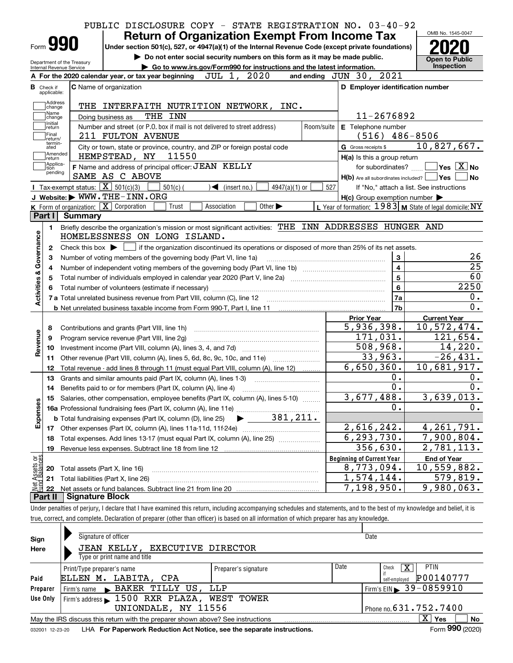|                                                                                  |                             | PUBLIC DISCLOSURE COPY - STATE REGISTRATION NO. 03-40-92                                                                                                   |            |                                                           | OMB No. 1545-0047                                                                                                           |
|----------------------------------------------------------------------------------|-----------------------------|------------------------------------------------------------------------------------------------------------------------------------------------------------|------------|-----------------------------------------------------------|-----------------------------------------------------------------------------------------------------------------------------|
|                                                                                  | Form 990                    | <b>Return of Organization Exempt From Income Tax</b><br>Under section 501(c), 527, or 4947(a)(1) of the Internal Revenue Code (except private foundations) |            |                                                           |                                                                                                                             |
|                                                                                  |                             | Do not enter social security numbers on this form as it may be made public.                                                                                |            |                                                           |                                                                                                                             |
|                                                                                  |                             | Department of the Treasury<br>Go to www.irs.gov/Form990 for instructions and the latest information.                                                       |            |                                                           | Open to Public<br>Inspection                                                                                                |
|                                                                                  | Internal Revenue Service    | JUL 1, 2020<br>A For the 2020 calendar year, or tax year beginning                                                                                         |            | and ending JUN 30, 2021                                   |                                                                                                                             |
|                                                                                  | <b>B</b> Check if           | <b>C</b> Name of organization                                                                                                                              |            | D Employer identification number                          |                                                                                                                             |
|                                                                                  | applicable:                 |                                                                                                                                                            |            |                                                           |                                                                                                                             |
|                                                                                  | Address<br>change           | THE INTERFAITH NUTRITION NETWORK, INC.                                                                                                                     |            |                                                           |                                                                                                                             |
|                                                                                  | Name<br>change<br>Initial   | THE INN<br>Doing business as                                                                                                                               |            | 11-2676892                                                |                                                                                                                             |
|                                                                                  | return                      | Number and street (or P.O. box if mail is not delivered to street address)                                                                                 | Room/suite | E Telephone number                                        |                                                                                                                             |
|                                                                                  | Final<br>return/<br>termin- | 211 FULTON AVENUE                                                                                                                                          |            | $(516)$ 486-8506                                          |                                                                                                                             |
|                                                                                  | ated<br>Amended<br> return  | City or town, state or province, country, and ZIP or foreign postal code<br>HEMPSTEAD, NY<br>11550                                                         |            | G Gross receipts \$<br>H(a) Is this a group return        | 10,827,667.                                                                                                                 |
|                                                                                  | Applica-<br>tion            | F Name and address of principal officer: JEAN KELLY                                                                                                        |            |                                                           | for subordinates? $\Box$ Yes $\boxed{X}$ No                                                                                 |
|                                                                                  | pending                     | SAME AS C ABOVE                                                                                                                                            |            | $H(b)$ Are all subordinates included? $\Box$ Yes $\Box$   | $\log$                                                                                                                      |
|                                                                                  |                             | Tax-exempt status: $\boxed{\mathbf{X}}$ 501(c)(3)<br>$501(c)$ (<br>$\sqrt{\bullet}$ (insert no.)<br>$4947(a)(1)$ or                                        | 527        | If "No," attach a list. See instructions                  |                                                                                                                             |
|                                                                                  |                             | J Website: WWW.THE-INN.ORG                                                                                                                                 |            | $H(c)$ Group exemption number $\blacktriangleright$       |                                                                                                                             |
|                                                                                  |                             | K Form of organization: X Corporation<br>Other $\blacktriangleright$<br>Association<br>Trust                                                               |            | L Year of formation: $1983$ M State of legal domicile: NY |                                                                                                                             |
|                                                                                  | Part I                      | Summary                                                                                                                                                    |            |                                                           |                                                                                                                             |
|                                                                                  | 1.                          | Briefly describe the organization's mission or most significant activities: THE INN ADDRESSES HUNGER AND                                                   |            |                                                           |                                                                                                                             |
|                                                                                  |                             | HOMELESSNESS ON LONG ISLAND.                                                                                                                               |            |                                                           |                                                                                                                             |
|                                                                                  | 2                           | Check this box $\blacktriangleright$ $\Box$ if the organization discontinued its operations or disposed of more than 25% of its net assets.                |            |                                                           |                                                                                                                             |
|                                                                                  |                             |                                                                                                                                                            |            |                                                           |                                                                                                                             |
|                                                                                  |                             |                                                                                                                                                            |            |                                                           |                                                                                                                             |
|                                                                                  | 3                           | Number of voting members of the governing body (Part VI, line 1a)                                                                                          |            | 3                                                         |                                                                                                                             |
|                                                                                  | 4                           |                                                                                                                                                            |            | 4                                                         |                                                                                                                             |
|                                                                                  | 5                           |                                                                                                                                                            |            | 5                                                         |                                                                                                                             |
|                                                                                  | 6                           |                                                                                                                                                            |            | 6                                                         |                                                                                                                             |
|                                                                                  |                             | 7 a Total unrelated business revenue from Part VIII, column (C), line 12                                                                                   |            | 7a<br>7b                                                  | 0.<br>0.                                                                                                                    |
|                                                                                  |                             | <b>b</b> Net unrelated business taxable income from Form 990-T, Part I, line 11 <b>Marting the Control of the United States</b>                            |            |                                                           | 26<br>25<br>60<br>2250                                                                                                      |
|                                                                                  |                             |                                                                                                                                                            |            | <b>Prior Year</b>                                         | <b>Current Year</b>                                                                                                         |
|                                                                                  | 8                           | Contributions and grants (Part VIII, line 1h)                                                                                                              |            | 5,936,398.                                                | 10,572,474.                                                                                                                 |
|                                                                                  | 9                           | Program service revenue (Part VIII, line 2g)                                                                                                               |            | 171,031.                                                  |                                                                                                                             |
|                                                                                  | 10                          |                                                                                                                                                            |            | 508,968.                                                  |                                                                                                                             |
|                                                                                  | 11                          | Other revenue (Part VIII, column (A), lines 5, 6d, 8c, 9c, 10c, and 11e)                                                                                   |            | 33,963.                                                   |                                                                                                                             |
|                                                                                  | 12                          | Total revenue - add lines 8 through 11 (must equal Part VIII, column (A), line 12)                                                                         |            | 6,650,360.                                                |                                                                                                                             |
|                                                                                  | 13                          | Grants and similar amounts paid (Part IX, column (A), lines 1-3)                                                                                           |            | 0.                                                        |                                                                                                                             |
|                                                                                  | 14                          | Benefits paid to or for members (Part IX, column (A), line 4)                                                                                              |            | 0.                                                        | 0.                                                                                                                          |
|                                                                                  | 15                          | Salaries, other compensation, employee benefits (Part IX, column (A), lines 5-10)                                                                          |            | 3,677,488.                                                | 3,639,013.                                                                                                                  |
|                                                                                  |                             |                                                                                                                                                            |            | 0.                                                        | 0.                                                                                                                          |
|                                                                                  |                             |                                                                                                                                                            |            |                                                           |                                                                                                                             |
|                                                                                  | 17                          |                                                                                                                                                            |            | 2,616,242.                                                | 0.                                                                                                                          |
|                                                                                  | 18                          | Total expenses. Add lines 13-17 (must equal Part IX, column (A), line 25)                                                                                  |            | 6, 293, 730.                                              |                                                                                                                             |
|                                                                                  | 19                          |                                                                                                                                                            |            | 356,630.                                                  |                                                                                                                             |
|                                                                                  |                             |                                                                                                                                                            |            | <b>Beginning of Current Year</b>                          | <b>End of Year</b>                                                                                                          |
|                                                                                  | 20                          | Total assets (Part X, line 16)                                                                                                                             |            | 8,773,094.                                                | 121,654.<br>14,220.<br>$-26,431.$<br>10,681,917.<br>4, 261, 791.<br>7,900,804.<br>2,781,113.<br>$\overline{10}$ , 559, 882. |
| Activities & Governance<br>Revenue<br>Expenses<br>Net Assets or<br>Eund Balances | 21<br>22                    | Total liabilities (Part X, line 26)                                                                                                                        |            | 1,574,144.<br>7,198,950.                                  | 579,819.<br>9,980,063.                                                                                                      |

| Sign            | Signature of officer                                                                                      |                      |      | Date                                          |  |  |  |  |
|-----------------|-----------------------------------------------------------------------------------------------------------|----------------------|------|-----------------------------------------------|--|--|--|--|
| Here            | JEAN KELLY, EXECUTIVE DIRECTOR                                                                            |                      |      |                                               |  |  |  |  |
|                 | Type or print name and title                                                                              |                      |      |                                               |  |  |  |  |
|                 | Print/Type preparer's name                                                                                | Preparer's signature | Date | <b>PTIN</b><br>$\overline{\text{X}}$<br>Check |  |  |  |  |
| Paid            | LABITA, CPA<br>ELLEN M.                                                                                   |                      |      | P00140777<br>self-emploved                    |  |  |  |  |
| Preparer        | Firm's name BAKER TILLY US, LLP                                                                           |                      |      | Firm's EIN $\triangleright$ 39-0859910        |  |  |  |  |
| Use Only        | Firm's address > 1500 RXR PLAZA, WEST TOWER                                                               |                      |      |                                               |  |  |  |  |
|                 | UNIONDALE, NY 11556                                                                                       |                      |      | Phone no. 631.752.7400                        |  |  |  |  |
|                 | X.<br><b>No</b><br>Yes<br>May the IRS discuss this return with the preparer shown above? See instructions |                      |      |                                               |  |  |  |  |
| 032001 12-23-20 | Form 990 (2020)<br>LHA For Paperwork Reduction Act Notice, see the separate instructions.                 |                      |      |                                               |  |  |  |  |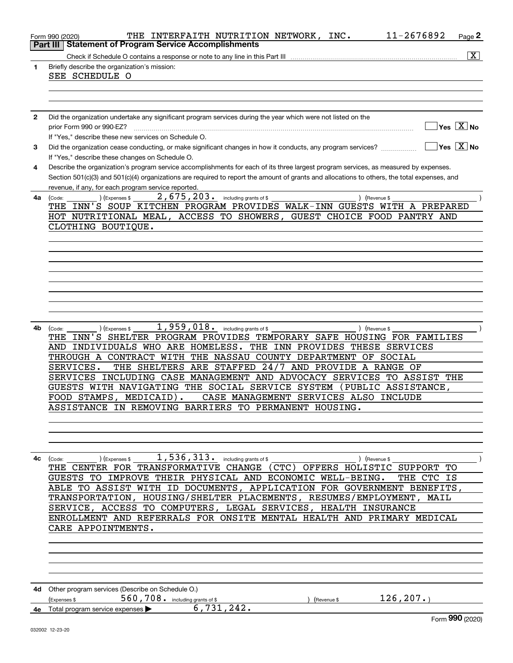|    | THE INTERFAITH NUTRITION NETWORK, INC.<br>Form 990 (2020)                                                                                                                                                                                                                                                                                   | 11-2676892 | Page 2                                 |
|----|---------------------------------------------------------------------------------------------------------------------------------------------------------------------------------------------------------------------------------------------------------------------------------------------------------------------------------------------|------------|----------------------------------------|
|    | <b>Statement of Program Service Accomplishments</b><br>Part III                                                                                                                                                                                                                                                                             |            | $\overline{\mathbf{X}}$                |
| 1  | Briefly describe the organization's mission:<br>SEE SCHEDULE O                                                                                                                                                                                                                                                                              |            |                                        |
|    |                                                                                                                                                                                                                                                                                                                                             |            |                                        |
| 2  | Did the organization undertake any significant program services during the year which were not listed on the<br>prior Form 990 or 990-EZ?<br>If "Yes," describe these new services on Schedule O.                                                                                                                                           |            | Yes $X$ No                             |
| 3  | Did the organization cease conducting, or make significant changes in how it conducts, any program services?<br>If "Yes," describe these changes on Schedule O.                                                                                                                                                                             |            | $\sqrt{}$ Yes $\sqrt{}$ X $\sqrt{}$ No |
| 4  | Describe the organization's program service accomplishments for each of its three largest program services, as measured by expenses.<br>Section 501(c)(3) and 501(c)(4) organizations are required to report the amount of grants and allocations to others, the total expenses, and<br>revenue, if any, for each program service reported. |            |                                        |
| 4a | 2,675,203. including grants of \$<br>Expenses \$<br>) (Revenue \$<br>(Code:<br>THE INN'S SOUP KITCHEN PROGRAM PROVIDES WALK-INN GUESTS WITH A PREPARED<br>HOT NUTRITIONAL MEAL, ACCESS TO SHOWERS, GUEST CHOICE FOOD PANTRY AND<br>CLOTHING BOUTIQUE.                                                                                       |            |                                        |
|    |                                                                                                                                                                                                                                                                                                                                             |            |                                        |
|    |                                                                                                                                                                                                                                                                                                                                             |            |                                        |
|    |                                                                                                                                                                                                                                                                                                                                             |            |                                        |
| 4b | 1,959,018. including grants of \$<br>) (Revenue \$<br>(Code:<br>(Expenses \$<br>THE INN'S SHELTER PROGRAM PROVIDES TEMPORARY SAFE HOUSING FOR FAMILIES                                                                                                                                                                                      |            |                                        |
|    | AND INDIVIDUALS WHO ARE HOMELESS.<br>THE INN PROVIDES THESE SERVICES<br>THROUGH A CONTRACT WITH THE NASSAU COUNTY DEPARTMENT<br>OF SOCIAL<br>SERVICES.<br>THE SHELTERS ARE STAFFED 24/7 AND PROVIDE A RANGE OF                                                                                                                              |            |                                        |
|    | SERVICES INCLUDING CASE MANAGEMENT AND ADVOCACY SERVICES TO ASSIST THE<br>GUESTS WITH NAVIGATING THE SOCIAL SERVICE SYSTEM<br>(PUBLIC ASSISTANCE,                                                                                                                                                                                           |            |                                        |
|    | FOOD STAMPS,<br>MEDICAID).<br>CASE MANAGEMENT SERVICES ALSO INCLUDE<br>ASSISTANCE IN REMOVING BARRIERS TO PERMANENT HOUSING.                                                                                                                                                                                                                |            |                                        |
|    |                                                                                                                                                                                                                                                                                                                                             |            |                                        |
| 4с | $1,536,313$ . including grants of \$<br>(Code:<br>(Expenses \$<br>) (Revenue \$<br>THE CENTER FOR TRANSFORMATIVE CHANGE<br>(CTC) OFFERS HOLISTIC SUPPORT TO                                                                                                                                                                                 |            |                                        |
|    | GUESTS TO IMPROVE THEIR PHYSICAL AND ECONOMIC WELL-BEING.<br>ABLE TO ASSIST WITH ID DOCUMENTS, APPLICATION FOR GOVERNMENT BENEFITS,<br>TRANSPORTATION, HOUSING/SHELTER PLACEMENTS, RESUMES/EMPLOYMENT, MAIL                                                                                                                                 | THE CTC IS |                                        |
|    | SERVICE, ACCESS TO COMPUTERS, LEGAL SERVICES, HEALTH INSURANCE<br>ENROLLMENT AND REFERRALS FOR ONSITE MENTAL HEALTH AND PRIMARY MEDICAL<br>CARE APPOINTMENTS.                                                                                                                                                                               |            |                                        |
|    |                                                                                                                                                                                                                                                                                                                                             |            |                                        |
|    |                                                                                                                                                                                                                                                                                                                                             |            |                                        |
|    | 4d Other program services (Describe on Schedule O.)<br>126, 207.<br>560,708. including grants of \$<br>(Expenses \$<br>Revenue \$<br>6,731,242.<br>4e Total program service expenses >                                                                                                                                                      |            |                                        |
|    | 032002 12-23-20                                                                                                                                                                                                                                                                                                                             |            | Form 990 (2020)                        |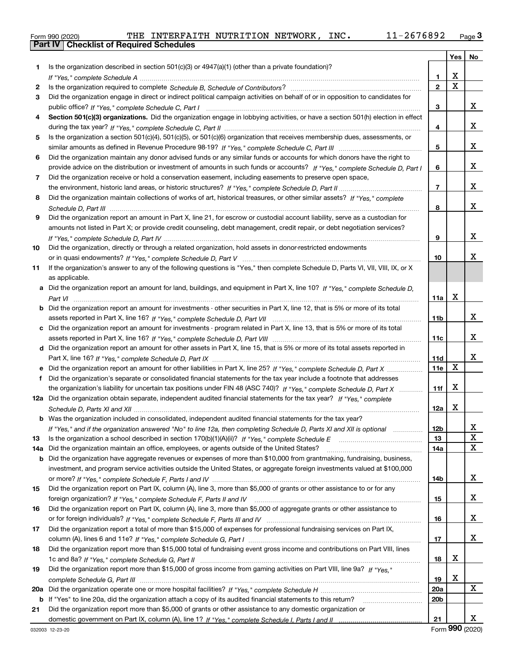|  | Form 990 (2020) |
|--|-----------------|

|     |                                                                                                                                  |                 |             | Yes   No |
|-----|----------------------------------------------------------------------------------------------------------------------------------|-----------------|-------------|----------|
| 1   | Is the organization described in section $501(c)(3)$ or $4947(a)(1)$ (other than a private foundation)?                          |                 |             |          |
|     |                                                                                                                                  | 1               | х           |          |
| 2   |                                                                                                                                  | $\overline{2}$  | $\mathbf X$ |          |
| 3   | Did the organization engage in direct or indirect political campaign activities on behalf of or in opposition to candidates for  |                 |             |          |
|     |                                                                                                                                  | з               |             | x        |
| 4   | Section 501(c)(3) organizations. Did the organization engage in lobbying activities, or have a section 501(h) election in effect |                 |             |          |
|     |                                                                                                                                  | 4               |             | x        |
| 5   | Is the organization a section 501(c)(4), 501(c)(5), or 501(c)(6) organization that receives membership dues, assessments, or     |                 |             |          |
|     |                                                                                                                                  | 5               |             | x        |
| 6   | Did the organization maintain any donor advised funds or any similar funds or accounts for which donors have the right to        |                 |             |          |
|     | provide advice on the distribution or investment of amounts in such funds or accounts? If "Yes," complete Schedule D, Part I     | 6               |             | x        |
| 7   | Did the organization receive or hold a conservation easement, including easements to preserve open space,                        |                 |             |          |
|     |                                                                                                                                  | $\overline{7}$  |             | x        |
| 8   | Did the organization maintain collections of works of art, historical treasures, or other similar assets? If "Yes," complete     |                 |             |          |
|     |                                                                                                                                  | 8               |             | x        |
| 9   | Did the organization report an amount in Part X, line 21, for escrow or custodial account liability, serve as a custodian for    |                 |             |          |
|     | amounts not listed in Part X; or provide credit counseling, debt management, credit repair, or debt negotiation services?        |                 |             |          |
|     |                                                                                                                                  | 9               |             | x        |
| 10  | Did the organization, directly or through a related organization, hold assets in donor-restricted endowments                     |                 |             |          |
|     |                                                                                                                                  | 10              |             | х        |
| 11  | If the organization's answer to any of the following questions is "Yes," then complete Schedule D, Parts VI, VII, VIII, IX, or X |                 |             |          |
|     | as applicable.                                                                                                                   |                 |             |          |
|     | Did the organization report an amount for land, buildings, and equipment in Part X, line 10? If "Yes," complete Schedule D.      |                 |             |          |
|     |                                                                                                                                  | 11a             | x           |          |
| b   | Did the organization report an amount for investments - other securities in Part X, line 12, that is 5% or more of its total     |                 |             |          |
|     |                                                                                                                                  | 11 <sub>b</sub> |             | x        |
|     | Did the organization report an amount for investments - program related in Part X, line 13, that is 5% or more of its total      |                 |             | x        |
|     |                                                                                                                                  | 11c             |             |          |
|     | d Did the organization report an amount for other assets in Part X, line 15, that is 5% or more of its total assets reported in  | 11d             |             | x        |
|     |                                                                                                                                  | 11e             | X           |          |
| f   | Did the organization's separate or consolidated financial statements for the tax year include a footnote that addresses          |                 |             |          |
|     | the organization's liability for uncertain tax positions under FIN 48 (ASC 740)? If "Yes," complete Schedule D, Part X           | 11f             | х           |          |
|     | 12a Did the organization obtain separate, independent audited financial statements for the tax year? If "Yes," complete          |                 |             |          |
|     |                                                                                                                                  | 12a             | х           |          |
|     | <b>b</b> Was the organization included in consolidated, independent audited financial statements for the tax year?               |                 |             |          |
|     | If "Yes," and if the organization answered "No" to line 12a, then completing Schedule D, Parts XI and XII is optional            | 12 <sub>b</sub> |             | ∡⊾       |
| 13  | Is the organization a school described in section 170(b)(1)(A)(ii)? If "Yes," complete Schedule E                                | 13              |             | X        |
| 14a | Did the organization maintain an office, employees, or agents outside of the United States?                                      | 14a             |             | X        |
| b   | Did the organization have aggregate revenues or expenses of more than \$10,000 from grantmaking, fundraising, business,          |                 |             |          |
|     | investment, and program service activities outside the United States, or aggregate foreign investments valued at \$100,000       |                 |             |          |
|     |                                                                                                                                  | 14b             |             | x        |
| 15  | Did the organization report on Part IX, column (A), line 3, more than \$5,000 of grants or other assistance to or for any        |                 |             |          |
|     |                                                                                                                                  | 15              |             | x        |
| 16  | Did the organization report on Part IX, column (A), line 3, more than \$5,000 of aggregate grants or other assistance to         |                 |             |          |
|     |                                                                                                                                  | 16              |             | x        |
| 17  | Did the organization report a total of more than \$15,000 of expenses for professional fundraising services on Part IX,          |                 |             |          |
|     |                                                                                                                                  | 17              |             | x        |
| 18  | Did the organization report more than \$15,000 total of fundraising event gross income and contributions on Part VIII, lines     |                 |             |          |
|     |                                                                                                                                  | 18              | х           |          |
| 19  | Did the organization report more than \$15,000 of gross income from gaming activities on Part VIII, line 9a? If "Yes."           |                 |             |          |
|     |                                                                                                                                  | 19              | x           |          |
| 20a |                                                                                                                                  | 20a             |             | X        |
| b   | If "Yes" to line 20a, did the organization attach a copy of its audited financial statements to this return?                     | 20 <sub>b</sub> |             |          |
| 21  | Did the organization report more than \$5,000 of grants or other assistance to any domestic organization or                      |                 |             |          |
|     |                                                                                                                                  | 21              |             | X.       |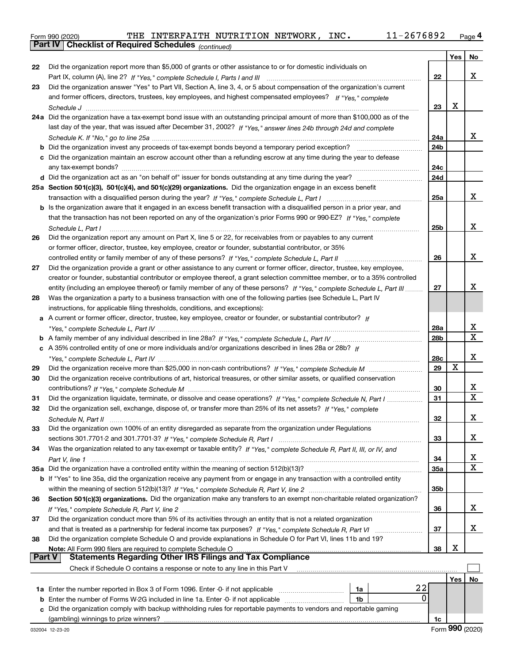| Form 990 (2020) | THE                                                          | INTERFAITH NUTRITION NETWORK |  | INC. | 76892<br>26.<br>$\overline{\phantom{0}}$ | $P$ age |
|-----------------|--------------------------------------------------------------|------------------------------|--|------|------------------------------------------|---------|
|                 | <b>Part IV   Checklist of Required Schedules</b> (continued) |                              |  |      |                                          |         |

|               |                                                                                                                                                                                                                                               |                 | Yes         | No |
|---------------|-----------------------------------------------------------------------------------------------------------------------------------------------------------------------------------------------------------------------------------------------|-----------------|-------------|----|
| 22            | Did the organization report more than \$5,000 of grants or other assistance to or for domestic individuals on                                                                                                                                 |                 |             |    |
|               |                                                                                                                                                                                                                                               | 22              |             | х  |
| 23            | Did the organization answer "Yes" to Part VII, Section A, line 3, 4, or 5 about compensation of the organization's current                                                                                                                    |                 |             |    |
|               | and former officers, directors, trustees, key employees, and highest compensated employees? If "Yes." complete                                                                                                                                |                 |             |    |
|               |                                                                                                                                                                                                                                               | 23              | X           |    |
|               | 24a Did the organization have a tax-exempt bond issue with an outstanding principal amount of more than \$100,000 as of the                                                                                                                   |                 |             |    |
|               | last day of the year, that was issued after December 31, 2002? If "Yes," answer lines 24b through 24d and complete                                                                                                                            |                 |             |    |
|               |                                                                                                                                                                                                                                               | 24a             |             | х  |
|               | <b>b</b> Did the organization invest any proceeds of tax-exempt bonds beyond a temporary period exception?                                                                                                                                    | 24b             |             |    |
|               | c Did the organization maintain an escrow account other than a refunding escrow at any time during the year to defease                                                                                                                        |                 |             |    |
|               |                                                                                                                                                                                                                                               | 24c             |             |    |
|               | d Did the organization act as an "on behalf of" issuer for bonds outstanding at any time during the year?                                                                                                                                     | 24d             |             |    |
|               | 25a Section 501(c)(3), 501(c)(4), and 501(c)(29) organizations. Did the organization engage in an excess benefit                                                                                                                              |                 |             |    |
|               |                                                                                                                                                                                                                                               | 25a             |             | х  |
|               | b Is the organization aware that it engaged in an excess benefit transaction with a disqualified person in a prior year, and                                                                                                                  |                 |             |    |
|               | that the transaction has not been reported on any of the organization's prior Forms 990 or 990-EZ? If "Yes," complete                                                                                                                         |                 |             | х  |
|               | Schedule L, Part I                                                                                                                                                                                                                            | 25 <sub>b</sub> |             |    |
| 26            | Did the organization report any amount on Part X, line 5 or 22, for receivables from or payables to any current                                                                                                                               |                 |             |    |
|               | or former officer, director, trustee, key employee, creator or founder, substantial contributor, or 35%<br>controlled entity or family member of any of these persons? If "Yes," complete Schedule L, Part II                                 | 26              |             | х  |
| 27            | Did the organization provide a grant or other assistance to any current or former officer, director, trustee, key employee,                                                                                                                   |                 |             |    |
|               | creator or founder, substantial contributor or employee thereof, a grant selection committee member, or to a 35% controlled                                                                                                                   |                 |             |    |
|               | entity (including an employee thereof) or family member of any of these persons? If "Yes." complete Schedule L. Part III                                                                                                                      | 27              |             | x  |
| 28            | Was the organization a party to a business transaction with one of the following parties (see Schedule L, Part IV                                                                                                                             |                 |             |    |
|               | instructions, for applicable filing thresholds, conditions, and exceptions):                                                                                                                                                                  |                 |             |    |
|               | a A current or former officer, director, trustee, key employee, creator or founder, or substantial contributor? If                                                                                                                            |                 |             |    |
|               |                                                                                                                                                                                                                                               | 28a             |             | х  |
|               |                                                                                                                                                                                                                                               | 28 <sub>b</sub> |             | X  |
|               | c A 35% controlled entity of one or more individuals and/or organizations described in lines 28a or 28b? If                                                                                                                                   |                 |             |    |
|               |                                                                                                                                                                                                                                               | 28c             |             | х  |
| 29            |                                                                                                                                                                                                                                               | 29              | $\mathbf X$ |    |
| 30            | Did the organization receive contributions of art, historical treasures, or other similar assets, or qualified conservation                                                                                                                   |                 |             |    |
|               |                                                                                                                                                                                                                                               | 30              |             | х  |
| 31            | Did the organization liquidate, terminate, or dissolve and cease operations? If "Yes," complete Schedule N, Part I                                                                                                                            | 31              |             | X  |
| 32            | Did the organization sell, exchange, dispose of, or transfer more than 25% of its net assets? If "Yes," complete                                                                                                                              |                 |             |    |
|               |                                                                                                                                                                                                                                               | 32              |             | х  |
| 33            | Did the organization own 100% of an entity disregarded as separate from the organization under Regulations                                                                                                                                    |                 |             |    |
|               |                                                                                                                                                                                                                                               | 33              |             | х  |
| 34            | Was the organization related to any tax-exempt or taxable entity? If "Yes," complete Schedule R, Part II, III, or IV, and                                                                                                                     |                 |             |    |
|               |                                                                                                                                                                                                                                               | 34              |             | X  |
|               | 35a Did the organization have a controlled entity within the meaning of section 512(b)(13)?                                                                                                                                                   | 35a             |             | X  |
|               | b If "Yes" to line 35a, did the organization receive any payment from or engage in any transaction with a controlled entity                                                                                                                   |                 |             |    |
|               |                                                                                                                                                                                                                                               | 35b             |             |    |
| 36            | Section 501(c)(3) organizations. Did the organization make any transfers to an exempt non-charitable related organization?                                                                                                                    |                 |             |    |
|               |                                                                                                                                                                                                                                               | 36              |             | х  |
| 37            | Did the organization conduct more than 5% of its activities through an entity that is not a related organization                                                                                                                              |                 |             |    |
|               |                                                                                                                                                                                                                                               | 37              |             | х  |
| 38            | Did the organization complete Schedule O and provide explanations in Schedule O for Part VI, lines 11b and 19?                                                                                                                                |                 | х           |    |
| <b>Part V</b> | Note: All Form 990 filers are required to complete Schedule O<br>All notifit serviciners are required to complete Schedule Onder the manufacture and compliance of the memoral o<br>Statements Regarding Other IRS Filings and Tax Compliance | 38              |             |    |
|               | Check if Schedule O contains a response or note to any line in this Part V                                                                                                                                                                    |                 |             |    |
|               |                                                                                                                                                                                                                                               |                 | Yes         | No |
|               | 22<br>1a Enter the number reported in Box 3 of Form 1096. Enter -0- if not applicable<br>1a                                                                                                                                                   |                 |             |    |
| b             | 0<br>Enter the number of Forms W-2G included in line 1a. Enter -0- if not applicable<br>1b                                                                                                                                                    |                 |             |    |
|               | Did the organization comply with backup withholding rules for reportable payments to vendors and reportable gaming                                                                                                                            |                 |             |    |
|               |                                                                                                                                                                                                                                               | 1c              |             |    |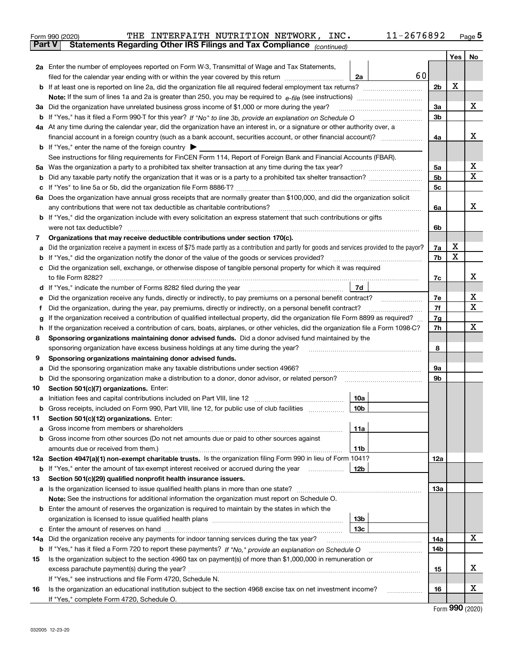|               | Form 990 (2020) | 11-2676892<br>THE INTERFAITH NUTRITION NETWORK, INC.                                                                                            |                |     | $_{\text{Page}}$ 5 |
|---------------|-----------------|-------------------------------------------------------------------------------------------------------------------------------------------------|----------------|-----|--------------------|
| <b>Part V</b> |                 | Statements Regarding Other IRS Filings and Tax Compliance (continued)                                                                           |                |     |                    |
|               |                 |                                                                                                                                                 |                | Yes | No                 |
|               |                 | 2a Enter the number of employees reported on Form W-3, Transmittal of Wage and Tax Statements,                                                  |                |     |                    |
|               |                 | 60<br>filed for the calendar year ending with or within the year covered by this return <i>manumumumum</i><br>2a                                |                |     |                    |
|               |                 |                                                                                                                                                 | 2b             | х   |                    |
|               |                 |                                                                                                                                                 |                |     |                    |
|               |                 | 3a Did the organization have unrelated business gross income of \$1,000 or more during the year?                                                | 3a             |     | х                  |
|               |                 |                                                                                                                                                 | 3b             |     |                    |
|               |                 | 4a At any time during the calendar year, did the organization have an interest in, or a signature or other authority over, a                    |                |     |                    |
|               |                 |                                                                                                                                                 | 4a             |     | х                  |
|               |                 | <b>b</b> If "Yes," enter the name of the foreign country $\blacktriangleright$                                                                  |                |     |                    |
|               |                 | See instructions for filing requirements for FinCEN Form 114, Report of Foreign Bank and Financial Accounts (FBAR).                             |                |     |                    |
| 5a            |                 | Was the organization a party to a prohibited tax shelter transaction at any time during the tax year?                                           | 5a             |     | х                  |
| b             |                 |                                                                                                                                                 | 5 <sub>b</sub> |     | X                  |
| с             |                 |                                                                                                                                                 | 5c             |     |                    |
|               |                 | 6a Does the organization have annual gross receipts that are normally greater than \$100,000, and did the organization solicit                  |                |     |                    |
|               |                 | any contributions that were not tax deductible as charitable contributions? [[[[[[[[[[[[[[[[[[[[[[[]]]]]]]]]]]                                  | 6a             |     | х                  |
|               |                 | <b>b</b> If "Yes," did the organization include with every solicitation an express statement that such contributions or gifts                   |                |     |                    |
|               |                 |                                                                                                                                                 | 6b             |     |                    |
| 7             |                 | Organizations that may receive deductible contributions under section 170(c).                                                                   |                |     |                    |
| а             |                 | Did the organization receive a payment in excess of \$75 made partly as a contribution and partly for goods and services provided to the payor? | 7a             | x   |                    |
| b             |                 | If "Yes," did the organization notify the donor of the value of the goods or services provided?                                                 | 7b             | X   |                    |
| с             |                 | Did the organization sell, exchange, or otherwise dispose of tangible personal property for which it was required                               |                |     |                    |
|               |                 |                                                                                                                                                 | 7c             |     | х                  |
| d             |                 | 7d                                                                                                                                              |                |     |                    |
| е             |                 |                                                                                                                                                 | 7e             |     | х                  |
| f             |                 | Did the organization, during the year, pay premiums, directly or indirectly, on a personal benefit contract?                                    | 7f             |     | X                  |
| g             |                 | If the organization received a contribution of qualified intellectual property, did the organization file Form 8899 as required?                | 7g             |     |                    |
| h             |                 | If the organization received a contribution of cars, boats, airplanes, or other vehicles, did the organization file a Form 1098-C?              | 7h             |     | х                  |
| 8             |                 | Sponsoring organizations maintaining donor advised funds. Did a donor advised fund maintained by the                                            |                |     |                    |
|               |                 | sponsoring organization have excess business holdings at any time during the year?                                                              | 8              |     |                    |
| 9             |                 | Sponsoring organizations maintaining donor advised funds.                                                                                       |                |     |                    |
| а             |                 | Did the sponsoring organization make any taxable distributions under section 4966?                                                              | 9а             |     |                    |
| b             |                 | Did the sponsoring organization make a distribution to a donor, donor advisor, or related person?                                               | 9b             |     |                    |
| 10            |                 | Section 501(c)(7) organizations. Enter:                                                                                                         |                |     |                    |
|               |                 | 10a                                                                                                                                             |                |     |                    |
|               |                 | 10b <br>Gross receipts, included on Form 990, Part VIII, line 12, for public use of club facilities                                             |                |     |                    |
| 11            |                 | Section 501(c)(12) organizations. Enter:                                                                                                        |                |     |                    |
| а             |                 | 11a                                                                                                                                             |                |     |                    |
| b             |                 | Gross income from other sources (Do not net amounts due or paid to other sources against                                                        |                |     |                    |
|               |                 | 11b                                                                                                                                             |                |     |                    |
|               |                 | 12a Section 4947(a)(1) non-exempt charitable trusts. Is the organization filing Form 990 in lieu of Form 1041?                                  | 12a            |     |                    |
|               |                 | 12b<br><b>b</b> If "Yes," enter the amount of tax-exempt interest received or accrued during the year                                           |                |     |                    |
| 13            |                 | Section 501(c)(29) qualified nonprofit health insurance issuers.                                                                                |                |     |                    |
| а             |                 | Is the organization licensed to issue qualified health plans in more than one state?                                                            | 13a            |     |                    |
|               |                 | Note: See the instructions for additional information the organization must report on Schedule O.                                               |                |     |                    |
|               |                 |                                                                                                                                                 |                |     |                    |
| b             |                 | Enter the amount of reserves the organization is required to maintain by the states in which the                                                |                |     |                    |
|               |                 | 13 <sub>b</sub><br>13с                                                                                                                          |                |     |                    |
| c             |                 | Did the organization receive any payments for indoor tanning services during the tax year?                                                      |                |     | х                  |
| 14a           |                 |                                                                                                                                                 | 14a            |     |                    |
|               |                 | <b>b</b> If "Yes," has it filed a Form 720 to report these payments? If "No," provide an explanation on Schedule O                              | 14b            |     |                    |
| 15            |                 | Is the organization subject to the section 4960 tax on payment(s) of more than \$1,000,000 in remuneration or                                   |                |     | х                  |
|               |                 |                                                                                                                                                 | 15             |     |                    |
|               |                 | If "Yes," see instructions and file Form 4720, Schedule N.                                                                                      |                |     | х                  |
| 16            |                 | Is the organization an educational institution subject to the section 4968 excise tax on net investment income?                                 | 16             |     |                    |
|               |                 | If "Yes," complete Form 4720, Schedule O.                                                                                                       |                |     | $\mathbf{Q}$       |

| Form 990 (2020) |  |
|-----------------|--|
|-----------------|--|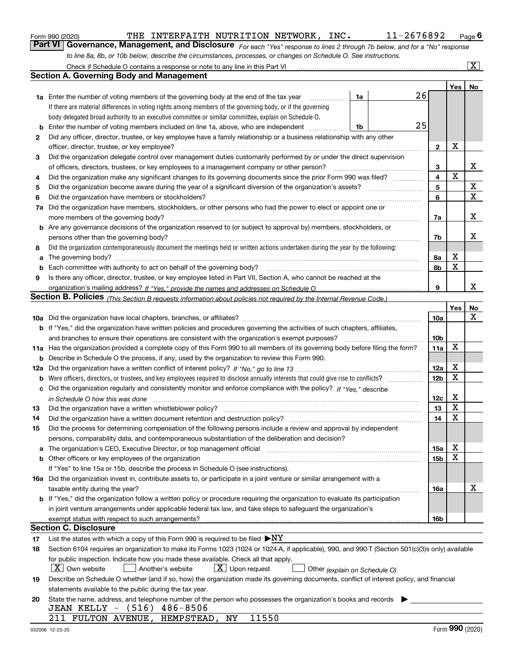|  | Form 990 (2020) |
|--|-----------------|
|  |                 |

| Form 990 (2020) |                                                                                                                  | THE INTERFAITH NUTRITION NETWORK, |  | INC. | 11-2676892                                                                                                                  | $P_{\text{aqe}}$ 6 |
|-----------------|------------------------------------------------------------------------------------------------------------------|-----------------------------------|--|------|-----------------------------------------------------------------------------------------------------------------------------|--------------------|
|                 |                                                                                                                  |                                   |  |      | Part VI Governance, Management, and Disclosure For each "Yes" response to lines 2 through 7b below, and for a "No" response |                    |
|                 | to line 8a, 8b, or 10b below, describe the circumstances, processes, or changes on Schedule O. See instructions. |                                   |  |      |                                                                                                                             |                    |

|     | Check if Schedule O contains a response or note to any line in this Part VI                                                                                                                                                    |                 |                  | $\overline{\mathbf{x}}$ |
|-----|--------------------------------------------------------------------------------------------------------------------------------------------------------------------------------------------------------------------------------|-----------------|------------------|-------------------------|
|     | <b>Section A. Governing Body and Management</b>                                                                                                                                                                                |                 |                  |                         |
|     |                                                                                                                                                                                                                                |                 | Yes              | No                      |
|     | 26<br><b>1a</b> Enter the number of voting members of the governing body at the end of the tax year<br>1a<br>.                                                                                                                 |                 |                  |                         |
|     | If there are material differences in voting rights among members of the governing body, or if the governing                                                                                                                    |                 |                  |                         |
|     | body delegated broad authority to an executive committee or similar committee, explain on Schedule O.                                                                                                                          |                 |                  |                         |
| b   | 25<br>Enter the number of voting members included on line 1a, above, who are independent<br>1b                                                                                                                                 |                 |                  |                         |
| 2   | Did any officer, director, trustee, or key employee have a family relationship or a business relationship with any other                                                                                                       |                 |                  |                         |
|     | officer, director, trustee, or key employee?                                                                                                                                                                                   | $\mathbf{2}$    | X                |                         |
| 3   | Did the organization delegate control over management duties customarily performed by or under the direct supervision                                                                                                          |                 |                  |                         |
|     | of officers, directors, trustees, or key employees to a management company or other person?                                                                                                                                    | 3               |                  | х                       |
| 4   | Did the organization make any significant changes to its governing documents since the prior Form 990 was filed?                                                                                                               | 4               | $\mathbf X$      |                         |
| 5   |                                                                                                                                                                                                                                | 5               |                  | X                       |
| 6   | Did the organization have members or stockholders?                                                                                                                                                                             | 6               |                  | X                       |
|     | Did the organization have members, stockholders, or other persons who had the power to elect or appoint one or                                                                                                                 |                 |                  |                         |
| 7a  |                                                                                                                                                                                                                                |                 |                  | х                       |
|     | more members of the governing body?<br><b>b</b> Are any governance decisions of the organization reserved to (or subject to approval by) members, stockholders, or                                                             | 7a              |                  |                         |
|     |                                                                                                                                                                                                                                |                 |                  | x                       |
|     | persons other than the governing body?                                                                                                                                                                                         | 7b              |                  |                         |
| 8   | Did the organization contemporaneously document the meetings held or written actions undertaken during the year by the following:                                                                                              |                 |                  |                         |
| a   | The governing body?                                                                                                                                                                                                            | 8a              | X<br>$\mathbf X$ |                         |
| b   |                                                                                                                                                                                                                                | 8b              |                  |                         |
| 9   | Is there any officer, director, trustee, or key employee listed in Part VII, Section A, who cannot be reached at the                                                                                                           |                 |                  |                         |
|     |                                                                                                                                                                                                                                | 9               |                  | x                       |
|     | Section B. Policies <sub>(This Section B requests information about policies not required by the Internal Revenue Code.)</sub>                                                                                                 |                 |                  |                         |
|     |                                                                                                                                                                                                                                |                 | Yes              | No                      |
|     |                                                                                                                                                                                                                                | 10a             |                  | х                       |
|     | <b>b</b> If "Yes," did the organization have written policies and procedures governing the activities of such chapters, affiliates,                                                                                            |                 |                  |                         |
|     | and branches to ensure their operations are consistent with the organization's exempt purposes?                                                                                                                                | 10b             |                  |                         |
|     | 11a Has the organization provided a complete copy of this Form 990 to all members of its governing body before filing the form?                                                                                                | 11a             | $\mathbf X$      |                         |
| b   | Describe in Schedule O the process, if any, used by the organization to review this Form 990.                                                                                                                                  |                 |                  |                         |
| 12a |                                                                                                                                                                                                                                | 12a             | X                |                         |
| b   |                                                                                                                                                                                                                                | 12 <sub>b</sub> | X                |                         |
| с   | Did the organization regularly and consistently monitor and enforce compliance with the policy? If "Yes." describe                                                                                                             |                 |                  |                         |
|     | in Schedule O how this was done material and the control of the state of the state of the state of the state of the state of the state of the state of the state of the state of the state of the state of the state of the st | 12c             | X                |                         |
| 13  | Did the organization have a written whistleblower policy?                                                                                                                                                                      | 13              | X                |                         |
| 14  | Did the organization have a written document retention and destruction policy?                                                                                                                                                 | 14              | X                |                         |
| 15  | Did the process for determining compensation of the following persons include a review and approval by independent                                                                                                             |                 |                  |                         |
|     | persons, comparability data, and contemporaneous substantiation of the deliberation and decision?                                                                                                                              |                 |                  |                         |
| a   | The organization's CEO, Executive Director, or top management official manufactured content of the organization's CEO, Executive Director, or top management official                                                          | 15a             | Χ                |                         |
|     | <b>b</b> Other officers or key employees of the organization                                                                                                                                                                   | 15b             | X                |                         |
|     | If "Yes" to line 15a or 15b, describe the process in Schedule O (see instructions).                                                                                                                                            |                 |                  |                         |
|     | 16a Did the organization invest in, contribute assets to, or participate in a joint venture or similar arrangement with a                                                                                                      |                 |                  |                         |
|     | taxable entity during the year?                                                                                                                                                                                                | 16a             |                  | х                       |
|     | b If "Yes," did the organization follow a written policy or procedure requiring the organization to evaluate its participation                                                                                                 |                 |                  |                         |
|     | in joint venture arrangements under applicable federal tax law, and take steps to safeguard the organization's                                                                                                                 |                 |                  |                         |
|     | exempt status with respect to such arrangements?                                                                                                                                                                               | 16b             |                  |                         |
|     | <b>Section C. Disclosure</b>                                                                                                                                                                                                   |                 |                  |                         |
| 17  | List the states with which a copy of this Form 990 is required to be filed $\blacktriangleright$ NY                                                                                                                            |                 |                  |                         |
| 18  | Section 6104 requires an organization to make its Forms 1023 (1024 or 1024-A, if applicable), 990, and 990-T (Section 501(c)(3)s only) available                                                                               |                 |                  |                         |
|     | for public inspection. Indicate how you made these available. Check all that apply.                                                                                                                                            |                 |                  |                         |
|     | $X$ Own website<br>$X$ Upon request<br>Another's website<br>Other (explain on Schedule O)                                                                                                                                      |                 |                  |                         |
| 19  | Describe on Schedule O whether (and if so, how) the organization made its governing documents, conflict of interest policy, and financial                                                                                      |                 |                  |                         |
|     | statements available to the public during the tax year.                                                                                                                                                                        |                 |                  |                         |
| 20  | State the name, address, and telephone number of the person who possesses the organization's books and records                                                                                                                 |                 |                  |                         |
|     | JEAN KELLY - (516) 486-8506                                                                                                                                                                                                    |                 |                  |                         |
|     | 211 FULTON AVENUE, HEMPSTEAD, NY<br>11550                                                                                                                                                                                      |                 |                  |                         |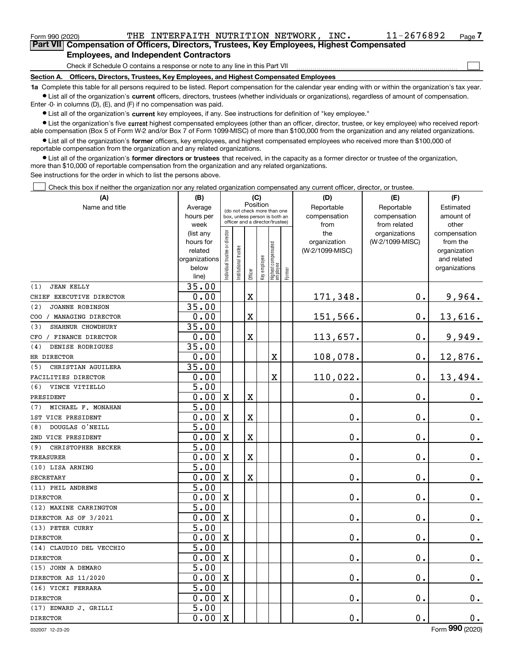<code>Form</code> 990 (2020) THE <code>INTERFAITH</code> <code>NUTRITION</code> <code>NETWORK</code> , <code>INC.  $11-2676892$  <code>Page</code></code> **7Part VII Compensation of Officers, Directors, Trustees, Key Employees, Highest Compensated**

 $\mathcal{L}^{\text{max}}$ 

#### **Employees, and Independent Contractors**

Check if Schedule O contains a response or note to any line in this Part VII

**Section A. Officers, Directors, Trustees, Key Employees, and Highest Compensated Employees**

**1a**  Complete this table for all persons required to be listed. Report compensation for the calendar year ending with or within the organization's tax year. **•** List all of the organization's current officers, directors, trustees (whether individuals or organizations), regardless of amount of compensation.

Enter -0- in columns (D), (E), and (F) if no compensation was paid.

 $\bullet$  List all of the organization's  $\,$ current key employees, if any. See instructions for definition of "key employee."

**•** List the organization's five current highest compensated employees (other than an officer, director, trustee, or key employee) who received reportable compensation (Box 5 of Form W-2 and/or Box 7 of Form 1099-MISC) of more than \$100,000 from the organization and any related organizations.

**•** List all of the organization's former officers, key employees, and highest compensated employees who received more than \$100,000 of reportable compensation from the organization and any related organizations.

**former directors or trustees**  ¥ List all of the organization's that received, in the capacity as a former director or trustee of the organization, more than \$10,000 of reportable compensation from the organization and any related organizations.

See instructions for the order in which to list the persons above.

Check this box if neither the organization nor any related organization compensated any current officer, director, or trustee.  $\mathcal{L}^{\text{max}}$ 

| (A)                           | (B)               |                                                              |                                 | (C)      |              |                                   |        | (D)                  | (E)                          | (F)                |
|-------------------------------|-------------------|--------------------------------------------------------------|---------------------------------|----------|--------------|-----------------------------------|--------|----------------------|------------------------------|--------------------|
| Name and title                | Average           | (do not check more than one<br>box, unless person is both an |                                 | Position |              |                                   |        | Reportable           | Reportable                   | Estimated          |
|                               | hours per<br>week |                                                              | officer and a director/trustee) |          |              |                                   |        | compensation<br>from | compensation<br>from related | amount of<br>other |
|                               | (list any         |                                                              |                                 |          |              |                                   |        | the                  | organizations                | compensation       |
|                               | hours for         |                                                              |                                 |          |              |                                   |        | organization         | (W-2/1099-MISC)              | from the           |
|                               | related           |                                                              |                                 |          |              |                                   |        | (W-2/1099-MISC)      |                              | organization       |
|                               | organizations     |                                                              |                                 |          |              |                                   |        |                      |                              | and related        |
|                               | below             | ndividual trustee or director                                | nstitutional trustee            | Officer  | key employee | Highest compensated<br>  employee | Former |                      |                              | organizations      |
|                               | line)             |                                                              |                                 |          |              |                                   |        |                      |                              |                    |
| <b>JEAN KELLY</b><br>(1)      | 35.00             |                                                              |                                 |          |              |                                   |        |                      |                              |                    |
| CHIEF EXECUTIVE DIRECTOR      | 0.00              |                                                              |                                 | X        |              |                                   |        | 171,348.             | 0.                           | 9,964.             |
| (2)<br><b>JOANNE ROBINSON</b> | 35.00             |                                                              |                                 |          |              |                                   |        |                      |                              |                    |
| COO / MANAGING DIRECTOR       | 0.00              |                                                              |                                 | X        |              |                                   |        | 151,566.             | $\mathbf 0$ .                | 13,616.            |
| (3)<br>SHAHNUR CHOWDHURY      | 35.00             |                                                              |                                 |          |              |                                   |        |                      |                              |                    |
| CFO / FINANCE DIRECTOR        | 0.00              |                                                              |                                 | X        |              |                                   |        | 113,657.             | $\mathbf 0$ .                | 9,949.             |
| DENISE RODRIGUES<br>(4)       | 35.00             |                                                              |                                 |          |              |                                   |        |                      |                              |                    |
| HR DIRECTOR                   | 0.00              |                                                              |                                 |          |              | X                                 |        | 108,078.             | 0.                           | 12,876.            |
| (5)<br>CHRISTIAN AGUILERA     | 35.00             |                                                              |                                 |          |              |                                   |        |                      |                              |                    |
| FACILITIES DIRECTOR           | 0.00              |                                                              |                                 |          |              | X                                 |        | 110,022.             | $\mathbf 0$ .                | 13,494.            |
| (6)<br>VINCE VITIELLO         | $\overline{5.00}$ |                                                              |                                 |          |              |                                   |        |                      |                              |                    |
| PRESIDENT                     | 0.00              | $\mathbf X$                                                  |                                 | X        |              |                                   |        | $\mathbf 0$ .        | $\mathbf 0$ .                | $0_{.}$            |
| (7)<br>MICHAEL F. MONAHAN     | 5.00              |                                                              |                                 |          |              |                                   |        |                      |                              |                    |
| 1ST VICE PRESIDENT            | 0.00              | $\mathbf X$                                                  |                                 | X        |              |                                   |        | $\mathbf 0$ .        | $\mathbf 0$ .                | $\mathbf 0$ .      |
| DOUGLAS O'NEILL<br>(8)        | $\overline{5.00}$ |                                                              |                                 |          |              |                                   |        |                      |                              |                    |
| 2ND VICE PRESIDENT            | 0.00              | $\mathbf X$                                                  |                                 | X        |              |                                   |        | $\mathbf 0$ .        | 0.                           | $\mathbf 0$ .      |
| (9)<br>CHRISTOPHER BECKER     | $\overline{5.00}$ |                                                              |                                 |          |              |                                   |        |                      |                              |                    |
| <b>TREASURER</b>              | 0.00              | $\mathbf X$                                                  |                                 | X        |              |                                   |        | $\mathbf 0$ .        | 0.                           | $\mathbf 0$ .      |
| (10) LISA ARNING              | $\overline{5.00}$ |                                                              |                                 |          |              |                                   |        |                      |                              |                    |
| <b>SECRETARY</b>              | 0.00              | $\mathbf X$                                                  |                                 | X        |              |                                   |        | $\mathbf 0$ .        | 0.                           | $\mathbf 0$ .      |
| (11) PHIL ANDREWS             | 5.00              |                                                              |                                 |          |              |                                   |        |                      |                              |                    |
| <b>DIRECTOR</b>               | 0.00              | $\mathbf X$                                                  |                                 |          |              |                                   |        | $\mathbf 0$ .        | $\mathbf 0$ .                | $\mathbf 0$ .      |
| (12) MAXINE CARRINGTON        | $\overline{5.00}$ |                                                              |                                 |          |              |                                   |        |                      |                              |                    |
| DIRECTOR AS OF 3/2021         | 0.00              | $\mathbf X$                                                  |                                 |          |              |                                   |        | $\mathbf 0$ .        | 0.                           | $\mathbf 0$ .      |
| (13) PETER CURRY              | $\overline{5.00}$ |                                                              |                                 |          |              |                                   |        |                      |                              |                    |
| <b>DIRECTOR</b>               | 0.00              | $\mathbf X$                                                  |                                 |          |              |                                   |        | $\mathbf 0$ .        | 0.                           | 0.                 |
| (14) CLAUDIO DEL VECCHIO      | $\overline{5.00}$ |                                                              |                                 |          |              |                                   |        |                      |                              |                    |
| <b>DIRECTOR</b>               | 0.00              | $\mathbf X$                                                  |                                 |          |              |                                   |        | $\mathbf 0$ .        | 0.                           | $0_{.}$            |
| (15) JOHN A DEMARO            | 5.00              |                                                              |                                 |          |              |                                   |        |                      |                              |                    |
| DIRECTOR AS 11/2020           | 0.00              | $\mathbf X$                                                  |                                 |          |              |                                   |        | $\mathbf 0$ .        | 0.                           | $0_{.}$            |
| (16) VICKI FERRARA            | 5.00              |                                                              |                                 |          |              |                                   |        |                      |                              |                    |
| <b>DIRECTOR</b>               | 0.00              | $\mathbf X$                                                  |                                 |          |              |                                   |        | $\mathbf 0$ .        | 0.                           | $0_{.}$            |
| (17) EDWARD J. GRILLI         | 5.00              |                                                              |                                 |          |              |                                   |        |                      |                              |                    |
| <b>DIRECTOR</b>               | 0.00              | $\mathbf X$                                                  |                                 |          |              |                                   |        | $\mathbf 0$ .        | 0.                           | 0.                 |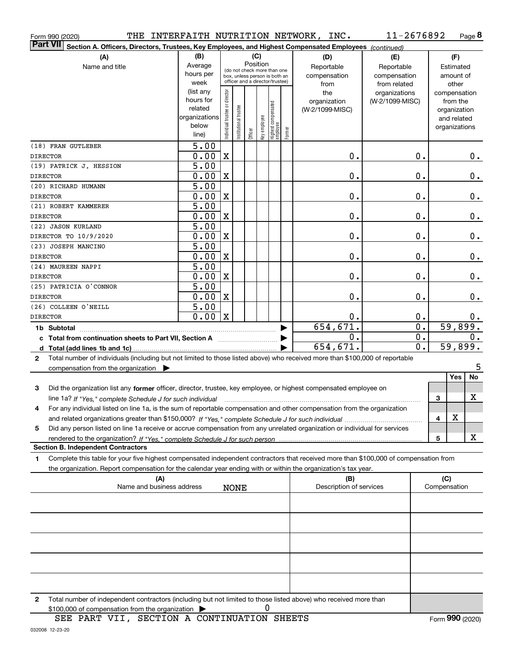| THE<br>Form 990 (2020)                                                                                                                          |                      |                                |                       |                                         |                                                                  |                                   |        | INTERFAITH NUTRITION NETWORK, INC. | 11-2676892      |                  |              |                             | Page 8 |
|-------------------------------------------------------------------------------------------------------------------------------------------------|----------------------|--------------------------------|-----------------------|-----------------------------------------|------------------------------------------------------------------|-----------------------------------|--------|------------------------------------|-----------------|------------------|--------------|-----------------------------|--------|
| <b>Part VII</b><br>Section A. Officers, Directors, Trustees, Key Employees, and Highest Compensated Employees (continued)                       |                      |                                |                       |                                         |                                                                  |                                   |        |                                    |                 |                  |              |                             |        |
| (A)                                                                                                                                             | (B)                  |                                |                       |                                         | (C)                                                              |                                   |        | (D)                                | (E)             |                  |              | (F)                         |        |
| Name and title                                                                                                                                  | Average              |                                |                       | Position<br>(do not check more than one |                                                                  |                                   |        | Reportable                         | Reportable      |                  |              | Estimated                   |        |
|                                                                                                                                                 | hours per            |                                |                       |                                         | box, unless person is both an<br>officer and a director/trustee) |                                   |        | compensation                       | compensation    |                  |              | amount of                   |        |
|                                                                                                                                                 | week                 |                                |                       |                                         |                                                                  |                                   |        | from                               | from related    |                  |              | other                       |        |
|                                                                                                                                                 | (list any            |                                |                       |                                         |                                                                  |                                   |        | the                                | organizations   |                  |              | compensation                |        |
|                                                                                                                                                 | hours for<br>related |                                |                       |                                         |                                                                  |                                   |        | organization                       | (W-2/1099-MISC) |                  |              | from the                    |        |
|                                                                                                                                                 | organizations        |                                |                       |                                         |                                                                  |                                   |        | (W-2/1099-MISC)                    |                 |                  |              | organization<br>and related |        |
|                                                                                                                                                 | below                |                                |                       |                                         |                                                                  |                                   |        |                                    |                 |                  |              | organizations               |        |
|                                                                                                                                                 | line)                | Individual trustee or director | Institutional trustee | Officer                                 | Key employee                                                     | Highest compensated<br>  employee | Former |                                    |                 |                  |              |                             |        |
| (18) FRAN GUTLEBER                                                                                                                              | $\overline{5.00}$    |                                |                       |                                         |                                                                  |                                   |        |                                    |                 |                  |              |                             |        |
| <b>DIRECTOR</b>                                                                                                                                 | 0.00                 | X                              |                       |                                         |                                                                  |                                   |        | 0.                                 |                 | 0.               |              |                             | 0.     |
| (19) PATRICK J. HESSION                                                                                                                         | $\overline{5.00}$    |                                |                       |                                         |                                                                  |                                   |        |                                    |                 |                  |              |                             |        |
| <b>DIRECTOR</b>                                                                                                                                 | 0.00                 | X                              |                       |                                         |                                                                  |                                   |        | 0.                                 |                 | 0.               |              |                             | 0.     |
| (20) RICHARD HUMANN                                                                                                                             | $\overline{5.00}$    |                                |                       |                                         |                                                                  |                                   |        |                                    |                 |                  |              |                             |        |
| <b>DIRECTOR</b>                                                                                                                                 | 0.00                 | X                              |                       |                                         |                                                                  |                                   |        | 0.                                 |                 | 0.               |              |                             | 0.     |
| (21) ROBERT KAMMERER                                                                                                                            | $\overline{5.00}$    |                                |                       |                                         |                                                                  |                                   |        |                                    |                 |                  |              |                             |        |
| <b>DIRECTOR</b>                                                                                                                                 | 0.00                 | X                              |                       |                                         |                                                                  |                                   |        | 0.                                 |                 | 0.               |              |                             | 0.     |
| (22) JASON KURLAND                                                                                                                              | $\overline{5.00}$    |                                |                       |                                         |                                                                  |                                   |        |                                    |                 |                  |              |                             |        |
| DIRECTOR TO 10/9/2020                                                                                                                           | 0.00                 | X                              |                       |                                         |                                                                  |                                   |        | 0.                                 |                 | 0.               |              |                             | 0.     |
| (23) JOSEPH MANCINO                                                                                                                             | $\overline{5.00}$    |                                |                       |                                         |                                                                  |                                   |        |                                    |                 |                  |              |                             |        |
| <b>DIRECTOR</b>                                                                                                                                 | 0.00                 | X                              |                       |                                         |                                                                  |                                   |        | 0.                                 |                 | 0.               |              |                             | 0.     |
| (24) MAUREEN NAPPI                                                                                                                              | 5.00                 |                                |                       |                                         |                                                                  |                                   |        |                                    |                 |                  |              |                             |        |
| <b>DIRECTOR</b>                                                                                                                                 | 0.00                 | X                              |                       |                                         |                                                                  |                                   |        | 0.                                 |                 | 0.               |              |                             | 0.     |
| (25) PATRICIA O'CONNOR                                                                                                                          | 5.00                 |                                |                       |                                         |                                                                  |                                   |        |                                    |                 |                  |              |                             |        |
| <b>DIRECTOR</b>                                                                                                                                 | 0.00                 | X                              |                       |                                         |                                                                  |                                   |        | 0.                                 |                 | 0.               |              |                             | 0.     |
| (26) COLLEEN O'NEILL                                                                                                                            | $\overline{5.00}$    |                                |                       |                                         |                                                                  |                                   |        |                                    |                 |                  |              |                             |        |
| <b>DIRECTOR</b>                                                                                                                                 | 0.00                 | X                              |                       |                                         |                                                                  |                                   |        | 0.                                 |                 | 0.               |              |                             | 0.     |
|                                                                                                                                                 |                      |                                |                       |                                         |                                                                  |                                   |        | 654,671.                           |                 | $\overline{0}$ . |              | 59,899.                     |        |
| c Total from continuation sheets to Part VII, Section A                                                                                         |                      |                                |                       |                                         |                                                                  |                                   |        | 0.                                 |                 | 0.               |              |                             | 0.     |
|                                                                                                                                                 |                      |                                |                       |                                         |                                                                  |                                   |        | 654,671.                           |                 | $0$ .            |              | 59,899.                     |        |
| Total number of individuals (including but not limited to those listed above) who received more than \$100,000 of reportable<br>$\mathbf{2}$    |                      |                                |                       |                                         |                                                                  |                                   |        |                                    |                 |                  |              |                             |        |
| compensation from the organization $\blacktriangleright$                                                                                        |                      |                                |                       |                                         |                                                                  |                                   |        |                                    |                 |                  |              |                             | 5      |
|                                                                                                                                                 |                      |                                |                       |                                         |                                                                  |                                   |        |                                    |                 |                  |              | Yes                         | No     |
| Did the organization list any former officer, director, trustee, key employee, or highest compensated employee on<br>3                          |                      |                                |                       |                                         |                                                                  |                                   |        |                                    |                 |                  |              |                             |        |
| line 1a? If "Yes," complete Schedule J for such individual manufactured contained and the 1a? If "Yes," complete Schedule J for such individual |                      |                                |                       |                                         |                                                                  |                                   |        |                                    |                 |                  | 3            |                             | X      |
| For any individual listed on line 1a, is the sum of reportable compensation and other compensation from the organization                        |                      |                                |                       |                                         |                                                                  |                                   |        |                                    |                 |                  |              |                             |        |
|                                                                                                                                                 |                      |                                |                       |                                         |                                                                  |                                   |        |                                    |                 |                  | 4            | X                           |        |
| Did any person listed on line 1a receive or accrue compensation from any unrelated organization or individual for services<br>5                 |                      |                                |                       |                                         |                                                                  |                                   |        |                                    |                 |                  |              |                             |        |
| <b>Section B. Independent Contractors</b>                                                                                                       |                      |                                |                       |                                         |                                                                  |                                   |        |                                    |                 |                  | 5            |                             | X      |
| Complete this table for your five highest compensated independent contractors that received more than \$100,000 of compensation from<br>1       |                      |                                |                       |                                         |                                                                  |                                   |        |                                    |                 |                  |              |                             |        |
| the organization. Report compensation for the calendar year ending with or within the organization's tax year.                                  |                      |                                |                       |                                         |                                                                  |                                   |        |                                    |                 |                  |              |                             |        |
| (A)                                                                                                                                             |                      |                                |                       |                                         |                                                                  |                                   |        | (B)                                |                 |                  | (C)          |                             |        |
| Name and business address                                                                                                                       |                      |                                | <b>NONE</b>           |                                         |                                                                  |                                   |        | Description of services            |                 |                  | Compensation |                             |        |
|                                                                                                                                                 |                      |                                |                       |                                         |                                                                  |                                   |        |                                    |                 |                  |              |                             |        |
|                                                                                                                                                 |                      |                                |                       |                                         |                                                                  |                                   |        |                                    |                 |                  |              |                             |        |
|                                                                                                                                                 |                      |                                |                       |                                         |                                                                  |                                   |        |                                    |                 |                  |              |                             |        |
|                                                                                                                                                 |                      |                                |                       |                                         |                                                                  |                                   |        |                                    |                 |                  |              |                             |        |
|                                                                                                                                                 |                      |                                |                       |                                         |                                                                  |                                   |        |                                    |                 |                  |              |                             |        |
|                                                                                                                                                 |                      |                                |                       |                                         |                                                                  |                                   |        |                                    |                 |                  |              |                             |        |
|                                                                                                                                                 |                      |                                |                       |                                         |                                                                  |                                   |        |                                    |                 |                  |              |                             |        |
|                                                                                                                                                 |                      |                                |                       |                                         |                                                                  |                                   |        |                                    |                 |                  |              |                             |        |

**2**Total number of independent contractors (including but not limited to those listed above) who received more than  $$100,000$  of compensation from the organization  $\qquad \blacktriangleright$  0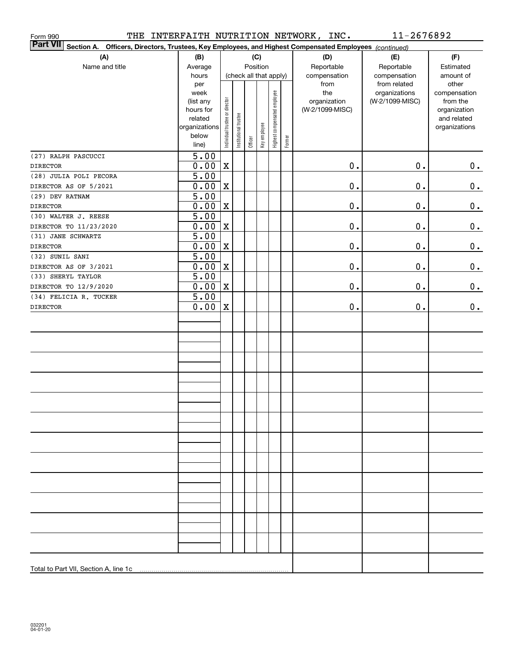| Form 990                                                                                                                  |                           |                                |                        |         |              |                              |        | THE INTERFAITH NUTRITION NETWORK, INC. | 11-2676892      |                             |
|---------------------------------------------------------------------------------------------------------------------------|---------------------------|--------------------------------|------------------------|---------|--------------|------------------------------|--------|----------------------------------------|-----------------|-----------------------------|
| <b>Part VII</b><br>Section A. Officers, Directors, Trustees, Key Employees, and Highest Compensated Employees (continued) |                           |                                |                        |         |              |                              |        |                                        |                 |                             |
| (A)                                                                                                                       | (B)                       |                                |                        |         | (C)          |                              |        | (D)                                    | (E)             | (F)                         |
| Name and title                                                                                                            | Average                   |                                |                        |         | Position     |                              |        | Reportable                             | Reportable      | Estimated                   |
|                                                                                                                           | hours                     |                                | (check all that apply) |         |              |                              |        | compensation                           | compensation    | amount of                   |
|                                                                                                                           | per                       |                                |                        |         |              |                              |        | from                                   | from related    | other                       |
|                                                                                                                           | week                      |                                |                        |         |              |                              |        | the                                    | organizations   | compensation                |
|                                                                                                                           | (list any                 |                                |                        |         |              |                              |        | organization                           | (W-2/1099-MISC) | from the                    |
|                                                                                                                           | hours for<br>related      |                                |                        |         |              |                              |        | (W-2/1099-MISC)                        |                 | organization<br>and related |
|                                                                                                                           | organizations             | Individual trustee or director | Institutional trustee  |         |              | Highest compensated employee |        |                                        |                 | organizations               |
|                                                                                                                           | below                     |                                |                        |         | Key employee |                              |        |                                        |                 |                             |
|                                                                                                                           | line)                     |                                |                        | Officer |              |                              | Former |                                        |                 |                             |
| (27) RALPH PASCUCCI                                                                                                       | $\overline{5.00}$         |                                |                        |         |              |                              |        |                                        |                 |                             |
| <b>DIRECTOR</b>                                                                                                           | 0.00                      | $\mathbf X$                    |                        |         |              |                              |        | $\mathbf 0$ .                          | $0$ .           | 0.                          |
| (28) JULIA POLI PECORA                                                                                                    | $\overline{5.00}$         |                                |                        |         |              |                              |        |                                        |                 |                             |
| DIRECTOR AS OF 5/2021                                                                                                     | 0.00                      | $\mathbf X$                    |                        |         |              |                              |        | $\mathbf 0$ .                          | $0$ .           | 0.                          |
| (29) DEV RATNAM                                                                                                           | $\overline{5.00}$         |                                |                        |         |              |                              |        |                                        |                 |                             |
| <b>DIRECTOR</b>                                                                                                           | 0.00                      | $\mathbf X$                    |                        |         |              |                              |        | $\mathbf 0$ .                          | $0$ .           | 0.                          |
| (30) WALTER J. REESE                                                                                                      | $\overline{5.00}$         |                                |                        |         |              |                              |        |                                        |                 |                             |
| DIRECTOR TO 11/23/2020                                                                                                    | 0.00                      | $\mathbf X$                    |                        |         |              |                              |        | $0$ .                                  | $0$ .           | 0.                          |
| (31) JANE SCHWARTZ<br><b>DIRECTOR</b>                                                                                     | $\overline{5.00}$         |                                |                        |         |              |                              |        | $0$ .                                  | $0$ .           |                             |
| (32) SUNIL SANI                                                                                                           | 0.00<br>$\overline{5.00}$ | $\mathbf X$                    |                        |         |              |                              |        |                                        |                 | 0.                          |
| DIRECTOR AS OF 3/2021                                                                                                     | 0.00                      | $\mathbf X$                    |                        |         |              |                              |        | $0$ .                                  | $0$ .           | $\mathbf 0$ .               |
| (33) SHERYL TAYLOR                                                                                                        | $\overline{5.00}$         |                                |                        |         |              |                              |        |                                        |                 |                             |
| DIRECTOR TO 12/9/2020                                                                                                     | 0.00                      | $\mathbf X$                    |                        |         |              |                              |        | $0$ .                                  | $0$ .           | 0.                          |
| (34) FELICIA R. TUCKER                                                                                                    | $\overline{5.00}$         |                                |                        |         |              |                              |        |                                        |                 |                             |
| <b>DIRECTOR</b>                                                                                                           | 0.00                      | $\mathbf X$                    |                        |         |              |                              |        | $\mathbf 0$ .                          | 0.              | 0.                          |
|                                                                                                                           |                           |                                |                        |         |              |                              |        |                                        |                 |                             |
|                                                                                                                           |                           |                                |                        |         |              |                              |        |                                        |                 |                             |
|                                                                                                                           |                           |                                |                        |         |              |                              |        |                                        |                 |                             |
|                                                                                                                           |                           |                                |                        |         |              |                              |        |                                        |                 |                             |
|                                                                                                                           |                           |                                |                        |         |              |                              |        |                                        |                 |                             |
|                                                                                                                           |                           |                                |                        |         |              |                              |        |                                        |                 |                             |
|                                                                                                                           |                           |                                |                        |         |              |                              |        |                                        |                 |                             |
|                                                                                                                           |                           |                                |                        |         |              |                              |        |                                        |                 |                             |
|                                                                                                                           |                           |                                |                        |         |              |                              |        |                                        |                 |                             |
|                                                                                                                           |                           |                                |                        |         |              |                              |        |                                        |                 |                             |
|                                                                                                                           |                           |                                |                        |         |              |                              |        |                                        |                 |                             |
|                                                                                                                           |                           |                                |                        |         |              |                              |        |                                        |                 |                             |
|                                                                                                                           |                           |                                |                        |         |              |                              |        |                                        |                 |                             |
|                                                                                                                           |                           |                                |                        |         |              |                              |        |                                        |                 |                             |
|                                                                                                                           |                           |                                |                        |         |              |                              |        |                                        |                 |                             |
|                                                                                                                           |                           |                                |                        |         |              |                              |        |                                        |                 |                             |
|                                                                                                                           |                           |                                |                        |         |              |                              |        |                                        |                 |                             |
|                                                                                                                           |                           |                                |                        |         |              |                              |        |                                        |                 |                             |
|                                                                                                                           |                           |                                |                        |         |              |                              |        |                                        |                 |                             |
|                                                                                                                           |                           |                                |                        |         |              |                              |        |                                        |                 |                             |
|                                                                                                                           |                           |                                |                        |         |              |                              |        |                                        |                 |                             |
|                                                                                                                           |                           |                                |                        |         |              |                              |        |                                        |                 |                             |
|                                                                                                                           |                           |                                |                        |         |              |                              |        |                                        |                 |                             |
|                                                                                                                           |                           |                                |                        |         |              |                              |        |                                        |                 |                             |
| Total to Part VII, Section A, line 1c                                                                                     |                           |                                |                        |         |              |                              |        |                                        |                 |                             |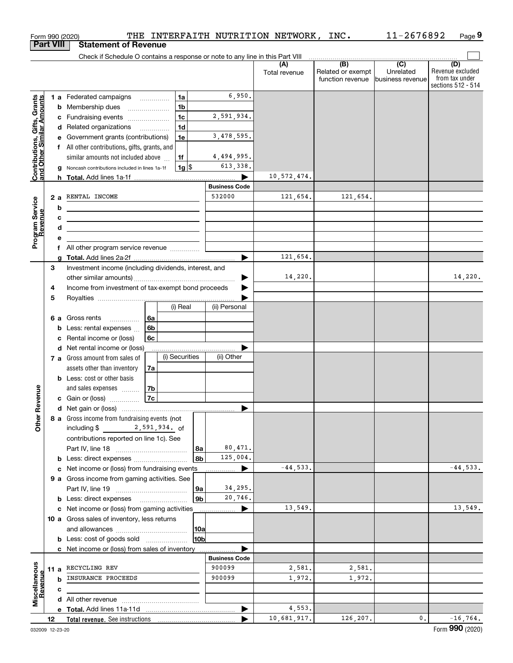|                                                           |                                                                                      |    | Form 990 (2020)                                                                              |    |        |                      |                       | THE INTERFAITH NUTRITION NETWORK, INC. |                          | 11-2676892       | Page 9                  |
|-----------------------------------------------------------|--------------------------------------------------------------------------------------|----|----------------------------------------------------------------------------------------------|----|--------|----------------------|-----------------------|----------------------------------------|--------------------------|------------------|-------------------------|
|                                                           | <b>Part VIII</b>                                                                     |    | <b>Statement of Revenue</b>                                                                  |    |        |                      |                       |                                        |                          |                  |                         |
|                                                           |                                                                                      |    | Check if Schedule O contains a response or note to any line in this Part VIII                |    |        |                      |                       |                                        |                          |                  |                         |
|                                                           |                                                                                      |    |                                                                                              |    |        |                      |                       | (A)<br>Total revenue                   | (B)<br>Related or exempt | (C)<br>Unrelated | (D)<br>Revenue excluded |
|                                                           |                                                                                      |    |                                                                                              |    |        |                      |                       |                                        | function revenue         | business revenue | from tax under          |
|                                                           |                                                                                      |    |                                                                                              |    |        |                      |                       |                                        |                          |                  | sections 512 - 514      |
|                                                           |                                                                                      |    | 1 a Federated campaigns                                                                      |    |        | 1a                   | 6,950.                |                                        |                          |                  |                         |
|                                                           |                                                                                      |    | <b>b</b> Membership dues                                                                     |    |        | 1 <sub>b</sub>       | 2,591,934.            |                                        |                          |                  |                         |
|                                                           |                                                                                      |    | c Fundraising events                                                                         |    |        | 1c<br>1 <sub>d</sub> |                       |                                        |                          |                  |                         |
|                                                           |                                                                                      |    | d Related organizations<br>e Government grants (contributions)                               |    |        | 1e                   | 3,478,595.            |                                        |                          |                  |                         |
|                                                           |                                                                                      |    | f All other contributions, gifts, grants, and                                                |    |        |                      |                       |                                        |                          |                  |                         |
|                                                           |                                                                                      |    | similar amounts not included above                                                           |    |        | 1f                   | 4,494,995.            |                                        |                          |                  |                         |
|                                                           |                                                                                      |    | Noncash contributions included in lines 1a-1f                                                |    |        | $1g$ \$              | 613,338.              |                                        |                          |                  |                         |
| Contributions, Gifts, Grants<br>and Other Similar Amounts |                                                                                      |    |                                                                                              |    |        |                      |                       | 10,572,474.                            |                          |                  |                         |
|                                                           |                                                                                      |    |                                                                                              |    |        |                      | <b>Business Code</b>  |                                        |                          |                  |                         |
|                                                           |                                                                                      | 2a | RENTAL INCOME                                                                                |    |        |                      | 532000                | 121,654.                               | 121,654.                 |                  |                         |
|                                                           |                                                                                      | b  |                                                                                              |    |        |                      |                       |                                        |                          |                  |                         |
|                                                           |                                                                                      | c  |                                                                                              |    |        |                      |                       |                                        |                          |                  |                         |
|                                                           |                                                                                      | d  |                                                                                              |    |        |                      |                       |                                        |                          |                  |                         |
| Program Service<br>Revenue                                |                                                                                      | е  |                                                                                              |    |        |                      |                       |                                        |                          |                  |                         |
|                                                           |                                                                                      | f. | All other program service revenue                                                            |    |        |                      |                       |                                        |                          |                  |                         |
|                                                           |                                                                                      | a  |                                                                                              |    |        |                      | $\blacktriangleright$ | 121,654.                               |                          |                  |                         |
|                                                           | 3                                                                                    |    |                                                                                              |    |        |                      |                       |                                        |                          |                  |                         |
|                                                           | Investment income (including dividends, interest, and                                |    |                                                                                              |    |        |                      |                       | 14,220.                                |                          |                  | 14,220.                 |
|                                                           | Income from investment of tax-exempt bond proceeds<br>4                              |    |                                                                                              |    |        |                      |                       |                                        |                          |                  |                         |
|                                                           | 5                                                                                    |    |                                                                                              |    |        |                      |                       |                                        |                          |                  |                         |
|                                                           |                                                                                      |    |                                                                                              |    |        | (i) Real             | (ii) Personal         |                                        |                          |                  |                         |
|                                                           |                                                                                      |    | 6 a Gross rents<br>.                                                                         | 6a |        |                      |                       |                                        |                          |                  |                         |
|                                                           |                                                                                      | b  | Less: rental expenses                                                                        | 6b |        |                      |                       |                                        |                          |                  |                         |
|                                                           |                                                                                      | с  | Rental income or (loss)                                                                      | 6c |        |                      |                       |                                        |                          |                  |                         |
|                                                           | d Net rental income or (loss)                                                        |    |                                                                                              |    |        |                      |                       |                                        |                          |                  |                         |
|                                                           |                                                                                      |    | 7 a Gross amount from sales of                                                               |    |        | (i) Securities       | (ii) Other            |                                        |                          |                  |                         |
|                                                           |                                                                                      |    | assets other than inventory                                                                  | 7a |        |                      |                       |                                        |                          |                  |                         |
|                                                           |                                                                                      |    | <b>b</b> Less: cost or other basis                                                           |    |        |                      |                       |                                        |                          |                  |                         |
| venue                                                     |                                                                                      |    | and sales expenses                                                                           | 7b |        |                      |                       |                                        |                          |                  |                         |
|                                                           |                                                                                      |    | c Gain or (loss)                                                                             | 7c |        |                      |                       |                                        |                          |                  |                         |
|                                                           |                                                                                      |    |                                                                                              |    |        |                      |                       |                                        |                          |                  |                         |
| Other Re                                                  |                                                                                      |    | 8 a Gross income from fundraising events (not                                                |    |        |                      |                       |                                        |                          |                  |                         |
|                                                           |                                                                                      |    | including \$<br>2,591,934. of                                                                |    |        |                      |                       |                                        |                          |                  |                         |
|                                                           |                                                                                      |    | contributions reported on line 1c). See                                                      |    |        |                      | 80,471.               |                                        |                          |                  |                         |
|                                                           |                                                                                      |    |                                                                                              |    |        | 8a<br>8b             | 125,004.              |                                        |                          |                  |                         |
|                                                           |                                                                                      |    |                                                                                              |    |        |                      |                       | $-44,533.$                             |                          |                  | $-44,533.$              |
|                                                           |                                                                                      | c  | Net income or (loss) from fundraising events<br>9 a Gross income from gaming activities. See |    |        |                      |                       |                                        |                          |                  |                         |
|                                                           |                                                                                      |    |                                                                                              |    |        | 9a                   | 34,295.               |                                        |                          |                  |                         |
|                                                           |                                                                                      |    | <b>b</b> Less: direct expenses                                                               |    |        | 9b                   | 20,746.               |                                        |                          |                  |                         |
|                                                           |                                                                                      |    | c Net income or (loss) from gaming activities                                                |    |        |                      |                       | 13,549.                                |                          |                  | 13,549.                 |
|                                                           |                                                                                      |    | 10 a Gross sales of inventory, less returns                                                  |    |        |                      |                       |                                        |                          |                  |                         |
|                                                           |                                                                                      |    |                                                                                              |    |        | 10a                  |                       |                                        |                          |                  |                         |
|                                                           |                                                                                      |    |                                                                                              |    |        | 10b                  |                       |                                        |                          |                  |                         |
|                                                           | <b>b</b> Less: cost of goods sold<br>c Net income or (loss) from sales of inventory. |    |                                                                                              |    |        |                      |                       |                                        |                          |                  |                         |
|                                                           |                                                                                      |    |                                                                                              |    |        |                      | <b>Business Code</b>  |                                        |                          |                  |                         |
|                                                           | RECYCLING REV<br>11 a                                                                |    |                                                                                              |    | 900099 | 2,581.               | 2,581.                |                                        |                          |                  |                         |
|                                                           | INSURANCE PROCEEDS<br>b<br>с                                                         |    |                                                                                              |    |        | 900099               | 1,972.                | 1,972.                                 |                          |                  |                         |
|                                                           |                                                                                      |    |                                                                                              |    |        |                      |                       |                                        |                          |                  |                         |
| Miscellaneous<br>Revenue                                  |                                                                                      |    |                                                                                              |    |        |                      |                       |                                        |                          |                  |                         |
|                                                           |                                                                                      |    |                                                                                              |    |        |                      |                       | 4,553.                                 |                          |                  |                         |
|                                                           | 12                                                                                   |    |                                                                                              |    |        |                      |                       | 10,681,917.                            | 126,207.                 | $\mathbf{0}$ .   | $-16, 764.$             |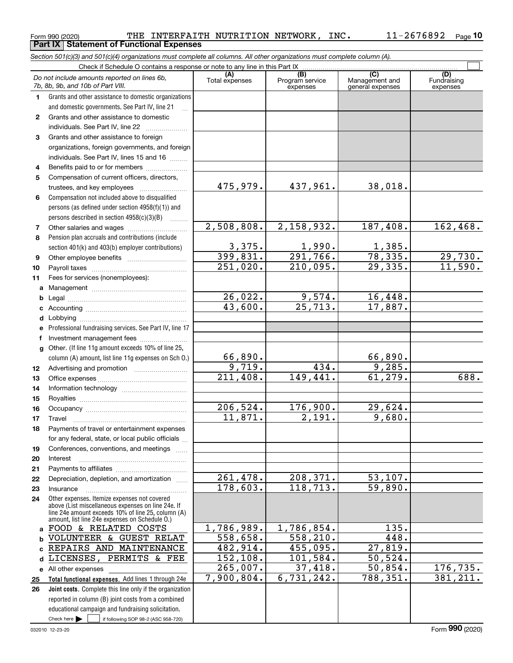**Part IX Statement of Functional Expenses**

|              | Section 501(c)(3) and 501(c)(4) organizations must complete all columns. All other organizations must complete column (A).                                                                                 |                         |                                    |                                           |                                |  |  |  |  |  |  |  |  |
|--------------|------------------------------------------------------------------------------------------------------------------------------------------------------------------------------------------------------------|-------------------------|------------------------------------|-------------------------------------------|--------------------------------|--|--|--|--|--|--|--|--|
|              | Check if Schedule O contains a response or note to any line in this Part IX                                                                                                                                |                         |                                    |                                           |                                |  |  |  |  |  |  |  |  |
|              | Do not include amounts reported on lines 6b,<br>7b, 8b, 9b, and 10b of Part VIII.                                                                                                                          | (A)<br>Total expenses   | (B)<br>Program service<br>expenses | (C)<br>Management and<br>general expenses | (D)<br>Fundraising<br>expenses |  |  |  |  |  |  |  |  |
| 1.           | Grants and other assistance to domestic organizations                                                                                                                                                      |                         |                                    |                                           |                                |  |  |  |  |  |  |  |  |
|              | and domestic governments. See Part IV, line 21                                                                                                                                                             |                         |                                    |                                           |                                |  |  |  |  |  |  |  |  |
| $\mathbf{2}$ | Grants and other assistance to domestic                                                                                                                                                                    |                         |                                    |                                           |                                |  |  |  |  |  |  |  |  |
|              | individuals. See Part IV, line 22                                                                                                                                                                          |                         |                                    |                                           |                                |  |  |  |  |  |  |  |  |
| 3            | Grants and other assistance to foreign                                                                                                                                                                     |                         |                                    |                                           |                                |  |  |  |  |  |  |  |  |
|              | organizations, foreign governments, and foreign                                                                                                                                                            |                         |                                    |                                           |                                |  |  |  |  |  |  |  |  |
|              | individuals. See Part IV, lines 15 and 16                                                                                                                                                                  |                         |                                    |                                           |                                |  |  |  |  |  |  |  |  |
| 4            | Benefits paid to or for members                                                                                                                                                                            |                         |                                    |                                           |                                |  |  |  |  |  |  |  |  |
| 5            | Compensation of current officers, directors,                                                                                                                                                               |                         |                                    |                                           |                                |  |  |  |  |  |  |  |  |
|              |                                                                                                                                                                                                            | 475,979.                | 437,961.                           | 38,018.                                   |                                |  |  |  |  |  |  |  |  |
| 6            | Compensation not included above to disqualified                                                                                                                                                            |                         |                                    |                                           |                                |  |  |  |  |  |  |  |  |
|              | persons (as defined under section 4958(f)(1)) and                                                                                                                                                          |                         |                                    |                                           |                                |  |  |  |  |  |  |  |  |
|              | persons described in section 4958(c)(3)(B)                                                                                                                                                                 |                         |                                    |                                           |                                |  |  |  |  |  |  |  |  |
| 7            |                                                                                                                                                                                                            | 2,508,808.              | 2,158,932.                         | 187,408.                                  | 162, 468.                      |  |  |  |  |  |  |  |  |
| 8            | Pension plan accruals and contributions (include                                                                                                                                                           |                         |                                    |                                           |                                |  |  |  |  |  |  |  |  |
|              | section 401(k) and 403(b) employer contributions)                                                                                                                                                          | $\frac{3,375}{399,831}$ | $\frac{1,990}{291,766}$            | 1,385.<br>78,335.                         |                                |  |  |  |  |  |  |  |  |
| 9            |                                                                                                                                                                                                            |                         |                                    |                                           | 29,730.                        |  |  |  |  |  |  |  |  |
| 10           |                                                                                                                                                                                                            | 251,020.                | 210,095.                           | $\overline{29,335}$ .                     | 11,590.                        |  |  |  |  |  |  |  |  |
| 11           | Fees for services (nonemployees):                                                                                                                                                                          |                         |                                    |                                           |                                |  |  |  |  |  |  |  |  |
| a            |                                                                                                                                                                                                            |                         |                                    |                                           |                                |  |  |  |  |  |  |  |  |
| b            |                                                                                                                                                                                                            | 26,022.<br>43,600.      | 9,574.<br>$\overline{25,713}$ .    | 16,448.<br>17,887.                        |                                |  |  |  |  |  |  |  |  |
| c            |                                                                                                                                                                                                            |                         |                                    |                                           |                                |  |  |  |  |  |  |  |  |
| d            |                                                                                                                                                                                                            |                         |                                    |                                           |                                |  |  |  |  |  |  |  |  |
|              | Professional fundraising services. See Part IV, line 17                                                                                                                                                    |                         |                                    |                                           |                                |  |  |  |  |  |  |  |  |
| f            | Investment management fees                                                                                                                                                                                 |                         |                                    |                                           |                                |  |  |  |  |  |  |  |  |
| g            | Other. (If line 11g amount exceeds 10% of line 25,                                                                                                                                                         | 66,890.                 |                                    |                                           |                                |  |  |  |  |  |  |  |  |
|              | column (A) amount, list line 11g expenses on Sch O.)                                                                                                                                                       | $\overline{9,719.}$     | 434.                               | $\frac{66,890}{9,285}$                    |                                |  |  |  |  |  |  |  |  |
| 12           |                                                                                                                                                                                                            | 211,408.                | 149,441.                           | 61, 279.                                  | 688.                           |  |  |  |  |  |  |  |  |
| 13           |                                                                                                                                                                                                            |                         |                                    |                                           |                                |  |  |  |  |  |  |  |  |
| 14<br>15     |                                                                                                                                                                                                            |                         |                                    |                                           |                                |  |  |  |  |  |  |  |  |
| 16           |                                                                                                                                                                                                            | 206,524.                | 176,900.                           | 29,624.                                   |                                |  |  |  |  |  |  |  |  |
| 17           |                                                                                                                                                                                                            | 11,871.                 | $\overline{2,191.}$                | 9,680.                                    |                                |  |  |  |  |  |  |  |  |
| 18           | Payments of travel or entertainment expenses                                                                                                                                                               |                         |                                    |                                           |                                |  |  |  |  |  |  |  |  |
|              | for any federal, state, or local public officials                                                                                                                                                          |                         |                                    |                                           |                                |  |  |  |  |  |  |  |  |
| 19           | Conferences, conventions, and meetings                                                                                                                                                                     |                         |                                    |                                           |                                |  |  |  |  |  |  |  |  |
| 20           | Interest                                                                                                                                                                                                   |                         |                                    |                                           |                                |  |  |  |  |  |  |  |  |
| 21           |                                                                                                                                                                                                            |                         |                                    |                                           |                                |  |  |  |  |  |  |  |  |
| 22           | Depreciation, depletion, and amortization                                                                                                                                                                  | 261,478.                | 208,371.                           | 53,107.                                   |                                |  |  |  |  |  |  |  |  |
| 23           | Insurance                                                                                                                                                                                                  | 178,603.                | 118, 713.                          | 59,890.                                   |                                |  |  |  |  |  |  |  |  |
| 24           | Other expenses. Itemize expenses not covered<br>above (List miscellaneous expenses on line 24e. If<br>line 24e amount exceeds 10% of line 25, column (A)<br>amount, list line 24e expenses on Schedule 0.) |                         |                                    |                                           |                                |  |  |  |  |  |  |  |  |
| a            | FOOD & RELATED COSTS                                                                                                                                                                                       | 1,786,989.              | 1,786,854.                         | 135.                                      |                                |  |  |  |  |  |  |  |  |
| b            | VOLUNTEER & GUEST RELAT                                                                                                                                                                                    | 558,658.                | 558, 210.                          | 448.                                      |                                |  |  |  |  |  |  |  |  |
| C            | REPAIRS AND MAINTENANCE                                                                                                                                                                                    | 482,914.                | 455,095.                           | 27,819.                                   |                                |  |  |  |  |  |  |  |  |
| d            | LICENSES, PERMITS & FEE                                                                                                                                                                                    | 152, 108.               | 101,584.                           | 50, 524.                                  |                                |  |  |  |  |  |  |  |  |
| е            | All other expenses                                                                                                                                                                                         | 265,007.                | 37,418.                            | 50,854.                                   | 176,735.                       |  |  |  |  |  |  |  |  |
| 25           | Total functional expenses. Add lines 1 through 24e                                                                                                                                                         | 7,900,804.              | 6,731,242.                         | 788, 351.                                 | 381, 211.                      |  |  |  |  |  |  |  |  |
| 26           | Joint costs. Complete this line only if the organization                                                                                                                                                   |                         |                                    |                                           |                                |  |  |  |  |  |  |  |  |
|              | reported in column (B) joint costs from a combined                                                                                                                                                         |                         |                                    |                                           |                                |  |  |  |  |  |  |  |  |
|              | educational campaign and fundraising solicitation.                                                                                                                                                         |                         |                                    |                                           |                                |  |  |  |  |  |  |  |  |
|              | Check here $\blacktriangleright$<br>if following SOP 98-2 (ASC 958-720)                                                                                                                                    |                         |                                    |                                           |                                |  |  |  |  |  |  |  |  |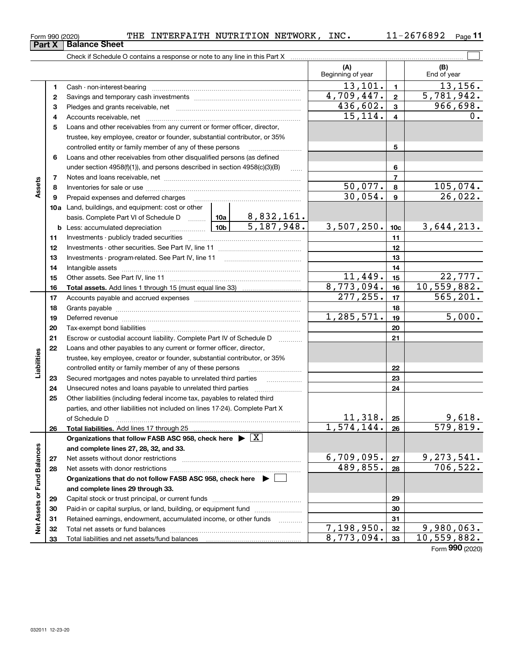| orm 990 (2020) |                      | гне | INTERFAITH | NUTRITION | <b>NETWORK</b> | INC. | $\overline{\phantom{0}}$<br>40.<br>00YZ | Page |
|----------------|----------------------|-----|------------|-----------|----------------|------|-----------------------------------------|------|
| Part X         | <b>Balance Sheet</b> |     |            |           |                |      |                                         |      |
|                |                      |     |            |           |                |      |                                         |      |

Form 990 (2020) 'I'HE INTERFAITH NUTRITION NETWORK, INC。 II-2676892 Page THE INTERFAITH NUTRITION NETWORK, INC. 11-2676892

|                             |    |                                                                                                                                                                                                                                |  |            | (A)<br>Beginning of year |                         | (B)<br>End of year |
|-----------------------------|----|--------------------------------------------------------------------------------------------------------------------------------------------------------------------------------------------------------------------------------|--|------------|--------------------------|-------------------------|--------------------|
|                             | 1  |                                                                                                                                                                                                                                |  |            | 13, 101.                 | $\mathbf{1}$            | 13,156.            |
|                             | 2  |                                                                                                                                                                                                                                |  |            | 4,709,447.               | $\mathbf{2}$            | 5,781,942.         |
|                             | з  |                                                                                                                                                                                                                                |  |            | 436,602.                 | $\mathbf{3}$            | 966,698.           |
|                             | 4  |                                                                                                                                                                                                                                |  |            | 15,114.                  | $\overline{\mathbf{4}}$ | 0.                 |
|                             | 5  | Loans and other receivables from any current or former officer, director,                                                                                                                                                      |  |            |                          |                         |                    |
|                             |    | trustee, key employee, creator or founder, substantial contributor, or 35%                                                                                                                                                     |  |            |                          |                         |                    |
|                             |    | controlled entity or family member of any of these persons                                                                                                                                                                     |  |            |                          | 5                       |                    |
|                             | 6  | Loans and other receivables from other disqualified persons (as defined                                                                                                                                                        |  |            |                          |                         |                    |
|                             |    | under section 4958(f)(1)), and persons described in section 4958(c)(3)(B)                                                                                                                                                      |  | $\ldots$   |                          | 6                       |                    |
|                             | 7  |                                                                                                                                                                                                                                |  |            |                          | $\overline{7}$          |                    |
| Assets                      | 8  |                                                                                                                                                                                                                                |  |            | 50,077.                  | 8                       | 105,074.           |
|                             | 9  | Prepaid expenses and deferred charges                                                                                                                                                                                          |  |            | 30,054.                  | $\boldsymbol{9}$        | 26,022.            |
|                             |    | <b>10a</b> Land, buildings, and equipment: cost or other                                                                                                                                                                       |  |            |                          |                         |                    |
|                             |    | basis. Complete Part VI of Schedule D  10a   8,832,161.                                                                                                                                                                        |  |            |                          |                         |                    |
|                             |    | <b>b</b> Less: accumulated depreciation                                                                                                                                                                                        |  | 5,187,948. | 3,507,250.               | 10 <sub>c</sub>         | 3,644,213.         |
|                             | 11 |                                                                                                                                                                                                                                |  |            |                          | 11                      |                    |
|                             | 12 |                                                                                                                                                                                                                                |  | 12         |                          |                         |                    |
|                             | 13 |                                                                                                                                                                                                                                |  |            | 13                       |                         |                    |
|                             | 14 |                                                                                                                                                                                                                                |  | 14         |                          |                         |                    |
|                             | 15 |                                                                                                                                                                                                                                |  | 11,449.    | 15                       | 22,777.                 |                    |
|                             | 16 |                                                                                                                                                                                                                                |  |            | 8,773,094.               | 16                      | 10,559,882.        |
|                             | 17 |                                                                                                                                                                                                                                |  | 277, 255.  | 17                       | 565, 201.               |                    |
|                             | 18 |                                                                                                                                                                                                                                |  | 18         |                          |                         |                    |
|                             | 19 | Deferred revenue manual contracts and contracts are contracted and contract and contract are contracted and contract are contracted and contract are contracted and contract are contracted and contract are contracted and co |  | 1,285,571. | 19                       | 5,000.                  |                    |
|                             | 20 |                                                                                                                                                                                                                                |  |            |                          | 20                      |                    |
|                             | 21 | Escrow or custodial account liability. Complete Part IV of Schedule D                                                                                                                                                          |  |            |                          | 21                      |                    |
|                             | 22 | Loans and other payables to any current or former officer, director,                                                                                                                                                           |  |            |                          |                         |                    |
| Liabilities                 |    | trustee, key employee, creator or founder, substantial contributor, or 35%                                                                                                                                                     |  |            |                          |                         |                    |
|                             |    | controlled entity or family member of any of these persons                                                                                                                                                                     |  |            |                          | 22                      |                    |
|                             | 23 | Secured mortgages and notes payable to unrelated third parties                                                                                                                                                                 |  |            |                          | 23                      |                    |
|                             | 24 | Unsecured notes and loans payable to unrelated third parties                                                                                                                                                                   |  |            |                          | 24                      |                    |
|                             | 25 | Other liabilities (including federal income tax, payables to related third                                                                                                                                                     |  |            |                          |                         |                    |
|                             |    | parties, and other liabilities not included on lines 17-24). Complete Part X                                                                                                                                                   |  |            |                          |                         |                    |
|                             |    | of Schedule D                                                                                                                                                                                                                  |  |            | 11,318.                  | 25                      | 9,618.             |
|                             | 26 | Total liabilities. Add lines 17 through 25                                                                                                                                                                                     |  |            | 1,574,144.               | 26                      | 579,819.           |
|                             |    | Organizations that follow FASB ASC 958, check here $\triangleright \lfloor X \rfloor$                                                                                                                                          |  |            |                          |                         |                    |
|                             |    | and complete lines 27, 28, 32, and 33.                                                                                                                                                                                         |  |            |                          |                         |                    |
|                             | 27 |                                                                                                                                                                                                                                |  |            | 6,709,095.               | 27                      | 9, 273, 541.       |
|                             | 28 |                                                                                                                                                                                                                                |  | 489,855.   | 28                       | 706, 522.               |                    |
|                             |    | Organizations that do not follow FASB ASC 958, check here ▶ □                                                                                                                                                                  |  |            |                          |                         |                    |
|                             |    | and complete lines 29 through 33.                                                                                                                                                                                              |  |            |                          |                         |                    |
|                             | 29 |                                                                                                                                                                                                                                |  |            |                          | 29                      |                    |
| Net Assets or Fund Balances | 30 | Paid-in or capital surplus, or land, building, or equipment fund                                                                                                                                                               |  |            |                          | 30                      |                    |
|                             | 31 | Retained earnings, endowment, accumulated income, or other funds                                                                                                                                                               |  |            |                          | 31                      |                    |
|                             | 32 |                                                                                                                                                                                                                                |  |            | 7,198,950.               | 32                      | 9,980,063.         |
|                             | 33 |                                                                                                                                                                                                                                |  |            | 8,773,094.               | 33                      | 10, 559, 882.      |

Form (2020) **990**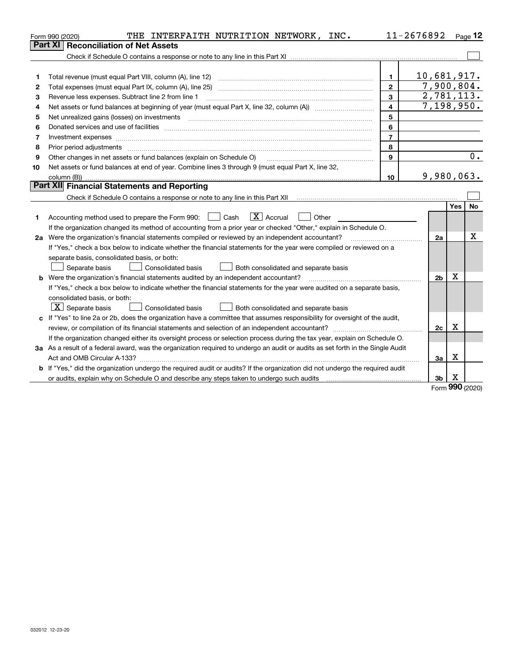|    | THE<br>INTERFAITH NUTRITION NETWORK, INC.<br>Form 990 (2020)                                                                                                        |                | 11-2676892     |     | Page $12$  |
|----|---------------------------------------------------------------------------------------------------------------------------------------------------------------------|----------------|----------------|-----|------------|
|    | Part XI<br><b>Reconciliation of Net Assets</b>                                                                                                                      |                |                |     |            |
|    |                                                                                                                                                                     |                |                |     |            |
|    |                                                                                                                                                                     |                |                |     |            |
| 1  | Total revenue (must equal Part VIII, column (A), line 12)                                                                                                           | 1.             | 10,681,917.    |     |            |
| 2  |                                                                                                                                                                     | $\mathbf{2}$   | 7,900,804.     |     |            |
| з  | Revenue less expenses. Subtract line 2 from line 1                                                                                                                  | 3              |                |     | 2,781,113. |
| 4  |                                                                                                                                                                     | 4              |                |     | 7,198,950. |
| 5  |                                                                                                                                                                     | 5              |                |     |            |
| 6  |                                                                                                                                                                     | 6              |                |     |            |
| 7  |                                                                                                                                                                     | $\overline{7}$ |                |     |            |
| 8  | Prior period adjustments                                                                                                                                            | 8              |                |     |            |
| 9  | Other changes in net assets or fund balances (explain on Schedule O)                                                                                                | 9              |                |     | 0.         |
| 10 | Net assets or fund balances at end of year. Combine lines 3 through 9 (must equal Part X, line 32,                                                                  |                |                |     |            |
|    | column (B))                                                                                                                                                         | 10             | 9,980,063.     |     |            |
|    | Part XII Financial Statements and Reporting                                                                                                                         |                |                |     |            |
|    | Check if Schedule O contains a response or note to any line in this Part XII [11] [12] Check if Schedule O contains a response or note to any line in this Part XII |                |                |     |            |
|    |                                                                                                                                                                     |                |                | Yes | No         |
| 1  | $\vert X \vert$ Accrual<br>Accounting method used to prepare the Form 990: [130] Cash<br>Other                                                                      |                |                |     |            |
|    | If the organization changed its method of accounting from a prior year or checked "Other," explain in Schedule O.                                                   |                |                |     |            |
|    | 2a Were the organization's financial statements compiled or reviewed by an independent accountant?                                                                  |                | 2a             |     | X          |
|    | If "Yes," check a box below to indicate whether the financial statements for the year were compiled or reviewed on a                                                |                |                |     |            |
|    | separate basis, consolidated basis, or both:                                                                                                                        |                |                |     |            |
|    | Separate basis<br>Consolidated basis<br>Both consolidated and separate basis                                                                                        |                |                |     |            |
|    | <b>b</b> Were the organization's financial statements audited by an independent accountant?                                                                         |                | 2 <sub>b</sub> | X   |            |
|    | If "Yes," check a box below to indicate whether the financial statements for the year were audited on a separate basis,                                             |                |                |     |            |
|    | consolidated basis, or both:                                                                                                                                        |                |                |     |            |
|    | $X$ Separate basis<br><b>Consolidated basis</b><br>Both consolidated and separate basis                                                                             |                |                |     |            |
| c  | If "Yes" to line 2a or 2b, does the organization have a committee that assumes responsibility for oversight of the audit,                                           |                |                |     |            |
|    |                                                                                                                                                                     |                | 2c             | х   |            |
|    | If the organization changed either its oversight process or selection process during the tax year, explain on Schedule O.                                           |                |                |     |            |
|    | 3a As a result of a federal award, was the organization required to undergo an audit or audits as set forth in the Single Audit                                     |                |                |     |            |
|    |                                                                                                                                                                     |                | За             | X   |            |
|    | b If "Yes," did the organization undergo the required audit or audits? If the organization did not undergo the required audit                                       |                |                |     |            |
|    |                                                                                                                                                                     |                | 3b             | X   |            |

Form (2020) **990**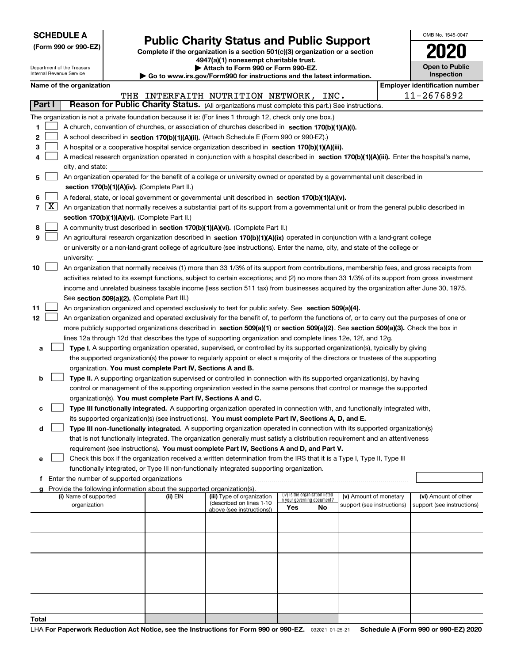|  | <b>SCHEDULE A</b> |
|--|-------------------|
|--|-------------------|

**(Form 990 or 990-EZ)**

# **Public Charity Status and Public Support**

**Complete if the organization is a section 501(c)(3) organization or a section 4947(a)(1) nonexempt charitable trust. | Attach to Form 990 or Form 990-EZ.** 

|  |  | www.irs.gov/Form990 for instructions and the latest information |  |
|--|--|-----------------------------------------------------------------|--|

| OMB No. 1545-0047                   |
|-------------------------------------|
| 1170                                |
| <b>Open to Public</b><br>Inspection |

٦

|        | Department of the Treasury<br>Attach to Form 990 or Form 990-EZ.<br>Internal Revenue Service<br>Inspection<br>$\blacktriangleright$ Go to www.irs.gov/Form990 for instructions and the latest information. |                                               |  |                                                                        |                                                                                                                                              |     |                                                                |                            | <b>Open to Public</b> |                                       |
|--------|------------------------------------------------------------------------------------------------------------------------------------------------------------------------------------------------------------|-----------------------------------------------|--|------------------------------------------------------------------------|----------------------------------------------------------------------------------------------------------------------------------------------|-----|----------------------------------------------------------------|----------------------------|-----------------------|---------------------------------------|
|        |                                                                                                                                                                                                            | Name of the organization                      |  |                                                                        |                                                                                                                                              |     |                                                                |                            |                       | <b>Employer identification number</b> |
|        |                                                                                                                                                                                                            |                                               |  |                                                                        | THE INTERFAITH NUTRITION NETWORK, INC.                                                                                                       |     |                                                                |                            |                       | 11-2676892                            |
| Part I |                                                                                                                                                                                                            |                                               |  |                                                                        | Reason for Public Charity Status. (All organizations must complete this part.) See instructions.                                             |     |                                                                |                            |                       |                                       |
|        |                                                                                                                                                                                                            |                                               |  |                                                                        | The organization is not a private foundation because it is: (For lines 1 through 12, check only one box.)                                    |     |                                                                |                            |                       |                                       |
| 1      |                                                                                                                                                                                                            |                                               |  |                                                                        | A church, convention of churches, or association of churches described in section 170(b)(1)(A)(i).                                           |     |                                                                |                            |                       |                                       |
| 2      |                                                                                                                                                                                                            |                                               |  |                                                                        | A school described in section 170(b)(1)(A)(ii). (Attach Schedule E (Form 990 or 990-EZ).)                                                    |     |                                                                |                            |                       |                                       |
| з      |                                                                                                                                                                                                            |                                               |  |                                                                        | A hospital or a cooperative hospital service organization described in section 170(b)(1)(A)(iii).                                            |     |                                                                |                            |                       |                                       |
| 4      |                                                                                                                                                                                                            |                                               |  |                                                                        | A medical research organization operated in conjunction with a hospital described in section 170(b)(1)(A)(iii). Enter the hospital's name,   |     |                                                                |                            |                       |                                       |
|        |                                                                                                                                                                                                            | city, and state:                              |  |                                                                        |                                                                                                                                              |     |                                                                |                            |                       |                                       |
| 5      |                                                                                                                                                                                                            |                                               |  |                                                                        | An organization operated for the benefit of a college or university owned or operated by a governmental unit described in                    |     |                                                                |                            |                       |                                       |
|        |                                                                                                                                                                                                            |                                               |  | section 170(b)(1)(A)(iv). (Complete Part II.)                          |                                                                                                                                              |     |                                                                |                            |                       |                                       |
| 6      |                                                                                                                                                                                                            |                                               |  |                                                                        | A federal, state, or local government or governmental unit described in section 170(b)(1)(A)(v).                                             |     |                                                                |                            |                       |                                       |
|        | 7   X                                                                                                                                                                                                      |                                               |  |                                                                        | An organization that normally receives a substantial part of its support from a governmental unit or from the general public described in    |     |                                                                |                            |                       |                                       |
|        |                                                                                                                                                                                                            |                                               |  | section 170(b)(1)(A)(vi). (Complete Part II.)                          |                                                                                                                                              |     |                                                                |                            |                       |                                       |
| 8      |                                                                                                                                                                                                            |                                               |  |                                                                        | A community trust described in section 170(b)(1)(A)(vi). (Complete Part II.)                                                                 |     |                                                                |                            |                       |                                       |
| 9      |                                                                                                                                                                                                            |                                               |  |                                                                        | An agricultural research organization described in section 170(b)(1)(A)(ix) operated in conjunction with a land-grant college                |     |                                                                |                            |                       |                                       |
|        |                                                                                                                                                                                                            |                                               |  |                                                                        | or university or a non-land-grant college of agriculture (see instructions). Enter the name, city, and state of the college or               |     |                                                                |                            |                       |                                       |
|        |                                                                                                                                                                                                            | university:                                   |  |                                                                        |                                                                                                                                              |     |                                                                |                            |                       |                                       |
| 10     |                                                                                                                                                                                                            |                                               |  |                                                                        | An organization that normally receives (1) more than 33 1/3% of its support from contributions, membership fees, and gross receipts from     |     |                                                                |                            |                       |                                       |
|        |                                                                                                                                                                                                            |                                               |  |                                                                        | activities related to its exempt functions, subject to certain exceptions; and (2) no more than 33 1/3% of its support from gross investment |     |                                                                |                            |                       |                                       |
|        |                                                                                                                                                                                                            |                                               |  |                                                                        | income and unrelated business taxable income (less section 511 tax) from businesses acquired by the organization after June 30, 1975.        |     |                                                                |                            |                       |                                       |
|        |                                                                                                                                                                                                            |                                               |  | See section 509(a)(2). (Complete Part III.)                            |                                                                                                                                              |     |                                                                |                            |                       |                                       |
| 11     |                                                                                                                                                                                                            |                                               |  |                                                                        | An organization organized and operated exclusively to test for public safety. See section 509(a)(4).                                         |     |                                                                |                            |                       |                                       |
| 12     |                                                                                                                                                                                                            |                                               |  |                                                                        | An organization organized and operated exclusively for the benefit of, to perform the functions of, or to carry out the purposes of one or   |     |                                                                |                            |                       |                                       |
|        |                                                                                                                                                                                                            |                                               |  |                                                                        | more publicly supported organizations described in section 509(a)(1) or section 509(a)(2). See section 509(a)(3). Check the box in           |     |                                                                |                            |                       |                                       |
|        |                                                                                                                                                                                                            |                                               |  |                                                                        | lines 12a through 12d that describes the type of supporting organization and complete lines 12e, 12f, and 12g.                               |     |                                                                |                            |                       |                                       |
| а      |                                                                                                                                                                                                            |                                               |  |                                                                        | Type I. A supporting organization operated, supervised, or controlled by its supported organization(s), typically by giving                  |     |                                                                |                            |                       |                                       |
|        |                                                                                                                                                                                                            |                                               |  |                                                                        | the supported organization(s) the power to regularly appoint or elect a majority of the directors or trustees of the supporting              |     |                                                                |                            |                       |                                       |
|        |                                                                                                                                                                                                            |                                               |  | organization. You must complete Part IV, Sections A and B.             |                                                                                                                                              |     |                                                                |                            |                       |                                       |
| b      |                                                                                                                                                                                                            |                                               |  |                                                                        | Type II. A supporting organization supervised or controlled in connection with its supported organization(s), by having                      |     |                                                                |                            |                       |                                       |
|        |                                                                                                                                                                                                            |                                               |  |                                                                        | control or management of the supporting organization vested in the same persons that control or manage the supported                         |     |                                                                |                            |                       |                                       |
|        |                                                                                                                                                                                                            |                                               |  | organization(s). You must complete Part IV, Sections A and C.          |                                                                                                                                              |     |                                                                |                            |                       |                                       |
| с      |                                                                                                                                                                                                            |                                               |  |                                                                        | Type III functionally integrated. A supporting organization operated in connection with, and functionally integrated with,                   |     |                                                                |                            |                       |                                       |
|        |                                                                                                                                                                                                            |                                               |  |                                                                        | its supported organization(s) (see instructions). You must complete Part IV, Sections A, D, and E.                                           |     |                                                                |                            |                       |                                       |
| d      |                                                                                                                                                                                                            |                                               |  |                                                                        | Type III non-functionally integrated. A supporting organization operated in connection with its supported organization(s)                    |     |                                                                |                            |                       |                                       |
|        |                                                                                                                                                                                                            |                                               |  |                                                                        | that is not functionally integrated. The organization generally must satisfy a distribution requirement and an attentiveness                 |     |                                                                |                            |                       |                                       |
|        |                                                                                                                                                                                                            |                                               |  |                                                                        | requirement (see instructions). You must complete Part IV, Sections A and D, and Part V.                                                     |     |                                                                |                            |                       |                                       |
| е      |                                                                                                                                                                                                            |                                               |  |                                                                        | Check this box if the organization received a written determination from the IRS that it is a Type I, Type II, Type III                      |     |                                                                |                            |                       |                                       |
|        |                                                                                                                                                                                                            |                                               |  |                                                                        | functionally integrated, or Type III non-functionally integrated supporting organization.                                                    |     |                                                                |                            |                       |                                       |
|        |                                                                                                                                                                                                            | f Enter the number of supported organizations |  |                                                                        |                                                                                                                                              |     |                                                                |                            |                       |                                       |
| a      |                                                                                                                                                                                                            |                                               |  | Provide the following information about the supported organization(s). |                                                                                                                                              |     |                                                                |                            |                       |                                       |
|        |                                                                                                                                                                                                            | (i) Name of supported                         |  | (ii) EIN                                                               | (iii) Type of organization                                                                                                                   |     | (iv) Is the organization listed<br>in your governing document? | (v) Amount of monetary     |                       | (vi) Amount of other                  |
|        |                                                                                                                                                                                                            | organization                                  |  |                                                                        | (described on lines 1-10<br>above (see instructions))                                                                                        | Yes | No                                                             | support (see instructions) |                       | support (see instructions)            |
|        |                                                                                                                                                                                                            |                                               |  |                                                                        |                                                                                                                                              |     |                                                                |                            |                       |                                       |
|        |                                                                                                                                                                                                            |                                               |  |                                                                        |                                                                                                                                              |     |                                                                |                            |                       |                                       |
|        |                                                                                                                                                                                                            |                                               |  |                                                                        |                                                                                                                                              |     |                                                                |                            |                       |                                       |
|        |                                                                                                                                                                                                            |                                               |  |                                                                        |                                                                                                                                              |     |                                                                |                            |                       |                                       |
|        |                                                                                                                                                                                                            |                                               |  |                                                                        |                                                                                                                                              |     |                                                                |                            |                       |                                       |
|        |                                                                                                                                                                                                            |                                               |  |                                                                        |                                                                                                                                              |     |                                                                |                            |                       |                                       |
|        |                                                                                                                                                                                                            |                                               |  |                                                                        |                                                                                                                                              |     |                                                                |                            |                       |                                       |
|        |                                                                                                                                                                                                            |                                               |  |                                                                        |                                                                                                                                              |     |                                                                |                            |                       |                                       |
|        |                                                                                                                                                                                                            |                                               |  |                                                                        |                                                                                                                                              |     |                                                                |                            |                       |                                       |
|        |                                                                                                                                                                                                            |                                               |  |                                                                        |                                                                                                                                              |     |                                                                |                            |                       |                                       |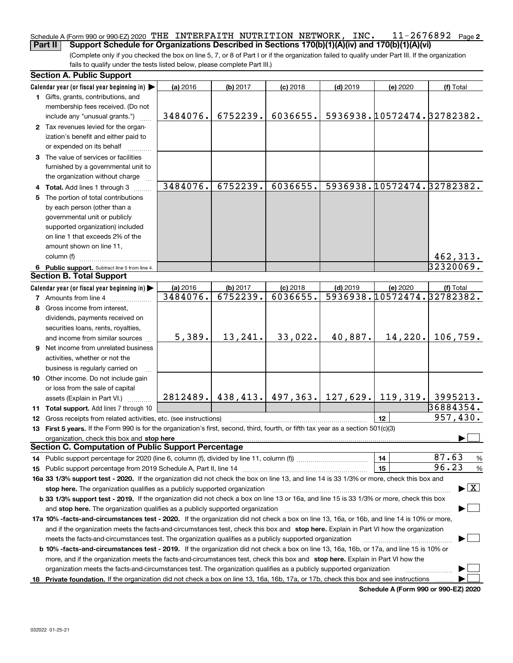#### **2** Schedule A (Form 990 or 990-EZ) 2020  $\,$  THE <code>INTERFAITH</code> <code>NUTRITION</code> <code>NETWORK</code> , <code>INC.  $\,$  <code>11–2676892</code> <code> Page</code></code> **Part II Support Schedule for Organizations Described in Sections 170(b)(1)(A)(iv) and 170(b)(1)(A)(vi)**

(Complete only if you checked the box on line 5, 7, or 8 of Part I or if the organization failed to qualify under Part III. If the organization fails to qualify under the tests listed below, please complete Part III.)

|    | <b>Section A. Public Support</b>                                                                                                                                                                                                                                                      |          |                                        |            |            |                            |                                          |
|----|---------------------------------------------------------------------------------------------------------------------------------------------------------------------------------------------------------------------------------------------------------------------------------------|----------|----------------------------------------|------------|------------|----------------------------|------------------------------------------|
|    | Calendar year (or fiscal year beginning in)                                                                                                                                                                                                                                           | (a) 2016 | (b) 2017                               | $(c)$ 2018 | $(d)$ 2019 | (e) 2020                   | (f) Total                                |
|    | 1 Gifts, grants, contributions, and                                                                                                                                                                                                                                                   |          |                                        |            |            |                            |                                          |
|    | membership fees received. (Do not                                                                                                                                                                                                                                                     |          |                                        |            |            |                            |                                          |
|    | include any "unusual grants.")                                                                                                                                                                                                                                                        | 3484076. | 6752239.                               | 6036655.   |            | 5936938.10572474.32782382. |                                          |
|    | 2 Tax revenues levied for the organ-                                                                                                                                                                                                                                                  |          |                                        |            |            |                            |                                          |
|    | ization's benefit and either paid to                                                                                                                                                                                                                                                  |          |                                        |            |            |                            |                                          |
|    | or expended on its behalf                                                                                                                                                                                                                                                             |          |                                        |            |            |                            |                                          |
|    | 3 The value of services or facilities                                                                                                                                                                                                                                                 |          |                                        |            |            |                            |                                          |
|    | furnished by a governmental unit to                                                                                                                                                                                                                                                   |          |                                        |            |            |                            |                                          |
|    | the organization without charge                                                                                                                                                                                                                                                       |          |                                        |            |            |                            |                                          |
|    | 4 Total. Add lines 1 through 3                                                                                                                                                                                                                                                        | 3484076. | 6752239.                               | 6036655.   |            | 5936938.10572474.32782382. |                                          |
| 5. | The portion of total contributions                                                                                                                                                                                                                                                    |          |                                        |            |            |                            |                                          |
|    | by each person (other than a                                                                                                                                                                                                                                                          |          |                                        |            |            |                            |                                          |
|    | governmental unit or publicly                                                                                                                                                                                                                                                         |          |                                        |            |            |                            |                                          |
|    | supported organization) included                                                                                                                                                                                                                                                      |          |                                        |            |            |                            |                                          |
|    | on line 1 that exceeds 2% of the                                                                                                                                                                                                                                                      |          |                                        |            |            |                            |                                          |
|    | amount shown on line 11,                                                                                                                                                                                                                                                              |          |                                        |            |            |                            |                                          |
|    | column (f)                                                                                                                                                                                                                                                                            |          |                                        |            |            |                            | 462,313.                                 |
|    | 6 Public support. Subtract line 5 from line 4.                                                                                                                                                                                                                                        |          |                                        |            |            |                            | 32320069.                                |
|    | <b>Section B. Total Support</b>                                                                                                                                                                                                                                                       |          |                                        |            |            |                            |                                          |
|    | Calendar year (or fiscal year beginning in)                                                                                                                                                                                                                                           | (a) 2016 | (b) 2017                               | $(c)$ 2018 | $(d)$ 2019 | (e) 2020                   | (f) Total                                |
|    | <b>7</b> Amounts from line 4                                                                                                                                                                                                                                                          | 3484076. | 6752239.                               | 6036655.   |            | 5936938.10572474.32782382. |                                          |
| 8  | Gross income from interest,                                                                                                                                                                                                                                                           |          |                                        |            |            |                            |                                          |
|    | dividends, payments received on                                                                                                                                                                                                                                                       |          |                                        |            |            |                            |                                          |
|    | securities loans, rents, royalties,                                                                                                                                                                                                                                                   |          |                                        |            |            |                            |                                          |
|    | and income from similar sources                                                                                                                                                                                                                                                       | 5,389.   | 13,241.                                | 33,022.    | 40,887.    | 14,220.                    | 106,759.                                 |
|    | 9 Net income from unrelated business                                                                                                                                                                                                                                                  |          |                                        |            |            |                            |                                          |
|    |                                                                                                                                                                                                                                                                                       |          |                                        |            |            |                            |                                          |
|    | activities, whether or not the                                                                                                                                                                                                                                                        |          |                                        |            |            |                            |                                          |
|    | business is regularly carried on                                                                                                                                                                                                                                                      |          |                                        |            |            |                            |                                          |
|    | 10 Other income. Do not include gain                                                                                                                                                                                                                                                  |          |                                        |            |            |                            |                                          |
|    | or loss from the sale of capital                                                                                                                                                                                                                                                      |          | 2812489. 438, 413. 497, 363. 127, 629. |            |            | 119,319.                   | 3995213.                                 |
|    | assets (Explain in Part VI.)                                                                                                                                                                                                                                                          |          |                                        |            |            |                            | 36884354.                                |
|    | 11 Total support. Add lines 7 through 10                                                                                                                                                                                                                                              |          |                                        |            |            |                            | 957,430.                                 |
|    | <b>12</b> Gross receipts from related activities, etc. (see instructions)                                                                                                                                                                                                             |          |                                        |            |            | 12                         |                                          |
|    | 13 First 5 years. If the Form 990 is for the organization's first, second, third, fourth, or fifth tax year as a section 501(c)(3)                                                                                                                                                    |          |                                        |            |            |                            |                                          |
|    | organization, check this box and stop here manufactured and according to the state of the state of the state of the state of the state of the state of the state of the state of the state of the state of the state of the st<br>Section C. Computation of Public Support Percentage |          |                                        |            |            |                            |                                          |
|    |                                                                                                                                                                                                                                                                                       |          |                                        |            |            |                            | 87.63                                    |
|    | 14 Public support percentage for 2020 (line 6, column (f), divided by line 11, column (f) <i>marroummaname</i>                                                                                                                                                                        |          |                                        |            |            | 14                         | %<br>96.23                               |
|    |                                                                                                                                                                                                                                                                                       |          |                                        |            |            | 15                         | %                                        |
|    | 16a 33 1/3% support test - 2020. If the organization did not check the box on line 13, and line 14 is 33 1/3% or more, check this box and                                                                                                                                             |          |                                        |            |            |                            |                                          |
|    | stop here. The organization qualifies as a publicly supported organization                                                                                                                                                                                                            |          |                                        |            |            |                            | $\blacktriangleright$ $\boxed{\text{X}}$ |
|    | b 33 1/3% support test - 2019. If the organization did not check a box on line 13 or 16a, and line 15 is 33 1/3% or more, check this box                                                                                                                                              |          |                                        |            |            |                            |                                          |
|    | and stop here. The organization qualifies as a publicly supported organization                                                                                                                                                                                                        |          |                                        |            |            |                            |                                          |
|    | 17a 10% -facts-and-circumstances test - 2020. If the organization did not check a box on line 13, 16a, or 16b, and line 14 is 10% or more,                                                                                                                                            |          |                                        |            |            |                            |                                          |
|    | and if the organization meets the facts-and-circumstances test, check this box and stop here. Explain in Part VI how the organization                                                                                                                                                 |          |                                        |            |            |                            |                                          |
|    | meets the facts-and-circumstances test. The organization qualifies as a publicly supported organization                                                                                                                                                                               |          |                                        |            |            |                            |                                          |
|    | <b>b 10% -facts-and-circumstances test - 2019.</b> If the organization did not check a box on line 13, 16a, 16b, or 17a, and line 15 is 10% or                                                                                                                                        |          |                                        |            |            |                            |                                          |
|    | more, and if the organization meets the facts-and-circumstances test, check this box and stop here. Explain in Part VI how the                                                                                                                                                        |          |                                        |            |            |                            |                                          |
|    | organization meets the facts-and-circumstances test. The organization qualifies as a publicly supported organization                                                                                                                                                                  |          |                                        |            |            |                            |                                          |
|    | 18 Private foundation. If the organization did not check a box on line 13, 16a, 16b, 17a, or 17b, check this box and see instructions                                                                                                                                                 |          |                                        |            |            |                            |                                          |

**Schedule A (Form 990 or 990-EZ) 2020**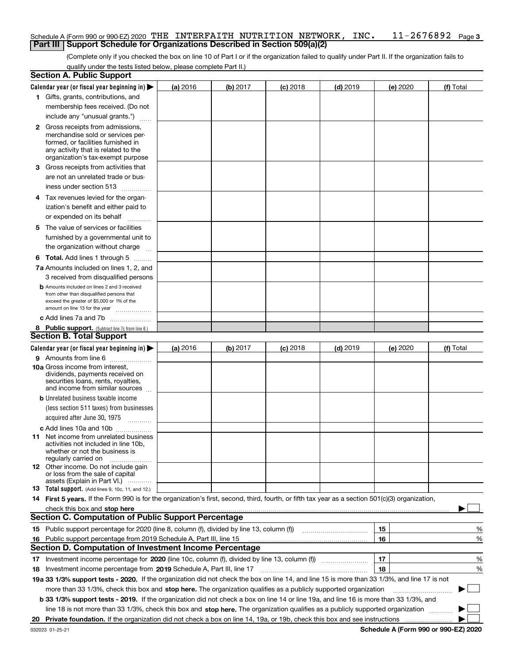#### **3** Schedule A (Form 990 or 990-EZ) 2020  $\,$  THE <code>INTERFAITH</code> <code>NUTRITION</code> <code>NETWORK</code> , <code>INC.  $\,$  <code>11–2676892</code> <code> Page</code></code> **Part III** | Support Schedule for Organizations Described in Section 509(a)(2)

(Complete only if you checked the box on line 10 of Part I or if the organization failed to qualify under Part II. If the organization fails to qualify under the tests listed below, please complete Part II.)

| <b>Section A. Public Support</b>                                                                                                                 |   |          |          |            |            |          |           |
|--------------------------------------------------------------------------------------------------------------------------------------------------|---|----------|----------|------------|------------|----------|-----------|
| Calendar year (or fiscal year beginning in) $\blacktriangleright$                                                                                |   | (a) 2016 | (b) 2017 | $(c)$ 2018 | $(d)$ 2019 | (e) 2020 | (f) Total |
| 1 Gifts, grants, contributions, and                                                                                                              |   |          |          |            |            |          |           |
| membership fees received. (Do not                                                                                                                |   |          |          |            |            |          |           |
| include any "unusual grants.")                                                                                                                   |   |          |          |            |            |          |           |
| <b>2</b> Gross receipts from admissions,                                                                                                         |   |          |          |            |            |          |           |
| merchandise sold or services per-                                                                                                                |   |          |          |            |            |          |           |
| formed, or facilities furnished in                                                                                                               |   |          |          |            |            |          |           |
| any activity that is related to the<br>organization's tax-exempt purpose                                                                         |   |          |          |            |            |          |           |
| 3 Gross receipts from activities that                                                                                                            |   |          |          |            |            |          |           |
| are not an unrelated trade or bus-                                                                                                               |   |          |          |            |            |          |           |
|                                                                                                                                                  |   |          |          |            |            |          |           |
| iness under section 513                                                                                                                          |   |          |          |            |            |          |           |
| 4 Tax revenues levied for the organ-                                                                                                             |   |          |          |            |            |          |           |
| ization's benefit and either paid to                                                                                                             |   |          |          |            |            |          |           |
| or expended on its behalf                                                                                                                        | . |          |          |            |            |          |           |
| 5 The value of services or facilities                                                                                                            |   |          |          |            |            |          |           |
| furnished by a governmental unit to                                                                                                              |   |          |          |            |            |          |           |
| the organization without charge                                                                                                                  |   |          |          |            |            |          |           |
| <b>6 Total.</b> Add lines 1 through 5                                                                                                            |   |          |          |            |            |          |           |
| 7a Amounts included on lines 1, 2, and                                                                                                           |   |          |          |            |            |          |           |
| 3 received from disqualified persons                                                                                                             |   |          |          |            |            |          |           |
| <b>b</b> Amounts included on lines 2 and 3 received                                                                                              |   |          |          |            |            |          |           |
| from other than disqualified persons that                                                                                                        |   |          |          |            |            |          |           |
| exceed the greater of \$5,000 or 1% of the<br>amount on line 13 for the year                                                                     |   |          |          |            |            |          |           |
| c Add lines 7a and 7b                                                                                                                            |   |          |          |            |            |          |           |
| 8 Public support. (Subtract line 7c from line 6.)                                                                                                |   |          |          |            |            |          |           |
| <b>Section B. Total Support</b>                                                                                                                  |   |          |          |            |            |          |           |
| Calendar year (or fiscal year beginning in)                                                                                                      |   | (a) 2016 | (b) 2017 | $(c)$ 2018 | $(d)$ 2019 | (e) 2020 | (f) Total |
| 9 Amounts from line 6                                                                                                                            |   |          |          |            |            |          |           |
| <b>10a</b> Gross income from interest,                                                                                                           |   |          |          |            |            |          |           |
| dividends, payments received on                                                                                                                  |   |          |          |            |            |          |           |
| securities loans, rents, royalties,                                                                                                              |   |          |          |            |            |          |           |
| and income from similar sources                                                                                                                  |   |          |          |            |            |          |           |
| <b>b</b> Unrelated business taxable income                                                                                                       |   |          |          |            |            |          |           |
| (less section 511 taxes) from businesses                                                                                                         |   |          |          |            |            |          |           |
| acquired after June 30, 1975 [10001]                                                                                                             |   |          |          |            |            |          |           |
| c Add lines 10a and 10b                                                                                                                          |   |          |          |            |            |          |           |
| 11 Net income from unrelated business<br>activities not included in line 10b,                                                                    |   |          |          |            |            |          |           |
| whether or not the business is                                                                                                                   |   |          |          |            |            |          |           |
| regularly carried on                                                                                                                             |   |          |          |            |            |          |           |
| <b>12</b> Other income. Do not include gain<br>or loss from the sale of capital                                                                  |   |          |          |            |            |          |           |
| assets (Explain in Part VI.)                                                                                                                     |   |          |          |            |            |          |           |
| <b>13</b> Total support. (Add lines 9, 10c, 11, and 12.)                                                                                         |   |          |          |            |            |          |           |
| 14 First 5 years. If the Form 990 is for the organization's first, second, third, fourth, or fifth tax year as a section 501(c)(3) organization, |   |          |          |            |            |          |           |
| check this box and stop here measurements are constructed as the state of the state of the state of the state o                                  |   |          |          |            |            |          |           |
| <b>Section C. Computation of Public Support Percentage</b>                                                                                       |   |          |          |            |            |          |           |
| 15 Public support percentage for 2020 (line 8, column (f), divided by line 13, column (f))                                                       |   |          |          |            |            | 15       | %         |
| 16 Public support percentage from 2019 Schedule A, Part III, line 15                                                                             |   |          |          |            |            | 16       | %         |
| <b>Section D. Computation of Investment Income Percentage</b>                                                                                    |   |          |          |            |            |          |           |
| Investment income percentage for 2020 (line 10c, column (f), divided by line 13, column (f))<br>17                                               |   |          |          |            |            | 17       | %         |
| <b>18</b> Investment income percentage from <b>2019</b> Schedule A, Part III, line 17                                                            |   |          |          |            |            | 18       | %         |
| 19a 33 1/3% support tests - 2020. If the organization did not check the box on line 14, and line 15 is more than 33 1/3%, and line 17 is not     |   |          |          |            |            |          |           |
| more than 33 1/3%, check this box and stop here. The organization qualifies as a publicly supported organization                                 |   |          |          |            |            |          | ▶         |
| b 33 1/3% support tests - 2019. If the organization did not check a box on line 14 or line 19a, and line 16 is more than 33 1/3%, and            |   |          |          |            |            |          |           |
| line 18 is not more than 33 1/3%, check this box and stop here. The organization qualifies as a publicly supported organization                  |   |          |          |            |            |          |           |
| 20                                                                                                                                               |   |          |          |            |            |          |           |
|                                                                                                                                                  |   |          |          |            |            |          |           |

**Schedule A (Form 990 or 990-EZ) 2020**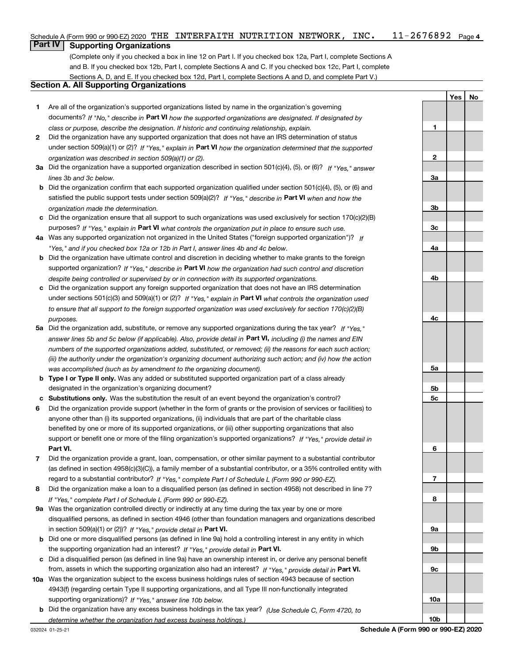#### $11 - 2676892$  Page 4 Schedule A (Form 990 or 990-EZ) 2020  $\,$  THE <code>INTERFAITH</code> <code>NUTRITION</code> <code>NETWORK</code> , <code>INC.  $\,$  <code>11–2676892</code> <code> Page</code></code>

## **Part IV Supporting Organizations**

(Complete only if you checked a box in line 12 on Part I. If you checked box 12a, Part I, complete Sections A and B. If you checked box 12b, Part I, complete Sections A and C. If you checked box 12c, Part I, complete Sections A, D, and E. If you checked box 12d, Part I, complete Sections A and D, and complete Part V.)

## **Section A. All Supporting Organizations**

- **1** Are all of the organization's supported organizations listed by name in the organization's governing documents? If "No," describe in **Part VI** how the supported organizations are designated. If designated by *class or purpose, describe the designation. If historic and continuing relationship, explain.*
- **2** Did the organization have any supported organization that does not have an IRS determination of status under section 509(a)(1) or (2)? If "Yes," explain in Part VI how the organization determined that the supported *organization was described in section 509(a)(1) or (2).*
- **3a** Did the organization have a supported organization described in section 501(c)(4), (5), or (6)? If "Yes," answer *lines 3b and 3c below.*
- **b** Did the organization confirm that each supported organization qualified under section 501(c)(4), (5), or (6) and satisfied the public support tests under section 509(a)(2)? If "Yes," describe in **Part VI** when and how the *organization made the determination.*
- **c**Did the organization ensure that all support to such organizations was used exclusively for section 170(c)(2)(B) purposes? If "Yes," explain in **Part VI** what controls the organization put in place to ensure such use.
- **4a***If* Was any supported organization not organized in the United States ("foreign supported organization")? *"Yes," and if you checked box 12a or 12b in Part I, answer lines 4b and 4c below.*
- **b** Did the organization have ultimate control and discretion in deciding whether to make grants to the foreign supported organization? If "Yes," describe in **Part VI** how the organization had such control and discretion *despite being controlled or supervised by or in connection with its supported organizations.*
- **c** Did the organization support any foreign supported organization that does not have an IRS determination under sections 501(c)(3) and 509(a)(1) or (2)? If "Yes," explain in **Part VI** what controls the organization used *to ensure that all support to the foreign supported organization was used exclusively for section 170(c)(2)(B) purposes.*
- **5a***If "Yes,"* Did the organization add, substitute, or remove any supported organizations during the tax year? answer lines 5b and 5c below (if applicable). Also, provide detail in **Part VI,** including (i) the names and EIN *numbers of the supported organizations added, substituted, or removed; (ii) the reasons for each such action; (iii) the authority under the organization's organizing document authorizing such action; and (iv) how the action was accomplished (such as by amendment to the organizing document).*
- **b** Type I or Type II only. Was any added or substituted supported organization part of a class already designated in the organization's organizing document?
- **cSubstitutions only.**  Was the substitution the result of an event beyond the organization's control?
- **6** Did the organization provide support (whether in the form of grants or the provision of services or facilities) to **Part VI.** *If "Yes," provide detail in* support or benefit one or more of the filing organization's supported organizations? anyone other than (i) its supported organizations, (ii) individuals that are part of the charitable class benefited by one or more of its supported organizations, or (iii) other supporting organizations that also
- **7**Did the organization provide a grant, loan, compensation, or other similar payment to a substantial contributor *If "Yes," complete Part I of Schedule L (Form 990 or 990-EZ).* regard to a substantial contributor? (as defined in section 4958(c)(3)(C)), a family member of a substantial contributor, or a 35% controlled entity with
- **8** Did the organization make a loan to a disqualified person (as defined in section 4958) not described in line 7? *If "Yes," complete Part I of Schedule L (Form 990 or 990-EZ).*
- **9a** Was the organization controlled directly or indirectly at any time during the tax year by one or more in section 509(a)(1) or (2))? If "Yes," *provide detail in* <code>Part VI.</code> disqualified persons, as defined in section 4946 (other than foundation managers and organizations described
- **b** Did one or more disqualified persons (as defined in line 9a) hold a controlling interest in any entity in which the supporting organization had an interest? If "Yes," provide detail in P**art VI**.
- **c**Did a disqualified person (as defined in line 9a) have an ownership interest in, or derive any personal benefit from, assets in which the supporting organization also had an interest? If "Yes," provide detail in P**art VI.**
- **10a** Was the organization subject to the excess business holdings rules of section 4943 because of section supporting organizations)? If "Yes," answer line 10b below. 4943(f) (regarding certain Type II supporting organizations, and all Type III non-functionally integrated
- **b** Did the organization have any excess business holdings in the tax year? (Use Schedule C, Form 4720, to *determine whether the organization had excess business holdings.)*

**YesNo**

**1**

**10b**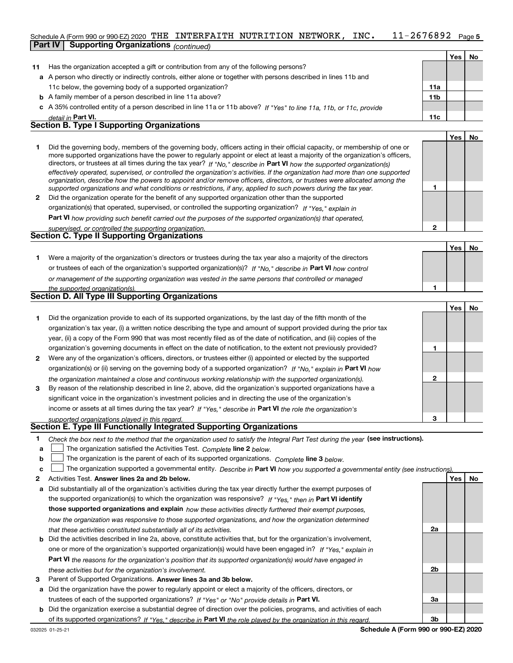#### $11 - 2676892$  Page 5 Schedule A (Form 990 or 990-EZ) 2020  $\,$  THE <code>INTERFAITH</code> <code>NUTRITION</code> <code>NETWORK</code> , <code>INC.  $\,$  <code>11–2676892</code> <code> Page</code></code> **Part IV Supporting Organizations** *(continued)*

|    |                                                                                                                      |                 | Yes | No. |
|----|----------------------------------------------------------------------------------------------------------------------|-----------------|-----|-----|
| 11 | Has the organization accepted a gift or contribution from any of the following persons?                              |                 |     |     |
|    | a A person who directly or indirectly controls, either alone or together with persons described in lines 11b and     |                 |     |     |
|    | 11c below, the governing body of a supported organization?                                                           | 11a             |     |     |
|    | <b>b</b> A family member of a person described in line 11a above?                                                    | 11 <sub>b</sub> |     |     |
|    | c A 35% controlled entity of a person described in line 11a or 11b above? If "Yes" to line 11a, 11b, or 11c, provide |                 |     |     |
|    | detail in Part VI.                                                                                                   | 11c             |     |     |
|    | <b>Section B. Type I Supporting Organizations</b>                                                                    |                 |     |     |
|    |                                                                                                                      |                 | Yes | No  |

|              | Did the governing body, members of the governing body, officers acting in their official capacity, or membership of one or<br>more supported organizations have the power to regularly appoint or elect at least a majority of the organization's officers,<br>directors, or trustees at all times during the tax year? If "No," describe in Part VI how the supported organization(s)<br>effectively operated, supervised, or controlled the organization's activities. If the organization had more than one supported<br>organization, describe how the powers to appoint and/or remove officers, directors, or trustees were allocated among the |  |
|--------------|------------------------------------------------------------------------------------------------------------------------------------------------------------------------------------------------------------------------------------------------------------------------------------------------------------------------------------------------------------------------------------------------------------------------------------------------------------------------------------------------------------------------------------------------------------------------------------------------------------------------------------------------------|--|
|              | supported organizations and what conditions or restrictions, if any, applied to such powers during the tax year.                                                                                                                                                                                                                                                                                                                                                                                                                                                                                                                                     |  |
| $\mathbf{2}$ | Did the organization operate for the benefit of any supported organization other than the supported                                                                                                                                                                                                                                                                                                                                                                                                                                                                                                                                                  |  |

*If "Yes," explain in* organization(s) that operated, supervised, or controlled the supporting organization?

**Part VI**  *how providing such benefit carried out the purposes of the supported organization(s) that operated,*

| supervised, or controlled the supporting organization. |  |
|--------------------------------------------------------|--|
| <b>Section C. Type II Supporting Organizations</b>     |  |

|                                                                                                                  | Yes | No |
|------------------------------------------------------------------------------------------------------------------|-----|----|
| Were a majority of the organization's directors or trustees during the tax year also a majority of the directors |     |    |
| or trustees of each of the organization's supported organization(s)? If "No," describe in Part VI how control    |     |    |
| or management of the supporting organization was vested in the same persons that controlled or managed           |     |    |
| the supported organization(s).                                                                                   |     |    |

|  | Section D. All Type III Supporting Organizations |
|--|--------------------------------------------------|

|              |                                                                                                                        |   | Yes |  |
|--------------|------------------------------------------------------------------------------------------------------------------------|---|-----|--|
|              | Did the organization provide to each of its supported organizations, by the last day of the fifth month of the         |   |     |  |
|              | organization's tax year, (i) a written notice describing the type and amount of support provided during the prior tax  |   |     |  |
|              | year, (ii) a copy of the Form 990 that was most recently filed as of the date of notification, and (iii) copies of the |   |     |  |
|              | organization's governing documents in effect on the date of notification, to the extent not previously provided?       |   |     |  |
| $\mathbf{2}$ | Were any of the organization's officers, directors, or trustees either (i) appointed or elected by the supported       |   |     |  |
|              | organization(s) or (ii) serving on the governing body of a supported organization? If "No," explain in Part VI how     |   |     |  |
|              | the organization maintained a close and continuous working relationship with the supported organization(s).            | 2 |     |  |
| 3            | By reason of the relationship described in line 2, above, did the organization's supported organizations have a        |   |     |  |
|              | significant voice in the organization's investment policies and in directing the use of the organization's             |   |     |  |
|              | income or assets at all times during the tax year? If "Yes," describe in Part VI the role the organization's           |   |     |  |
|              | supported organizations played in this regard.                                                                         | 3 |     |  |

# *supported organizations played in this regard.* **Section E. Type III Functionally Integrated Supporting Organizations**

|  | Check the box next to the method that the organization used to satisfy the Integral Part Test during the year (see instructions). |  |  |  |
|--|-----------------------------------------------------------------------------------------------------------------------------------|--|--|--|
|--|-----------------------------------------------------------------------------------------------------------------------------------|--|--|--|

- **a**The organization satisfied the Activities Test. *Complete* line 2 below.  $\mathcal{L}^{\text{max}}$
- **bThe organization is the parent of each of its supported organizations. Complete line 3 below.**

|  |  | c $\Box$ The organization supported a governmental entity. Describe in Part VI how you supported a governmental entity (see instructions) |  |  |  |  |  |
|--|--|-------------------------------------------------------------------------------------------------------------------------------------------|--|--|--|--|--|
|--|--|-------------------------------------------------------------------------------------------------------------------------------------------|--|--|--|--|--|

- **2Answer lines 2a and 2b below. Yes No** Activities Test.
- **a** Did substantially all of the organization's activities during the tax year directly further the exempt purposes of the supported organization(s) to which the organization was responsive? If "Yes," then in **Part VI identify those supported organizations and explain**  *how these activities directly furthered their exempt purposes, how the organization was responsive to those supported organizations, and how the organization determined that these activities constituted substantially all of its activities.*
- **b** Did the activities described in line 2a, above, constitute activities that, but for the organization's involvement, **Part VI**  *the reasons for the organization's position that its supported organization(s) would have engaged in* one or more of the organization's supported organization(s) would have been engaged in? If "Yes," e*xplain in these activities but for the organization's involvement.*
- **3** Parent of Supported Organizations. Answer lines 3a and 3b below.
- **a** Did the organization have the power to regularly appoint or elect a majority of the officers, directors, or trustees of each of the supported organizations? If "Yes" or "No" provide details in P**art VI.**

**b** Did the organization exercise a substantial degree of direction over the policies, programs, and activities of each of its supported organizations? If "Yes," describe in Part VI the role played by the organization in this regard.

**2a**

**2b**

**3a**

**3b**

**1**

**2**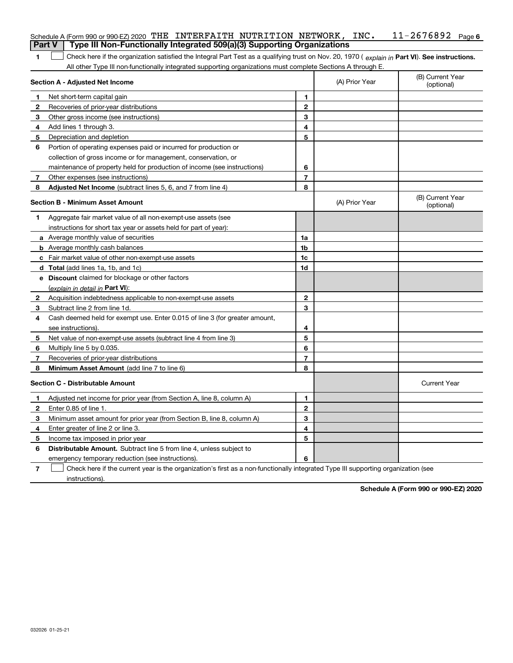|        | Schedule A (Form 990 or 990-EZ) 2020 THE INTERFAITH NUTRITION NETWORK, INC.                                                                    |                |                | $11 - 2676892$ Page 6          |
|--------|------------------------------------------------------------------------------------------------------------------------------------------------|----------------|----------------|--------------------------------|
| Part V | Type III Non-Functionally Integrated 509(a)(3) Supporting Organizations                                                                        |                |                |                                |
| 1      | Check here if the organization satisfied the Integral Part Test as a qualifying trust on Nov. 20, 1970 (explain in Part VI). See instructions. |                |                |                                |
|        | All other Type III non-functionally integrated supporting organizations must complete Sections A through E.                                    |                |                |                                |
|        | Section A - Adjusted Net Income                                                                                                                |                | (A) Prior Year | (B) Current Year<br>(optional) |
| 1      | Net short-term capital gain                                                                                                                    | 1              |                |                                |
| 2      | Recoveries of prior-year distributions                                                                                                         | 2              |                |                                |
| 3      | Other gross income (see instructions)                                                                                                          | 3              |                |                                |
| 4      | Add lines 1 through 3.                                                                                                                         | 4              |                |                                |
| 5      | Depreciation and depletion                                                                                                                     | 5              |                |                                |
| 6      | Portion of operating expenses paid or incurred for production or                                                                               |                |                |                                |
|        | collection of gross income or for management, conservation, or                                                                                 |                |                |                                |
|        | maintenance of property held for production of income (see instructions)                                                                       | 6              |                |                                |
| 7      | Other expenses (see instructions)                                                                                                              | $\overline{7}$ |                |                                |
| 8      | Adjusted Net Income (subtract lines 5, 6, and 7 from line 4)                                                                                   | 8              |                |                                |
|        | <b>Section B - Minimum Asset Amount</b>                                                                                                        |                | (A) Prior Year | (B) Current Year<br>(optional) |
| 1.     | Aggregate fair market value of all non-exempt-use assets (see                                                                                  |                |                |                                |
|        | instructions for short tax year or assets held for part of year):                                                                              |                |                |                                |
|        | <b>a</b> Average monthly value of securities                                                                                                   | 1a             |                |                                |
|        | <b>b</b> Average monthly cash balances                                                                                                         | 1b             |                |                                |
|        | c Fair market value of other non-exempt-use assets                                                                                             | 1c             |                |                                |
|        | d Total (add lines 1a, 1b, and 1c)                                                                                                             | 1d             |                |                                |
|        | e Discount claimed for blockage or other factors                                                                                               |                |                |                                |
|        | (explain in detail in Part VI):                                                                                                                |                |                |                                |
| 2      | Acquisition indebtedness applicable to non-exempt-use assets                                                                                   | 2              |                |                                |
| 3      | Subtract line 2 from line 1d.                                                                                                                  | 3              |                |                                |
| 4      | Cash deemed held for exempt use. Enter 0.015 of line 3 (for greater amount,                                                                    |                |                |                                |
|        | see instructions).                                                                                                                             | 4              |                |                                |
| 5      | Net value of non-exempt-use assets (subtract line 4 from line 3)                                                                               | 5              |                |                                |
| 6      | Multiply line 5 by 0.035.                                                                                                                      | 6              |                |                                |
| 7      | Recoveries of prior-year distributions                                                                                                         | $\overline{7}$ |                |                                |
| 8      | Minimum Asset Amount (add line 7 to line 6)                                                                                                    | 8              |                |                                |
|        | <b>Section C - Distributable Amount</b>                                                                                                        |                |                | <b>Current Year</b>            |
| 1.     | Adjusted net income for prior year (from Section A, line 8, column A)                                                                          | 1              |                |                                |
| 2      | Enter 0.85 of line 1.                                                                                                                          | 2              |                |                                |
| 3      | Minimum asset amount for prior year (from Section B, line 8, column A)                                                                         | 3              |                |                                |
| 4      | Enter greater of line 2 or line 3.                                                                                                             | 4              |                |                                |
| 5      | Income tax imposed in prior year                                                                                                               | 5              |                |                                |
| 6      | Distributable Amount. Subtract line 5 from line 4, unless subject to                                                                           |                |                |                                |
|        | emergency temporary reduction (see instructions).                                                                                              | 6              |                |                                |
| 7      | Check here if the current year is the organization's first as a non-functionally integrated Type III supporting organization (see              |                |                |                                |

instructions).

**Schedule A (Form 990 or 990-EZ) 2020**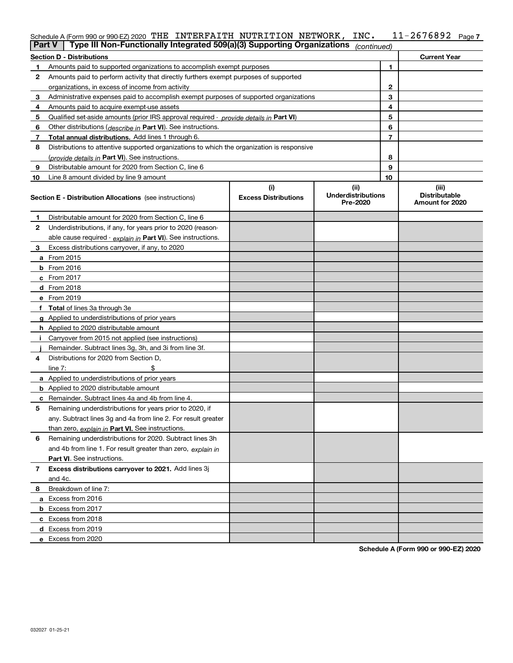|    | Schedule A (Form 990 or 990-EZ) 2020 THE INTERFAITH NUTRITION NETWORK,<br>$11 - 2676892$ Page 7<br>INC.<br>Type III Non-Functionally Integrated 509(a)(3) Supporting Organizations<br><b>Part V</b><br>(continued) |                                    |                                               |    |                                                  |  |  |  |  |
|----|--------------------------------------------------------------------------------------------------------------------------------------------------------------------------------------------------------------------|------------------------------------|-----------------------------------------------|----|--------------------------------------------------|--|--|--|--|
|    | <b>Section D - Distributions</b><br><b>Current Year</b>                                                                                                                                                            |                                    |                                               |    |                                                  |  |  |  |  |
| 1. | Amounts paid to supported organizations to accomplish exempt purposes                                                                                                                                              |                                    |                                               | 1  |                                                  |  |  |  |  |
| 2  | Amounts paid to perform activity that directly furthers exempt purposes of supported                                                                                                                               |                                    |                                               |    |                                                  |  |  |  |  |
|    | organizations, in excess of income from activity                                                                                                                                                                   |                                    |                                               | 2  |                                                  |  |  |  |  |
| 3  | Administrative expenses paid to accomplish exempt purposes of supported organizations                                                                                                                              |                                    |                                               | 3  |                                                  |  |  |  |  |
| 4  | Amounts paid to acquire exempt-use assets                                                                                                                                                                          |                                    | 4                                             |    |                                                  |  |  |  |  |
| 5  | Qualified set aside amounts (prior IRS approval required - provide details in Part VI)                                                                                                                             |                                    | 5                                             |    |                                                  |  |  |  |  |
| 6  | Other distributions ( <i>describe in</i> Part VI). See instructions.                                                                                                                                               |                                    | 6                                             |    |                                                  |  |  |  |  |
| 7  | Total annual distributions. Add lines 1 through 6.                                                                                                                                                                 |                                    |                                               | 7  |                                                  |  |  |  |  |
| 8  | Distributions to attentive supported organizations to which the organization is responsive                                                                                                                         |                                    |                                               |    |                                                  |  |  |  |  |
|    | (provide details in Part VI). See instructions.                                                                                                                                                                    |                                    |                                               | 8  |                                                  |  |  |  |  |
| 9  | Distributable amount for 2020 from Section C, line 6                                                                                                                                                               |                                    |                                               | 9  |                                                  |  |  |  |  |
| 10 | Line 8 amount divided by line 9 amount                                                                                                                                                                             |                                    |                                               | 10 |                                                  |  |  |  |  |
|    | <b>Section E - Distribution Allocations</b> (see instructions)                                                                                                                                                     | (i)<br><b>Excess Distributions</b> | (ii)<br><b>Underdistributions</b><br>Pre-2020 |    | (iii)<br><b>Distributable</b><br>Amount for 2020 |  |  |  |  |
| 1. | Distributable amount for 2020 from Section C, line 6                                                                                                                                                               |                                    |                                               |    |                                                  |  |  |  |  |
| 2  | Underdistributions, if any, for years prior to 2020 (reason-                                                                                                                                                       |                                    |                                               |    |                                                  |  |  |  |  |
|    | able cause required - explain in Part VI). See instructions.                                                                                                                                                       |                                    |                                               |    |                                                  |  |  |  |  |
| 3. | Excess distributions carryover, if any, to 2020                                                                                                                                                                    |                                    |                                               |    |                                                  |  |  |  |  |
|    | <b>a</b> From 2015                                                                                                                                                                                                 |                                    |                                               |    |                                                  |  |  |  |  |
|    | $b$ From 2016                                                                                                                                                                                                      |                                    |                                               |    |                                                  |  |  |  |  |
|    | c From 2017                                                                                                                                                                                                        |                                    |                                               |    |                                                  |  |  |  |  |
|    | d From 2018                                                                                                                                                                                                        |                                    |                                               |    |                                                  |  |  |  |  |
|    | e From 2019                                                                                                                                                                                                        |                                    |                                               |    |                                                  |  |  |  |  |
|    | f Total of lines 3a through 3e                                                                                                                                                                                     |                                    |                                               |    |                                                  |  |  |  |  |
|    | g Applied to underdistributions of prior years                                                                                                                                                                     |                                    |                                               |    |                                                  |  |  |  |  |
|    | <b>h</b> Applied to 2020 distributable amount                                                                                                                                                                      |                                    |                                               |    |                                                  |  |  |  |  |
|    | i Carryover from 2015 not applied (see instructions)                                                                                                                                                               |                                    |                                               |    |                                                  |  |  |  |  |
|    | Remainder. Subtract lines 3g, 3h, and 3i from line 3f.                                                                                                                                                             |                                    |                                               |    |                                                  |  |  |  |  |
| 4  | Distributions for 2020 from Section D,                                                                                                                                                                             |                                    |                                               |    |                                                  |  |  |  |  |
|    | line $7:$                                                                                                                                                                                                          |                                    |                                               |    |                                                  |  |  |  |  |
|    | a Applied to underdistributions of prior years                                                                                                                                                                     |                                    |                                               |    |                                                  |  |  |  |  |
|    | <b>b</b> Applied to 2020 distributable amount                                                                                                                                                                      |                                    |                                               |    |                                                  |  |  |  |  |
|    | <b>c</b> Remainder. Subtract lines 4a and 4b from line 4.                                                                                                                                                          |                                    |                                               |    |                                                  |  |  |  |  |
|    | Remaining underdistributions for years prior to 2020, if                                                                                                                                                           |                                    |                                               |    |                                                  |  |  |  |  |
|    | any. Subtract lines 3g and 4a from line 2. For result greater                                                                                                                                                      |                                    |                                               |    |                                                  |  |  |  |  |
|    | than zero, explain in Part VI. See instructions.                                                                                                                                                                   |                                    |                                               |    |                                                  |  |  |  |  |
| 6  | Remaining underdistributions for 2020. Subtract lines 3h                                                                                                                                                           |                                    |                                               |    |                                                  |  |  |  |  |
|    | and 4b from line 1. For result greater than zero, explain in                                                                                                                                                       |                                    |                                               |    |                                                  |  |  |  |  |
|    | <b>Part VI.</b> See instructions.                                                                                                                                                                                  |                                    |                                               |    |                                                  |  |  |  |  |
| 7  | Excess distributions carryover to 2021. Add lines 3j                                                                                                                                                               |                                    |                                               |    |                                                  |  |  |  |  |
|    | and 4c.                                                                                                                                                                                                            |                                    |                                               |    |                                                  |  |  |  |  |
| 8  | Breakdown of line 7:                                                                                                                                                                                               |                                    |                                               |    |                                                  |  |  |  |  |
|    | a Excess from 2016                                                                                                                                                                                                 |                                    |                                               |    |                                                  |  |  |  |  |
|    | <b>b</b> Excess from 2017                                                                                                                                                                                          |                                    |                                               |    |                                                  |  |  |  |  |
|    | c Excess from 2018                                                                                                                                                                                                 |                                    |                                               |    |                                                  |  |  |  |  |
|    | d Excess from 2019                                                                                                                                                                                                 |                                    |                                               |    |                                                  |  |  |  |  |
|    | e Excess from 2020                                                                                                                                                                                                 |                                    |                                               |    |                                                  |  |  |  |  |

**Schedule A (Form 990 or 990-EZ) 2020**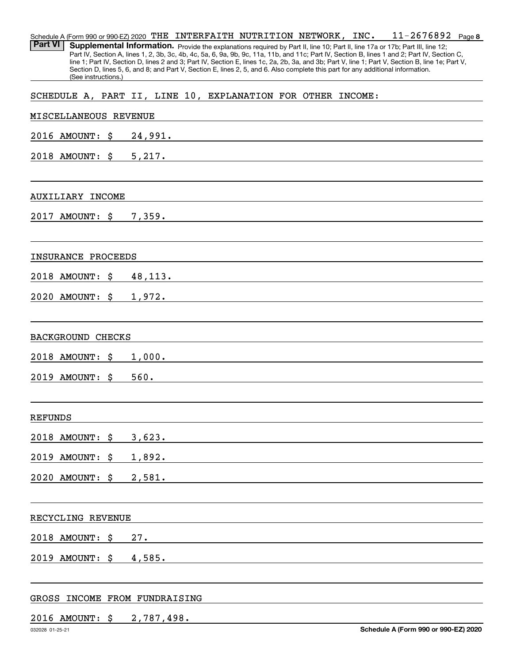| <b>Part VI</b> |                          |     | Schedule A (Form 990 or 990-EZ) 2020 THE INTERFAITH NUTRITION NETWORK, INC.<br>$11 - 2676892$ Page 8<br>Supplemental Information. Provide the explanations required by Part II, line 10; Part II, line 17a or 17b; Part III, line 12;                                                                                                                                                                                               |
|----------------|--------------------------|-----|-------------------------------------------------------------------------------------------------------------------------------------------------------------------------------------------------------------------------------------------------------------------------------------------------------------------------------------------------------------------------------------------------------------------------------------|
|                | (See instructions.)      |     | Part IV, Section A, lines 1, 2, 3b, 3c, 4b, 4c, 5a, 6, 9a, 9b, 9c, 11a, 11b, and 11c; Part IV, Section B, lines 1 and 2; Part IV, Section C,<br>line 1; Part IV, Section D, lines 2 and 3; Part IV, Section E, lines 1c, 2a, 2b, 3a, and 3b; Part V, line 1; Part V, Section B, line 1e; Part V,<br>Section D, lines 5, 6, and 8; and Part V, Section E, lines 2, 5, and 6. Also complete this part for any additional information. |
|                |                          |     | SCHEDULE A, PART II, LINE 10, EXPLANATION FOR OTHER INCOME:                                                                                                                                                                                                                                                                                                                                                                         |
|                | MISCELLANEOUS REVENUE    |     | the control of the control of the control of the control of the control of the control of the control of the control of the control of the control of the control of the control of the control of the control of the control                                                                                                                                                                                                       |
|                | 2016 AMOUNT:             | \$. |                                                                                                                                                                                                                                                                                                                                                                                                                                     |
|                |                          |     | 2018 AMOUNT: \$ 5, 217.                                                                                                                                                                                                                                                                                                                                                                                                             |
|                | <b>AUXILIARY INCOME</b>  |     |                                                                                                                                                                                                                                                                                                                                                                                                                                     |
|                | 2017 AMOUNT: \$          |     |                                                                                                                                                                                                                                                                                                                                                                                                                                     |
|                | INSURANCE PROCEEDS       |     |                                                                                                                                                                                                                                                                                                                                                                                                                                     |
|                | 2018 AMOUNT:             | \$  | 48, 113.                                                                                                                                                                                                                                                                                                                                                                                                                            |
|                | 2020 AMOUNT: \$ 1,972.   |     | <u> 1989 - Johann Barn, amerikansk politiker (d. 1989)</u>                                                                                                                                                                                                                                                                                                                                                                          |
|                | <b>BACKGROUND CHECKS</b> |     |                                                                                                                                                                                                                                                                                                                                                                                                                                     |
|                | 2018 AMOUNT:             | S   | $1,000.$ $\qquad \qquad$ $\qquad \qquad$ $\qquad \qquad$ $\qquad \qquad$ $\qquad \qquad$ $\qquad \qquad$ $\qquad \qquad$ $\qquad \qquad$ $\qquad \qquad$ $\qquad \qquad$ $\qquad \qquad$ $\qquad \qquad$ $\qquad \qquad$ $\qquad$ $\qquad \qquad$ $\qquad$ $\qquad \qquad$ $\qquad$ $\qquad$ $\qquad$ $\qquad$ $\qquad$ $\qquad$ $\qquad$ $\qquad$ $\qquad$ $\qquad$ $\qquad$                                                       |
|                | 2019 AMOUNT:             | \$  | 560.<br><u> 1989 - Johann Harry Harry Harry Harry Harry Harry Harry Harry Harry Harry Harry Harry Harry Harry Harry Harry</u>                                                                                                                                                                                                                                                                                                       |
| <b>REFUNDS</b> |                          |     |                                                                                                                                                                                                                                                                                                                                                                                                                                     |
|                | 2018 AMOUNT: \$ 3,623.   |     |                                                                                                                                                                                                                                                                                                                                                                                                                                     |
|                | 2019 AMOUNT: \$ 1,892.   |     |                                                                                                                                                                                                                                                                                                                                                                                                                                     |
|                | 2020 AMOUNT: \$ 2,581.   |     |                                                                                                                                                                                                                                                                                                                                                                                                                                     |
|                | RECYCLING REVENUE        |     |                                                                                                                                                                                                                                                                                                                                                                                                                                     |
|                | 2018 AMOUNT: \$          |     | 27.                                                                                                                                                                                                                                                                                                                                                                                                                                 |
|                | 2019 AMOUNT: \$          |     | 4,585.                                                                                                                                                                                                                                                                                                                                                                                                                              |
|                |                          |     |                                                                                                                                                                                                                                                                                                                                                                                                                                     |
|                |                          |     | GROSS INCOME FROM FUNDRAISING                                                                                                                                                                                                                                                                                                                                                                                                       |
|                |                          |     | 2016 AMOUNT: \$ 2,787,498.                                                                                                                                                                                                                                                                                                                                                                                                          |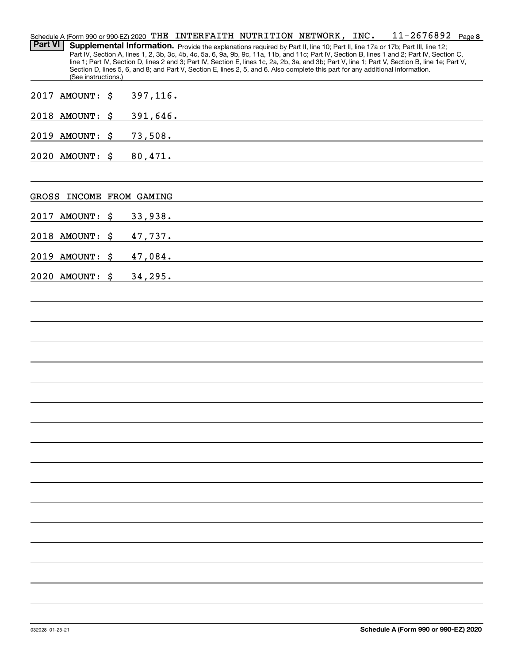|                |                     |                    | Schedule A (Form 990 or 990-EZ) 2020 THE INTERFAITH NUTRITION NETWORK, INC.                                                     |  | 11-2676892                                                                                                                                       | Page 8 |
|----------------|---------------------|--------------------|---------------------------------------------------------------------------------------------------------------------------------|--|--------------------------------------------------------------------------------------------------------------------------------------------------|--------|
| <b>Part VI</b> |                     |                    | Supplemental Information. Provide the explanations required by Part II, line 10; Part II, line 17a or 17b; Part III, line 12;   |  | Part IV, Section A, lines 1, 2, 3b, 3c, 4b, 4c, 5a, 6, 9a, 9b, 9c, 11a, 11b, and 11c; Part IV, Section B, lines 1 and 2; Part IV, Section C,     |        |
|                |                     |                    |                                                                                                                                 |  | line 1; Part IV, Section D, lines 2 and 3; Part IV, Section E, lines 1c, 2a, 2b, 3a, and 3b; Part V, line 1; Part V, Section B, line 1e; Part V, |        |
|                | (See instructions.) |                    | Section D, lines 5, 6, and 8; and Part V, Section E, lines 2, 5, and 6. Also complete this part for any additional information. |  |                                                                                                                                                  |        |
| 2017           | <b>AMOUNT:</b>      | \$<br>397, 116.    |                                                                                                                                 |  |                                                                                                                                                  |        |
|                |                     |                    | <u> 1989 - Johann John Stein, markin f</u>                                                                                      |  |                                                                                                                                                  |        |
|                | 2018 AMOUNT:        | \$<br>391,646.     | <u> 1980 - Jan Samuel Barbara, martin a shekara 1980 - Shekara 1980 - Shekara 1980 - Shekara 1980 - Shekara 1980</u>            |  |                                                                                                                                                  |        |
|                | 2019 AMOUNT:        | \$<br>73,508.      | <u> 1989 - Andrea Andrew Maria (h. 1989).</u>                                                                                   |  |                                                                                                                                                  |        |
|                | 2020 AMOUNT:        | \$<br>80,471.      |                                                                                                                                 |  |                                                                                                                                                  |        |
| GROSS          |                     | INCOME FROM GAMING |                                                                                                                                 |  |                                                                                                                                                  |        |
|                |                     |                    |                                                                                                                                 |  |                                                                                                                                                  |        |
| 2017           | <b>AMOUNT:</b>      | \$<br>33,938.      |                                                                                                                                 |  |                                                                                                                                                  |        |
|                | 2018 AMOUNT:        | \$<br>47,737.      | <u> 1989 - Johann Harry Harry Harry Harry Harry Harry Harry Harry Harry Harry Harry Harry Harry Harry Harry Harry</u>           |  |                                                                                                                                                  |        |
| 2019           | <b>AMOUNT:</b>      | \$<br>47,084.      | <u> 1989 - John Stein, Amerikaansk politiker (</u>                                                                              |  |                                                                                                                                                  |        |
|                | 2020 AMOUNT:        | \$<br>34, 295.     |                                                                                                                                 |  |                                                                                                                                                  |        |
|                |                     |                    |                                                                                                                                 |  |                                                                                                                                                  |        |
|                |                     |                    |                                                                                                                                 |  |                                                                                                                                                  |        |
|                |                     |                    |                                                                                                                                 |  |                                                                                                                                                  |        |
|                |                     |                    |                                                                                                                                 |  |                                                                                                                                                  |        |
|                |                     |                    |                                                                                                                                 |  |                                                                                                                                                  |        |
|                |                     |                    |                                                                                                                                 |  |                                                                                                                                                  |        |
|                |                     |                    |                                                                                                                                 |  |                                                                                                                                                  |        |
|                |                     |                    |                                                                                                                                 |  |                                                                                                                                                  |        |
|                |                     |                    |                                                                                                                                 |  |                                                                                                                                                  |        |
|                |                     |                    |                                                                                                                                 |  |                                                                                                                                                  |        |
|                |                     |                    |                                                                                                                                 |  |                                                                                                                                                  |        |
|                |                     |                    |                                                                                                                                 |  |                                                                                                                                                  |        |
|                |                     |                    |                                                                                                                                 |  |                                                                                                                                                  |        |
|                |                     |                    |                                                                                                                                 |  |                                                                                                                                                  |        |
|                |                     |                    |                                                                                                                                 |  |                                                                                                                                                  |        |
|                |                     |                    |                                                                                                                                 |  |                                                                                                                                                  |        |
|                |                     |                    |                                                                                                                                 |  |                                                                                                                                                  |        |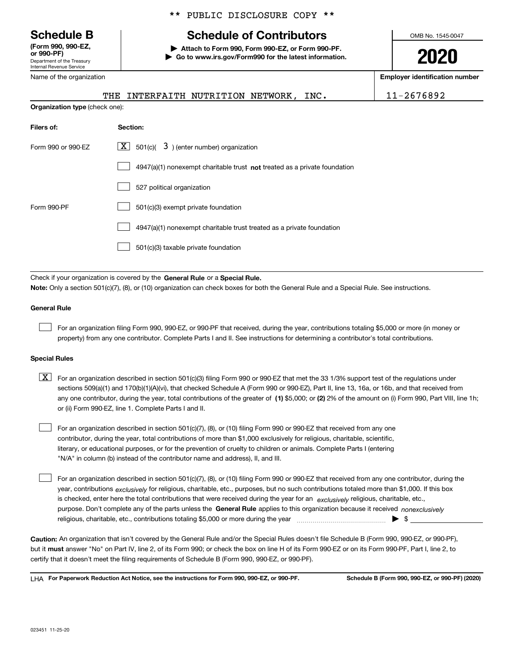Department of the Treasury Internal Revenue Service **(Form 990, 990-EZ, or 990-PF)**

Name of the organization

## \*\* PUBLIC DISCLOSURE COPY \*\*

# **Schedule B Schedule of Contributors**

**| Attach to Form 990, Form 990-EZ, or Form 990-PF. | Go to www.irs.gov/Form990 for the latest information.** OMB No. 1545-0047

**2020**

**Employer identification number**

|                                       | THE INTERFAITH NUTRITION NETWORK, INC.                                             | 11-2676892 |
|---------------------------------------|------------------------------------------------------------------------------------|------------|
| <b>Organization type (check one):</b> |                                                                                    |            |
| Filers of:                            | Section:                                                                           |            |
| Form 990 or 990-EZ                    | $X$ 501(c)( 3) (enter number) organization                                         |            |
|                                       | $4947(a)(1)$ nonexempt charitable trust <b>not</b> treated as a private foundation |            |
|                                       | 527 political organization                                                         |            |
| Form 990-PF                           | 501(c)(3) exempt private foundation                                                |            |
|                                       | 4947(a)(1) nonexempt charitable trust treated as a private foundation              |            |

501(c)(3) taxable private foundation  $\mathcal{L}^{\text{max}}$ 

Check if your organization is covered by the **General Rule** or a **Special Rule. Note:**  Only a section 501(c)(7), (8), or (10) organization can check boxes for both the General Rule and a Special Rule. See instructions.

#### **General Rule**

 $\mathcal{L}^{\text{max}}$ 

For an organization filing Form 990, 990-EZ, or 990-PF that received, during the year, contributions totaling \$5,000 or more (in money or property) from any one contributor. Complete Parts I and II. See instructions for determining a contributor's total contributions.

#### **Special Rules**

any one contributor, during the year, total contributions of the greater of  $\,$  (1) \$5,000; or **(2)** 2% of the amount on (i) Form 990, Part VIII, line 1h;  $\boxed{\textbf{X}}$  For an organization described in section 501(c)(3) filing Form 990 or 990-EZ that met the 33 1/3% support test of the regulations under sections 509(a)(1) and 170(b)(1)(A)(vi), that checked Schedule A (Form 990 or 990-EZ), Part II, line 13, 16a, or 16b, and that received from or (ii) Form 990-EZ, line 1. Complete Parts I and II.

For an organization described in section 501(c)(7), (8), or (10) filing Form 990 or 990-EZ that received from any one contributor, during the year, total contributions of more than \$1,000 exclusively for religious, charitable, scientific, literary, or educational purposes, or for the prevention of cruelty to children or animals. Complete Parts I (entering "N/A" in column (b) instead of the contributor name and address), II, and III.  $\mathcal{L}^{\text{max}}$ 

purpose. Don't complete any of the parts unless the **General Rule** applies to this organization because it received *nonexclusively* year, contributions <sub>exclusively</sub> for religious, charitable, etc., purposes, but no such contributions totaled more than \$1,000. If this box is checked, enter here the total contributions that were received during the year for an  $\;$ exclusively religious, charitable, etc., For an organization described in section 501(c)(7), (8), or (10) filing Form 990 or 990-EZ that received from any one contributor, during the religious, charitable, etc., contributions totaling \$5,000 or more during the year  $\Box$ — $\Box$   $\Box$  $\mathcal{L}^{\text{max}}$ 

**Caution:**  An organization that isn't covered by the General Rule and/or the Special Rules doesn't file Schedule B (Form 990, 990-EZ, or 990-PF),  **must** but it answer "No" on Part IV, line 2, of its Form 990; or check the box on line H of its Form 990-EZ or on its Form 990-PF, Part I, line 2, to certify that it doesn't meet the filing requirements of Schedule B (Form 990, 990-EZ, or 990-PF).

**For Paperwork Reduction Act Notice, see the instructions for Form 990, 990-EZ, or 990-PF. Schedule B (Form 990, 990-EZ, or 990-PF) (2020)** LHA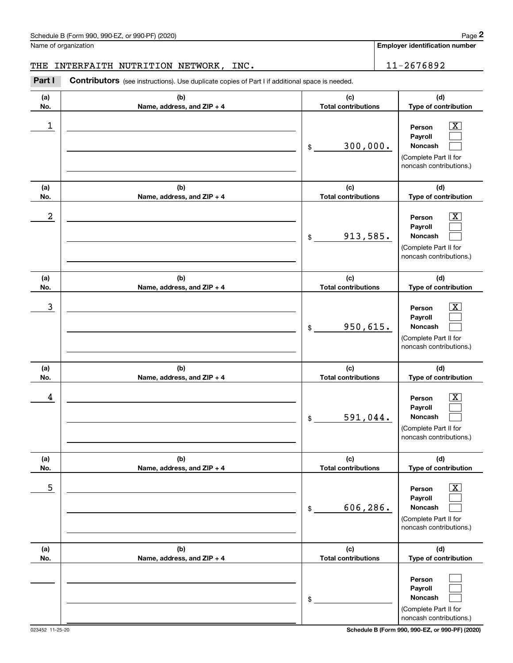Name of organization

**Employer identification number**

#### THE INTERFAITH NUTRITION NETWORK, INC.  $\vert$  11-2676892

**(a)No.(b)Name, address, and ZIP + 4 (c)Total contributions (d)Type of contribution PersonPayrollNoncash (a)No.(b)Name, address, and ZIP + 4 (c)Total contributions (d)Type of contribution PersonPayrollNoncash (a)No.(b)Name, address, and ZIP + 4 (c)Total contributions (d)Type of contribution PersonPayrollNoncash (a) No.(b) Name, address, and ZIP + 4 (c) Total contributions (d) Type of contribution PersonPayrollNoncash (a) No.(b) Name, address, and ZIP + 4 (c) Total contributions (d) Type of contribution PersonPayrollNoncash (a) No.(b)Name, address, and ZIP + 4 (c) Total contributions (d)Type of contribution PersonPayrollNoncash** Contributors (see instructions). Use duplicate copies of Part I if additional space is needed. \$(Complete Part II for noncash contributions.) \$(Complete Part II for noncash contributions.) \$(Complete Part II for noncash contributions.) \$(Complete Part II for noncash contributions.) \$(Complete Part II for noncash contributions.) \$(Complete Part II for noncash contributions.) Chedule B (Form 990, 990-EZ, or 990-PF) (2020)<br>Iame of organization<br>**2Part I 2676892**<br>Part I **Contributors** (see instructions). Use duplicate copies of Part I if additional space is needed.  $\lceil \text{X} \rceil$  $\mathcal{L}^{\text{max}}$  $\mathcal{L}^{\text{max}}$  $\boxed{\text{X}}$  $\mathcal{L}^{\text{max}}$  $\mathcal{L}^{\text{max}}$  $|X|$  $\mathcal{L}^{\text{max}}$  $\mathcal{L}^{\text{max}}$  $|X|$  $\mathcal{L}^{\text{max}}$  $\mathcal{L}^{\text{max}}$  $|X|$  $\mathcal{L}^{\text{max}}$  $\mathcal{L}^{\text{max}}$  $\mathcal{L}^{\text{max}}$  $\mathcal{L}^{\text{max}}$  $\mathcal{L}^{\text{max}}$  $\begin{array}{c|c|c|c|c|c} 1 & \hspace{1.5cm} & \hspace{1.5cm} & \hspace{1.5cm} & \hspace{1.5cm} & \hspace{1.5cm} & \hspace{1.5cm} & \hspace{1.5cm} & \hspace{1.5cm} & \hspace{1.5cm} & \hspace{1.5cm} & \hspace{1.5cm} & \hspace{1.5cm} & \hspace{1.5cm} & \hspace{1.5cm} & \hspace{1.5cm} & \hspace{1.5cm} & \hspace{1.5cm} & \hspace{1.5cm} & \hspace{1.5cm} & \hspace{1.5cm} &$ 300,000.  $2$  | Person  $\overline{\text{X}}$ 913,585.  $\overline{3}$  | Person  $\overline{X}$ 950,615.  $4$  | Person  $\overline{\text{X}}$ 591,044.  $\sim$  5 | Person X 606,286.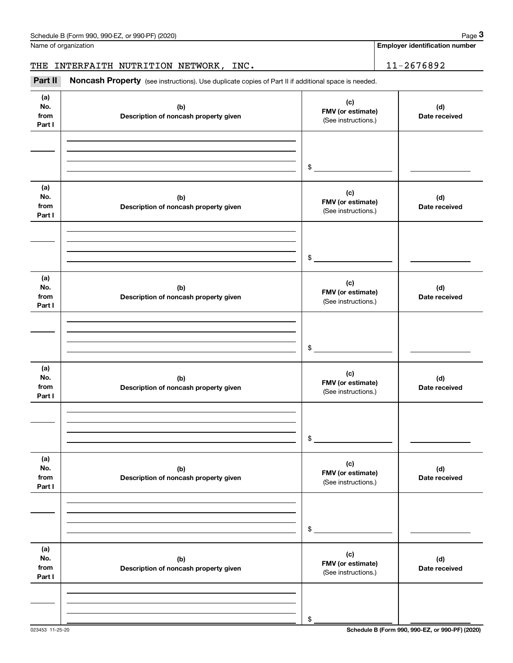|                              | Schedule B (Form 990, 990-EZ, or 990-PF) (2020)                                                     |                                                 | Page 3                                |
|------------------------------|-----------------------------------------------------------------------------------------------------|-------------------------------------------------|---------------------------------------|
|                              | Name of organization                                                                                |                                                 | <b>Employer identification number</b> |
| THE                          | INTERFAITH NUTRITION NETWORK, INC.                                                                  |                                                 | 11-2676892                            |
| Part II                      | Noncash Property (see instructions). Use duplicate copies of Part II if additional space is needed. |                                                 |                                       |
| (a)<br>No.<br>from<br>Part I | (b)<br>Description of noncash property given                                                        | (c)<br>FMV (or estimate)<br>(See instructions.) | (d)<br>Date received                  |
|                              |                                                                                                     | \$                                              |                                       |
| (a)<br>No.<br>from<br>Part I | (b)<br>Description of noncash property given                                                        | (c)<br>FMV (or estimate)<br>(See instructions.) | (d)<br>Date received                  |
|                              |                                                                                                     | \$                                              |                                       |
| (a)<br>No.<br>from<br>Part I | (b)<br>Description of noncash property given                                                        | (c)<br>FMV (or estimate)<br>(See instructions.) | (d)<br>Date received                  |
|                              |                                                                                                     | \$                                              |                                       |
| (a)<br>No.<br>from<br>Part I | (b)<br>Description of noncash property given                                                        | (c)<br>FMV (or estimate)<br>(See instructions.) | (d)<br>Date received                  |
|                              |                                                                                                     | \$                                              |                                       |
| (a)<br>No.<br>from<br>Part I | (b)<br>Description of noncash property given                                                        | (c)<br>FMV (or estimate)<br>(See instructions.) | (d)<br>Date received                  |
|                              |                                                                                                     | \$                                              |                                       |
| (a)<br>No.<br>from<br>Part I | (b)<br>Description of noncash property given                                                        | (c)<br>FMV (or estimate)<br>(See instructions.) | (d)<br>Date received                  |
|                              |                                                                                                     | \$                                              |                                       |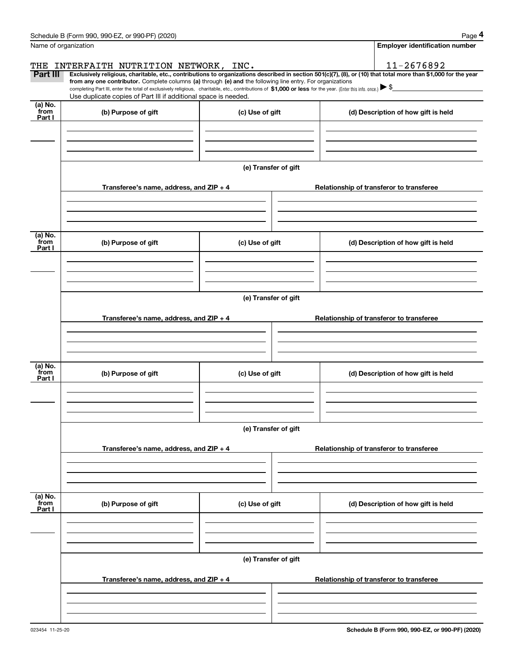|                           | Schedule B (Form 990, 990-EZ, or 990-PF) (2020)                                                                                                                                                                                                      |                      | Page 4                                                                                                                                                         |  |  |  |  |  |  |  |
|---------------------------|------------------------------------------------------------------------------------------------------------------------------------------------------------------------------------------------------------------------------------------------------|----------------------|----------------------------------------------------------------------------------------------------------------------------------------------------------------|--|--|--|--|--|--|--|
|                           | Name of organization                                                                                                                                                                                                                                 |                      | <b>Employer identification number</b>                                                                                                                          |  |  |  |  |  |  |  |
| THE                       | INTERFAITH NUTRITION NETWORK, INC.                                                                                                                                                                                                                   |                      | 11-2676892                                                                                                                                                     |  |  |  |  |  |  |  |
| Part III                  | from any one contributor. Complete columns (a) through (e) and the following line entry. For organizations                                                                                                                                           |                      | Exclusively religious, charitable, etc., contributions to organizations described in section 501(c)(7), (8), or (10) that total more than \$1,000 for the year |  |  |  |  |  |  |  |
|                           | completing Part III, enter the total of exclusively religious, charitable, etc., contributions of \$1,000 or less for the year. (Enter this info. once.) $\blacktriangleright$ \$<br>Use duplicate copies of Part III if additional space is needed. |                      |                                                                                                                                                                |  |  |  |  |  |  |  |
| (a) No.                   |                                                                                                                                                                                                                                                      |                      |                                                                                                                                                                |  |  |  |  |  |  |  |
| from<br>Part I            | (b) Purpose of gift                                                                                                                                                                                                                                  | (c) Use of gift      | (d) Description of how gift is held                                                                                                                            |  |  |  |  |  |  |  |
|                           |                                                                                                                                                                                                                                                      |                      |                                                                                                                                                                |  |  |  |  |  |  |  |
|                           |                                                                                                                                                                                                                                                      |                      |                                                                                                                                                                |  |  |  |  |  |  |  |
|                           |                                                                                                                                                                                                                                                      |                      |                                                                                                                                                                |  |  |  |  |  |  |  |
|                           |                                                                                                                                                                                                                                                      | (e) Transfer of gift |                                                                                                                                                                |  |  |  |  |  |  |  |
|                           | Transferee's name, address, and ZIP + 4                                                                                                                                                                                                              |                      | Relationship of transferor to transferee                                                                                                                       |  |  |  |  |  |  |  |
|                           |                                                                                                                                                                                                                                                      |                      |                                                                                                                                                                |  |  |  |  |  |  |  |
|                           |                                                                                                                                                                                                                                                      |                      |                                                                                                                                                                |  |  |  |  |  |  |  |
|                           |                                                                                                                                                                                                                                                      |                      |                                                                                                                                                                |  |  |  |  |  |  |  |
| (a) No.<br>from           | (b) Purpose of gift                                                                                                                                                                                                                                  | (c) Use of gift      | (d) Description of how gift is held                                                                                                                            |  |  |  |  |  |  |  |
| Part I                    |                                                                                                                                                                                                                                                      |                      |                                                                                                                                                                |  |  |  |  |  |  |  |
|                           |                                                                                                                                                                                                                                                      |                      |                                                                                                                                                                |  |  |  |  |  |  |  |
|                           |                                                                                                                                                                                                                                                      |                      |                                                                                                                                                                |  |  |  |  |  |  |  |
|                           | (e) Transfer of gift                                                                                                                                                                                                                                 |                      |                                                                                                                                                                |  |  |  |  |  |  |  |
|                           |                                                                                                                                                                                                                                                      |                      |                                                                                                                                                                |  |  |  |  |  |  |  |
|                           | Transferee's name, address, and ZIP + 4                                                                                                                                                                                                              |                      | Relationship of transferor to transferee                                                                                                                       |  |  |  |  |  |  |  |
|                           |                                                                                                                                                                                                                                                      |                      |                                                                                                                                                                |  |  |  |  |  |  |  |
|                           |                                                                                                                                                                                                                                                      |                      |                                                                                                                                                                |  |  |  |  |  |  |  |
| (a) No.                   |                                                                                                                                                                                                                                                      |                      |                                                                                                                                                                |  |  |  |  |  |  |  |
| from<br>Part I            | (b) Purpose of gift                                                                                                                                                                                                                                  | (c) Use of gift      | (d) Description of how gift is held                                                                                                                            |  |  |  |  |  |  |  |
|                           |                                                                                                                                                                                                                                                      |                      |                                                                                                                                                                |  |  |  |  |  |  |  |
|                           |                                                                                                                                                                                                                                                      |                      |                                                                                                                                                                |  |  |  |  |  |  |  |
|                           |                                                                                                                                                                                                                                                      |                      |                                                                                                                                                                |  |  |  |  |  |  |  |
|                           | (e) Transfer of gift                                                                                                                                                                                                                                 |                      |                                                                                                                                                                |  |  |  |  |  |  |  |
|                           | Transferee's name, address, and ZIP + 4                                                                                                                                                                                                              |                      | Relationship of transferor to transferee                                                                                                                       |  |  |  |  |  |  |  |
|                           |                                                                                                                                                                                                                                                      |                      |                                                                                                                                                                |  |  |  |  |  |  |  |
|                           |                                                                                                                                                                                                                                                      |                      |                                                                                                                                                                |  |  |  |  |  |  |  |
|                           |                                                                                                                                                                                                                                                      |                      |                                                                                                                                                                |  |  |  |  |  |  |  |
| (a) No.<br>from<br>Part I | (b) Purpose of gift                                                                                                                                                                                                                                  | (c) Use of gift      | (d) Description of how gift is held                                                                                                                            |  |  |  |  |  |  |  |
|                           |                                                                                                                                                                                                                                                      |                      |                                                                                                                                                                |  |  |  |  |  |  |  |
|                           |                                                                                                                                                                                                                                                      |                      |                                                                                                                                                                |  |  |  |  |  |  |  |
|                           |                                                                                                                                                                                                                                                      |                      |                                                                                                                                                                |  |  |  |  |  |  |  |
|                           | (e) Transfer of gift                                                                                                                                                                                                                                 |                      |                                                                                                                                                                |  |  |  |  |  |  |  |
|                           |                                                                                                                                                                                                                                                      |                      |                                                                                                                                                                |  |  |  |  |  |  |  |
|                           | Transferee's name, address, and ZIP + 4                                                                                                                                                                                                              |                      | Relationship of transferor to transferee                                                                                                                       |  |  |  |  |  |  |  |
|                           |                                                                                                                                                                                                                                                      |                      |                                                                                                                                                                |  |  |  |  |  |  |  |
|                           |                                                                                                                                                                                                                                                      |                      |                                                                                                                                                                |  |  |  |  |  |  |  |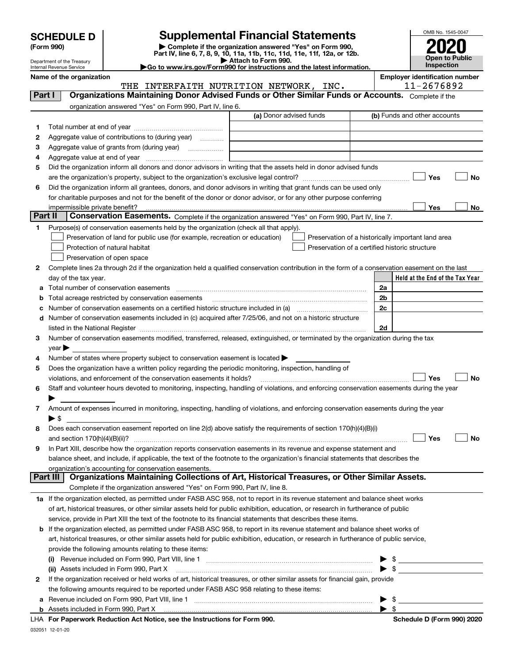| <b>SCHEDULE D</b> |
|-------------------|
|-------------------|

| (Form 990) |
|------------|
|            |

# **SCHEDULE D Supplemental Financial Statements**

(Form 990)<br>
Pepartment of the Treasury<br>
Department of the Treasury<br>
Department of the Treasury<br>
Department of the Treasury<br> **Co to www.irs.gov/Form990 for instructions and the latest information.**<br> **Co to www.irs.gov/Form9** 



Department of the Treasury Internal Revenue Service

|         | Name of the organization                                                                                                                       | THE INTERFAITH NUTRITION NETWORK, INC. | <b>Employer identification number</b><br>11-2676892 |
|---------|------------------------------------------------------------------------------------------------------------------------------------------------|----------------------------------------|-----------------------------------------------------|
| Part I  | Organizations Maintaining Donor Advised Funds or Other Similar Funds or Accounts. Complete if the                                              |                                        |                                                     |
|         | organization answered "Yes" on Form 990, Part IV, line 6.                                                                                      |                                        |                                                     |
|         |                                                                                                                                                | (a) Donor advised funds                | (b) Funds and other accounts                        |
| 1.      |                                                                                                                                                |                                        |                                                     |
| 2       | Aggregate value of contributions to (during year)                                                                                              |                                        |                                                     |
| з       |                                                                                                                                                |                                        |                                                     |
| 4       |                                                                                                                                                |                                        |                                                     |
| 5       | Did the organization inform all donors and donor advisors in writing that the assets held in donor advised funds                               |                                        |                                                     |
|         |                                                                                                                                                |                                        | Yes<br>No                                           |
| 6       | Did the organization inform all grantees, donors, and donor advisors in writing that grant funds can be used only                              |                                        |                                                     |
|         | for charitable purposes and not for the benefit of the donor or donor advisor, or for any other purpose conferring                             |                                        |                                                     |
|         |                                                                                                                                                |                                        | Yes<br>No                                           |
| Part II | Conservation Easements. Complete if the organization answered "Yes" on Form 990, Part IV, line 7.                                              |                                        |                                                     |
| 1       | Purpose(s) of conservation easements held by the organization (check all that apply).                                                          |                                        |                                                     |
|         | Preservation of land for public use (for example, recreation or education)                                                                     |                                        | Preservation of a historically important land area  |
|         | Protection of natural habitat                                                                                                                  |                                        | Preservation of a certified historic structure      |
|         | Preservation of open space                                                                                                                     |                                        |                                                     |
| 2       | Complete lines 2a through 2d if the organization held a qualified conservation contribution in the form of a conservation easement on the last |                                        |                                                     |
|         | day of the tax year.                                                                                                                           |                                        | Held at the End of the Tax Year                     |
| а       | Total number of conservation easements                                                                                                         |                                        | 2a                                                  |
| b       | Total acreage restricted by conservation easements                                                                                             |                                        | 2 <sub>b</sub>                                      |
| с       |                                                                                                                                                |                                        | 2c                                                  |
| d       | Number of conservation easements included in (c) acquired after 7/25/06, and not on a historic structure                                       |                                        |                                                     |
|         |                                                                                                                                                |                                        | 2d                                                  |
| З.      | Number of conservation easements modified, transferred, released, extinguished, or terminated by the organization during the tax               |                                        |                                                     |
|         | $year \blacktriangleright$                                                                                                                     |                                        |                                                     |
| 4       | Number of states where property subject to conservation easement is located >                                                                  |                                        |                                                     |
| 5       | Does the organization have a written policy regarding the periodic monitoring, inspection, handling of                                         |                                        |                                                     |
|         | violations, and enforcement of the conservation easements it holds?                                                                            |                                        | Yes<br>No                                           |
| 6       | Staff and volunteer hours devoted to monitoring, inspecting, handling of violations, and enforcing conservation easements during the year      |                                        |                                                     |
|         | Amount of expenses incurred in monitoring, inspecting, handling of violations, and enforcing conservation easements during the year            |                                        |                                                     |
| 7       | $\blacktriangleright$ s                                                                                                                        |                                        |                                                     |
| 8       | Does each conservation easement reported on line 2(d) above satisfy the requirements of section 170(h)(4)(B)(i)                                |                                        |                                                     |
|         |                                                                                                                                                |                                        | Yes<br>No                                           |
|         | In Part XIII, describe how the organization reports conservation easements in its revenue and expense statement and                            |                                        |                                                     |
|         | balance sheet, and include, if applicable, the text of the footnote to the organization's financial statements that describes the              |                                        |                                                     |
|         | organization's accounting for conservation easements.                                                                                          |                                        |                                                     |
|         | Organizations Maintaining Collections of Art, Historical Treasures, or Other Similar Assets.<br>Part III                                       |                                        |                                                     |
|         | Complete if the organization answered "Yes" on Form 990, Part IV, line 8.                                                                      |                                        |                                                     |
|         | 1a If the organization elected, as permitted under FASB ASC 958, not to report in its revenue statement and balance sheet works                |                                        |                                                     |
|         | of art, historical treasures, or other similar assets held for public exhibition, education, or research in furtherance of public              |                                        |                                                     |
|         | service, provide in Part XIII the text of the footnote to its financial statements that describes these items.                                 |                                        |                                                     |
| b       | If the organization elected, as permitted under FASB ASC 958, to report in its revenue statement and balance sheet works of                    |                                        |                                                     |
|         | art, historical treasures, or other similar assets held for public exhibition, education, or research in furtherance of public service,        |                                        |                                                     |
|         | provide the following amounts relating to these items:                                                                                         |                                        |                                                     |
|         | (i)                                                                                                                                            |                                        | \$                                                  |
|         | (ii) Assets included in Form 990, Part X                                                                                                       |                                        | \$                                                  |
| 2       | If the organization received or held works of art, historical treasures, or other similar assets for financial gain, provide                   |                                        |                                                     |
|         | the following amounts required to be reported under FASB ASC 958 relating to these items:                                                      |                                        |                                                     |
| а       |                                                                                                                                                |                                        | $\frac{1}{2}$                                       |
|         |                                                                                                                                                |                                        | $\blacktriangleright$ s                             |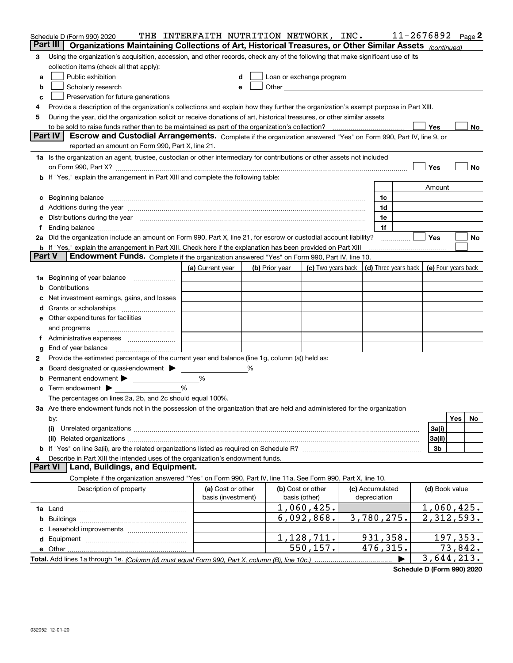| Part III<br>Organizations Maintaining Collections of Art, Historical Treasures, or Other Similar Assets (continued)<br>Using the organization's acquisition, accession, and other records, check any of the following that make significant use of its<br>3<br>collection items (check all that apply):<br>Public exhibition<br>Loan or exchange program<br>a<br>Other and the contract of the contract of the contract of the contract of the contract of the contract of the contract of the contract of the contract of the contract of the contract of the contract of the contract of the<br>Scholarly research<br>b<br>е<br>Preservation for future generations<br>c<br>Provide a description of the organization's collections and explain how they further the organization's exempt purpose in Part XIII.<br>4<br>During the year, did the organization solicit or receive donations of art, historical treasures, or other similar assets<br>5<br>to be sold to raise funds rather than to be maintained as part of the organization's collection?<br>Yes<br>No<br><b>Part IV</b><br>Escrow and Custodial Arrangements. Complete if the organization answered "Yes" on Form 990, Part IV, line 9, or<br>reported an amount on Form 990, Part X, line 21.<br>1a Is the organization an agent, trustee, custodian or other intermediary for contributions or other assets not included<br>Yes<br>No<br>on Form 990, Part X? [11] matter contracts and contracts and contracts are contracted as a function of the set of the set of the set of the set of the set of the set of the set of the set of the set of the set of the set o<br>b If "Yes," explain the arrangement in Part XIII and complete the following table:<br>Amount<br>Beginning balance<br>1c<br>c<br>Additions during the year manufactured and an annual contract of the year manufactured and a set of the year manufactured and a set of the year manufactured and a set of the year manufactured and set of the set of the set<br>1d<br>Distributions during the year measurement contains and all the state of the state of the state of the state of<br>1e<br>е<br>1f<br>Yes<br>2a Did the organization include an amount on Form 990, Part X, line 21, for escrow or custodial account liability?<br>No<br>b If "Yes," explain the arrangement in Part XIII. Check here if the explanation has been provided on Part XIII<br><b>Part V</b><br>Endowment Funds. Complete if the organization answered "Yes" on Form 990, Part IV, line 10.<br>(d) Three years back<br>(a) Current year<br>(c) Two years back<br>(e) Four years back<br>(b) Prior year<br>Beginning of year balance<br>1a<br>Net investment earnings, gains, and losses<br>e Other expenditures for facilities<br>and programs<br>End of year balance<br>g<br>Provide the estimated percentage of the current year end balance (line 1g, column (a)) held as:<br>2<br>Board designated or quasi-endowment > ____<br>%<br>%<br>b<br>%<br>Term endowment $\blacktriangleright$<br>c<br>The percentages on lines 2a, 2b, and 2c should equal 100%.<br>3a Are there endowment funds not in the possession of the organization that are held and administered for the organization<br>Yes<br>No<br>by:<br>3a(i)<br>(i)<br>3a(ii)<br>3b<br>Describe in Part XIII the intended uses of the organization's endowment funds.<br>4<br>Land, Buildings, and Equipment.<br><b>Part VI</b><br>Complete if the organization answered "Yes" on Form 990, Part IV, line 11a. See Form 990, Part X, line 10.<br>Description of property<br>(a) Cost or other<br>(b) Cost or other<br>(c) Accumulated<br>(d) Book value<br>basis (investment)<br>depreciation<br>basis (other)<br>1,060,425.<br>1,060,425.<br>$\overline{2}$ , 312, 593.<br>6,092,868.<br>3,780,275.<br>1,128,711.<br>931,358.<br>197,353.<br>476, 315.<br>$\overline{73}$ , 842.<br>550, 157.<br>e Other<br>3,644,213.<br>Total. Add lines 1a through 1e. (Column (d) must equal Form 990. Part X. column (B). line 10c.) | Schedule D (Form 990) 2020 | THE INTERFAITH NUTRITION NETWORK, INC. |  |  | 11-2676892 | Page 2 |  |
|---------------------------------------------------------------------------------------------------------------------------------------------------------------------------------------------------------------------------------------------------------------------------------------------------------------------------------------------------------------------------------------------------------------------------------------------------------------------------------------------------------------------------------------------------------------------------------------------------------------------------------------------------------------------------------------------------------------------------------------------------------------------------------------------------------------------------------------------------------------------------------------------------------------------------------------------------------------------------------------------------------------------------------------------------------------------------------------------------------------------------------------------------------------------------------------------------------------------------------------------------------------------------------------------------------------------------------------------------------------------------------------------------------------------------------------------------------------------------------------------------------------------------------------------------------------------------------------------------------------------------------------------------------------------------------------------------------------------------------------------------------------------------------------------------------------------------------------------------------------------------------------------------------------------------------------------------------------------------------------------------------------------------------------------------------------------------------------------------------------------------------------------------------------------------------------------------------------------------------------------------------------------------------------------------------------------------------------------------------------------------------------------------------------------------------------------------------------------------------------------------------------------------------------------------------------------------------------------------------------------------------------------------------------------------------------------------------------------------------------------------------------------------------------------------------------------------------------------------------------------------------------------------------------------------------------------------------------------------------------------------------------------------------------------------------------------------------------------------------------------------------------------------------------------------------------------------------------------------------------------------------------------------------------------------------------------------------------------------------------------------------------------------------------------------------------------------------------------------------------------------------------------------------------------------------------------------------------------------------------------------------------------------------------------------------------------------------------------------------------------------------------------------------------------------------------------------------------------------------------------------------------------------------------------------------------------------------------------------------------------------------------------------|----------------------------|----------------------------------------|--|--|------------|--------|--|
|                                                                                                                                                                                                                                                                                                                                                                                                                                                                                                                                                                                                                                                                                                                                                                                                                                                                                                                                                                                                                                                                                                                                                                                                                                                                                                                                                                                                                                                                                                                                                                                                                                                                                                                                                                                                                                                                                                                                                                                                                                                                                                                                                                                                                                                                                                                                                                                                                                                                                                                                                                                                                                                                                                                                                                                                                                                                                                                                                                                                                                                                                                                                                                                                                                                                                                                                                                                                                                                                                                                                                                                                                                                                                                                                                                                                                                                                                                                                                                                                                           |                            |                                        |  |  |            |        |  |
|                                                                                                                                                                                                                                                                                                                                                                                                                                                                                                                                                                                                                                                                                                                                                                                                                                                                                                                                                                                                                                                                                                                                                                                                                                                                                                                                                                                                                                                                                                                                                                                                                                                                                                                                                                                                                                                                                                                                                                                                                                                                                                                                                                                                                                                                                                                                                                                                                                                                                                                                                                                                                                                                                                                                                                                                                                                                                                                                                                                                                                                                                                                                                                                                                                                                                                                                                                                                                                                                                                                                                                                                                                                                                                                                                                                                                                                                                                                                                                                                                           |                            |                                        |  |  |            |        |  |
|                                                                                                                                                                                                                                                                                                                                                                                                                                                                                                                                                                                                                                                                                                                                                                                                                                                                                                                                                                                                                                                                                                                                                                                                                                                                                                                                                                                                                                                                                                                                                                                                                                                                                                                                                                                                                                                                                                                                                                                                                                                                                                                                                                                                                                                                                                                                                                                                                                                                                                                                                                                                                                                                                                                                                                                                                                                                                                                                                                                                                                                                                                                                                                                                                                                                                                                                                                                                                                                                                                                                                                                                                                                                                                                                                                                                                                                                                                                                                                                                                           |                            |                                        |  |  |            |        |  |
|                                                                                                                                                                                                                                                                                                                                                                                                                                                                                                                                                                                                                                                                                                                                                                                                                                                                                                                                                                                                                                                                                                                                                                                                                                                                                                                                                                                                                                                                                                                                                                                                                                                                                                                                                                                                                                                                                                                                                                                                                                                                                                                                                                                                                                                                                                                                                                                                                                                                                                                                                                                                                                                                                                                                                                                                                                                                                                                                                                                                                                                                                                                                                                                                                                                                                                                                                                                                                                                                                                                                                                                                                                                                                                                                                                                                                                                                                                                                                                                                                           |                            |                                        |  |  |            |        |  |
|                                                                                                                                                                                                                                                                                                                                                                                                                                                                                                                                                                                                                                                                                                                                                                                                                                                                                                                                                                                                                                                                                                                                                                                                                                                                                                                                                                                                                                                                                                                                                                                                                                                                                                                                                                                                                                                                                                                                                                                                                                                                                                                                                                                                                                                                                                                                                                                                                                                                                                                                                                                                                                                                                                                                                                                                                                                                                                                                                                                                                                                                                                                                                                                                                                                                                                                                                                                                                                                                                                                                                                                                                                                                                                                                                                                                                                                                                                                                                                                                                           |                            |                                        |  |  |            |        |  |
|                                                                                                                                                                                                                                                                                                                                                                                                                                                                                                                                                                                                                                                                                                                                                                                                                                                                                                                                                                                                                                                                                                                                                                                                                                                                                                                                                                                                                                                                                                                                                                                                                                                                                                                                                                                                                                                                                                                                                                                                                                                                                                                                                                                                                                                                                                                                                                                                                                                                                                                                                                                                                                                                                                                                                                                                                                                                                                                                                                                                                                                                                                                                                                                                                                                                                                                                                                                                                                                                                                                                                                                                                                                                                                                                                                                                                                                                                                                                                                                                                           |                            |                                        |  |  |            |        |  |
|                                                                                                                                                                                                                                                                                                                                                                                                                                                                                                                                                                                                                                                                                                                                                                                                                                                                                                                                                                                                                                                                                                                                                                                                                                                                                                                                                                                                                                                                                                                                                                                                                                                                                                                                                                                                                                                                                                                                                                                                                                                                                                                                                                                                                                                                                                                                                                                                                                                                                                                                                                                                                                                                                                                                                                                                                                                                                                                                                                                                                                                                                                                                                                                                                                                                                                                                                                                                                                                                                                                                                                                                                                                                                                                                                                                                                                                                                                                                                                                                                           |                            |                                        |  |  |            |        |  |
|                                                                                                                                                                                                                                                                                                                                                                                                                                                                                                                                                                                                                                                                                                                                                                                                                                                                                                                                                                                                                                                                                                                                                                                                                                                                                                                                                                                                                                                                                                                                                                                                                                                                                                                                                                                                                                                                                                                                                                                                                                                                                                                                                                                                                                                                                                                                                                                                                                                                                                                                                                                                                                                                                                                                                                                                                                                                                                                                                                                                                                                                                                                                                                                                                                                                                                                                                                                                                                                                                                                                                                                                                                                                                                                                                                                                                                                                                                                                                                                                                           |                            |                                        |  |  |            |        |  |
|                                                                                                                                                                                                                                                                                                                                                                                                                                                                                                                                                                                                                                                                                                                                                                                                                                                                                                                                                                                                                                                                                                                                                                                                                                                                                                                                                                                                                                                                                                                                                                                                                                                                                                                                                                                                                                                                                                                                                                                                                                                                                                                                                                                                                                                                                                                                                                                                                                                                                                                                                                                                                                                                                                                                                                                                                                                                                                                                                                                                                                                                                                                                                                                                                                                                                                                                                                                                                                                                                                                                                                                                                                                                                                                                                                                                                                                                                                                                                                                                                           |                            |                                        |  |  |            |        |  |
|                                                                                                                                                                                                                                                                                                                                                                                                                                                                                                                                                                                                                                                                                                                                                                                                                                                                                                                                                                                                                                                                                                                                                                                                                                                                                                                                                                                                                                                                                                                                                                                                                                                                                                                                                                                                                                                                                                                                                                                                                                                                                                                                                                                                                                                                                                                                                                                                                                                                                                                                                                                                                                                                                                                                                                                                                                                                                                                                                                                                                                                                                                                                                                                                                                                                                                                                                                                                                                                                                                                                                                                                                                                                                                                                                                                                                                                                                                                                                                                                                           |                            |                                        |  |  |            |        |  |
|                                                                                                                                                                                                                                                                                                                                                                                                                                                                                                                                                                                                                                                                                                                                                                                                                                                                                                                                                                                                                                                                                                                                                                                                                                                                                                                                                                                                                                                                                                                                                                                                                                                                                                                                                                                                                                                                                                                                                                                                                                                                                                                                                                                                                                                                                                                                                                                                                                                                                                                                                                                                                                                                                                                                                                                                                                                                                                                                                                                                                                                                                                                                                                                                                                                                                                                                                                                                                                                                                                                                                                                                                                                                                                                                                                                                                                                                                                                                                                                                                           |                            |                                        |  |  |            |        |  |
|                                                                                                                                                                                                                                                                                                                                                                                                                                                                                                                                                                                                                                                                                                                                                                                                                                                                                                                                                                                                                                                                                                                                                                                                                                                                                                                                                                                                                                                                                                                                                                                                                                                                                                                                                                                                                                                                                                                                                                                                                                                                                                                                                                                                                                                                                                                                                                                                                                                                                                                                                                                                                                                                                                                                                                                                                                                                                                                                                                                                                                                                                                                                                                                                                                                                                                                                                                                                                                                                                                                                                                                                                                                                                                                                                                                                                                                                                                                                                                                                                           |                            |                                        |  |  |            |        |  |
|                                                                                                                                                                                                                                                                                                                                                                                                                                                                                                                                                                                                                                                                                                                                                                                                                                                                                                                                                                                                                                                                                                                                                                                                                                                                                                                                                                                                                                                                                                                                                                                                                                                                                                                                                                                                                                                                                                                                                                                                                                                                                                                                                                                                                                                                                                                                                                                                                                                                                                                                                                                                                                                                                                                                                                                                                                                                                                                                                                                                                                                                                                                                                                                                                                                                                                                                                                                                                                                                                                                                                                                                                                                                                                                                                                                                                                                                                                                                                                                                                           |                            |                                        |  |  |            |        |  |
|                                                                                                                                                                                                                                                                                                                                                                                                                                                                                                                                                                                                                                                                                                                                                                                                                                                                                                                                                                                                                                                                                                                                                                                                                                                                                                                                                                                                                                                                                                                                                                                                                                                                                                                                                                                                                                                                                                                                                                                                                                                                                                                                                                                                                                                                                                                                                                                                                                                                                                                                                                                                                                                                                                                                                                                                                                                                                                                                                                                                                                                                                                                                                                                                                                                                                                                                                                                                                                                                                                                                                                                                                                                                                                                                                                                                                                                                                                                                                                                                                           |                            |                                        |  |  |            |        |  |
|                                                                                                                                                                                                                                                                                                                                                                                                                                                                                                                                                                                                                                                                                                                                                                                                                                                                                                                                                                                                                                                                                                                                                                                                                                                                                                                                                                                                                                                                                                                                                                                                                                                                                                                                                                                                                                                                                                                                                                                                                                                                                                                                                                                                                                                                                                                                                                                                                                                                                                                                                                                                                                                                                                                                                                                                                                                                                                                                                                                                                                                                                                                                                                                                                                                                                                                                                                                                                                                                                                                                                                                                                                                                                                                                                                                                                                                                                                                                                                                                                           |                            |                                        |  |  |            |        |  |
|                                                                                                                                                                                                                                                                                                                                                                                                                                                                                                                                                                                                                                                                                                                                                                                                                                                                                                                                                                                                                                                                                                                                                                                                                                                                                                                                                                                                                                                                                                                                                                                                                                                                                                                                                                                                                                                                                                                                                                                                                                                                                                                                                                                                                                                                                                                                                                                                                                                                                                                                                                                                                                                                                                                                                                                                                                                                                                                                                                                                                                                                                                                                                                                                                                                                                                                                                                                                                                                                                                                                                                                                                                                                                                                                                                                                                                                                                                                                                                                                                           |                            |                                        |  |  |            |        |  |
|                                                                                                                                                                                                                                                                                                                                                                                                                                                                                                                                                                                                                                                                                                                                                                                                                                                                                                                                                                                                                                                                                                                                                                                                                                                                                                                                                                                                                                                                                                                                                                                                                                                                                                                                                                                                                                                                                                                                                                                                                                                                                                                                                                                                                                                                                                                                                                                                                                                                                                                                                                                                                                                                                                                                                                                                                                                                                                                                                                                                                                                                                                                                                                                                                                                                                                                                                                                                                                                                                                                                                                                                                                                                                                                                                                                                                                                                                                                                                                                                                           |                            |                                        |  |  |            |        |  |
|                                                                                                                                                                                                                                                                                                                                                                                                                                                                                                                                                                                                                                                                                                                                                                                                                                                                                                                                                                                                                                                                                                                                                                                                                                                                                                                                                                                                                                                                                                                                                                                                                                                                                                                                                                                                                                                                                                                                                                                                                                                                                                                                                                                                                                                                                                                                                                                                                                                                                                                                                                                                                                                                                                                                                                                                                                                                                                                                                                                                                                                                                                                                                                                                                                                                                                                                                                                                                                                                                                                                                                                                                                                                                                                                                                                                                                                                                                                                                                                                                           |                            |                                        |  |  |            |        |  |
|                                                                                                                                                                                                                                                                                                                                                                                                                                                                                                                                                                                                                                                                                                                                                                                                                                                                                                                                                                                                                                                                                                                                                                                                                                                                                                                                                                                                                                                                                                                                                                                                                                                                                                                                                                                                                                                                                                                                                                                                                                                                                                                                                                                                                                                                                                                                                                                                                                                                                                                                                                                                                                                                                                                                                                                                                                                                                                                                                                                                                                                                                                                                                                                                                                                                                                                                                                                                                                                                                                                                                                                                                                                                                                                                                                                                                                                                                                                                                                                                                           |                            |                                        |  |  |            |        |  |
|                                                                                                                                                                                                                                                                                                                                                                                                                                                                                                                                                                                                                                                                                                                                                                                                                                                                                                                                                                                                                                                                                                                                                                                                                                                                                                                                                                                                                                                                                                                                                                                                                                                                                                                                                                                                                                                                                                                                                                                                                                                                                                                                                                                                                                                                                                                                                                                                                                                                                                                                                                                                                                                                                                                                                                                                                                                                                                                                                                                                                                                                                                                                                                                                                                                                                                                                                                                                                                                                                                                                                                                                                                                                                                                                                                                                                                                                                                                                                                                                                           |                            |                                        |  |  |            |        |  |
|                                                                                                                                                                                                                                                                                                                                                                                                                                                                                                                                                                                                                                                                                                                                                                                                                                                                                                                                                                                                                                                                                                                                                                                                                                                                                                                                                                                                                                                                                                                                                                                                                                                                                                                                                                                                                                                                                                                                                                                                                                                                                                                                                                                                                                                                                                                                                                                                                                                                                                                                                                                                                                                                                                                                                                                                                                                                                                                                                                                                                                                                                                                                                                                                                                                                                                                                                                                                                                                                                                                                                                                                                                                                                                                                                                                                                                                                                                                                                                                                                           |                            |                                        |  |  |            |        |  |
|                                                                                                                                                                                                                                                                                                                                                                                                                                                                                                                                                                                                                                                                                                                                                                                                                                                                                                                                                                                                                                                                                                                                                                                                                                                                                                                                                                                                                                                                                                                                                                                                                                                                                                                                                                                                                                                                                                                                                                                                                                                                                                                                                                                                                                                                                                                                                                                                                                                                                                                                                                                                                                                                                                                                                                                                                                                                                                                                                                                                                                                                                                                                                                                                                                                                                                                                                                                                                                                                                                                                                                                                                                                                                                                                                                                                                                                                                                                                                                                                                           |                            |                                        |  |  |            |        |  |
|                                                                                                                                                                                                                                                                                                                                                                                                                                                                                                                                                                                                                                                                                                                                                                                                                                                                                                                                                                                                                                                                                                                                                                                                                                                                                                                                                                                                                                                                                                                                                                                                                                                                                                                                                                                                                                                                                                                                                                                                                                                                                                                                                                                                                                                                                                                                                                                                                                                                                                                                                                                                                                                                                                                                                                                                                                                                                                                                                                                                                                                                                                                                                                                                                                                                                                                                                                                                                                                                                                                                                                                                                                                                                                                                                                                                                                                                                                                                                                                                                           |                            |                                        |  |  |            |        |  |
|                                                                                                                                                                                                                                                                                                                                                                                                                                                                                                                                                                                                                                                                                                                                                                                                                                                                                                                                                                                                                                                                                                                                                                                                                                                                                                                                                                                                                                                                                                                                                                                                                                                                                                                                                                                                                                                                                                                                                                                                                                                                                                                                                                                                                                                                                                                                                                                                                                                                                                                                                                                                                                                                                                                                                                                                                                                                                                                                                                                                                                                                                                                                                                                                                                                                                                                                                                                                                                                                                                                                                                                                                                                                                                                                                                                                                                                                                                                                                                                                                           |                            |                                        |  |  |            |        |  |
|                                                                                                                                                                                                                                                                                                                                                                                                                                                                                                                                                                                                                                                                                                                                                                                                                                                                                                                                                                                                                                                                                                                                                                                                                                                                                                                                                                                                                                                                                                                                                                                                                                                                                                                                                                                                                                                                                                                                                                                                                                                                                                                                                                                                                                                                                                                                                                                                                                                                                                                                                                                                                                                                                                                                                                                                                                                                                                                                                                                                                                                                                                                                                                                                                                                                                                                                                                                                                                                                                                                                                                                                                                                                                                                                                                                                                                                                                                                                                                                                                           |                            |                                        |  |  |            |        |  |
|                                                                                                                                                                                                                                                                                                                                                                                                                                                                                                                                                                                                                                                                                                                                                                                                                                                                                                                                                                                                                                                                                                                                                                                                                                                                                                                                                                                                                                                                                                                                                                                                                                                                                                                                                                                                                                                                                                                                                                                                                                                                                                                                                                                                                                                                                                                                                                                                                                                                                                                                                                                                                                                                                                                                                                                                                                                                                                                                                                                                                                                                                                                                                                                                                                                                                                                                                                                                                                                                                                                                                                                                                                                                                                                                                                                                                                                                                                                                                                                                                           |                            |                                        |  |  |            |        |  |
|                                                                                                                                                                                                                                                                                                                                                                                                                                                                                                                                                                                                                                                                                                                                                                                                                                                                                                                                                                                                                                                                                                                                                                                                                                                                                                                                                                                                                                                                                                                                                                                                                                                                                                                                                                                                                                                                                                                                                                                                                                                                                                                                                                                                                                                                                                                                                                                                                                                                                                                                                                                                                                                                                                                                                                                                                                                                                                                                                                                                                                                                                                                                                                                                                                                                                                                                                                                                                                                                                                                                                                                                                                                                                                                                                                                                                                                                                                                                                                                                                           |                            |                                        |  |  |            |        |  |
|                                                                                                                                                                                                                                                                                                                                                                                                                                                                                                                                                                                                                                                                                                                                                                                                                                                                                                                                                                                                                                                                                                                                                                                                                                                                                                                                                                                                                                                                                                                                                                                                                                                                                                                                                                                                                                                                                                                                                                                                                                                                                                                                                                                                                                                                                                                                                                                                                                                                                                                                                                                                                                                                                                                                                                                                                                                                                                                                                                                                                                                                                                                                                                                                                                                                                                                                                                                                                                                                                                                                                                                                                                                                                                                                                                                                                                                                                                                                                                                                                           |                            |                                        |  |  |            |        |  |
|                                                                                                                                                                                                                                                                                                                                                                                                                                                                                                                                                                                                                                                                                                                                                                                                                                                                                                                                                                                                                                                                                                                                                                                                                                                                                                                                                                                                                                                                                                                                                                                                                                                                                                                                                                                                                                                                                                                                                                                                                                                                                                                                                                                                                                                                                                                                                                                                                                                                                                                                                                                                                                                                                                                                                                                                                                                                                                                                                                                                                                                                                                                                                                                                                                                                                                                                                                                                                                                                                                                                                                                                                                                                                                                                                                                                                                                                                                                                                                                                                           |                            |                                        |  |  |            |        |  |
|                                                                                                                                                                                                                                                                                                                                                                                                                                                                                                                                                                                                                                                                                                                                                                                                                                                                                                                                                                                                                                                                                                                                                                                                                                                                                                                                                                                                                                                                                                                                                                                                                                                                                                                                                                                                                                                                                                                                                                                                                                                                                                                                                                                                                                                                                                                                                                                                                                                                                                                                                                                                                                                                                                                                                                                                                                                                                                                                                                                                                                                                                                                                                                                                                                                                                                                                                                                                                                                                                                                                                                                                                                                                                                                                                                                                                                                                                                                                                                                                                           |                            |                                        |  |  |            |        |  |
|                                                                                                                                                                                                                                                                                                                                                                                                                                                                                                                                                                                                                                                                                                                                                                                                                                                                                                                                                                                                                                                                                                                                                                                                                                                                                                                                                                                                                                                                                                                                                                                                                                                                                                                                                                                                                                                                                                                                                                                                                                                                                                                                                                                                                                                                                                                                                                                                                                                                                                                                                                                                                                                                                                                                                                                                                                                                                                                                                                                                                                                                                                                                                                                                                                                                                                                                                                                                                                                                                                                                                                                                                                                                                                                                                                                                                                                                                                                                                                                                                           |                            |                                        |  |  |            |        |  |
|                                                                                                                                                                                                                                                                                                                                                                                                                                                                                                                                                                                                                                                                                                                                                                                                                                                                                                                                                                                                                                                                                                                                                                                                                                                                                                                                                                                                                                                                                                                                                                                                                                                                                                                                                                                                                                                                                                                                                                                                                                                                                                                                                                                                                                                                                                                                                                                                                                                                                                                                                                                                                                                                                                                                                                                                                                                                                                                                                                                                                                                                                                                                                                                                                                                                                                                                                                                                                                                                                                                                                                                                                                                                                                                                                                                                                                                                                                                                                                                                                           |                            |                                        |  |  |            |        |  |
|                                                                                                                                                                                                                                                                                                                                                                                                                                                                                                                                                                                                                                                                                                                                                                                                                                                                                                                                                                                                                                                                                                                                                                                                                                                                                                                                                                                                                                                                                                                                                                                                                                                                                                                                                                                                                                                                                                                                                                                                                                                                                                                                                                                                                                                                                                                                                                                                                                                                                                                                                                                                                                                                                                                                                                                                                                                                                                                                                                                                                                                                                                                                                                                                                                                                                                                                                                                                                                                                                                                                                                                                                                                                                                                                                                                                                                                                                                                                                                                                                           |                            |                                        |  |  |            |        |  |
|                                                                                                                                                                                                                                                                                                                                                                                                                                                                                                                                                                                                                                                                                                                                                                                                                                                                                                                                                                                                                                                                                                                                                                                                                                                                                                                                                                                                                                                                                                                                                                                                                                                                                                                                                                                                                                                                                                                                                                                                                                                                                                                                                                                                                                                                                                                                                                                                                                                                                                                                                                                                                                                                                                                                                                                                                                                                                                                                                                                                                                                                                                                                                                                                                                                                                                                                                                                                                                                                                                                                                                                                                                                                                                                                                                                                                                                                                                                                                                                                                           |                            |                                        |  |  |            |        |  |
|                                                                                                                                                                                                                                                                                                                                                                                                                                                                                                                                                                                                                                                                                                                                                                                                                                                                                                                                                                                                                                                                                                                                                                                                                                                                                                                                                                                                                                                                                                                                                                                                                                                                                                                                                                                                                                                                                                                                                                                                                                                                                                                                                                                                                                                                                                                                                                                                                                                                                                                                                                                                                                                                                                                                                                                                                                                                                                                                                                                                                                                                                                                                                                                                                                                                                                                                                                                                                                                                                                                                                                                                                                                                                                                                                                                                                                                                                                                                                                                                                           |                            |                                        |  |  |            |        |  |
|                                                                                                                                                                                                                                                                                                                                                                                                                                                                                                                                                                                                                                                                                                                                                                                                                                                                                                                                                                                                                                                                                                                                                                                                                                                                                                                                                                                                                                                                                                                                                                                                                                                                                                                                                                                                                                                                                                                                                                                                                                                                                                                                                                                                                                                                                                                                                                                                                                                                                                                                                                                                                                                                                                                                                                                                                                                                                                                                                                                                                                                                                                                                                                                                                                                                                                                                                                                                                                                                                                                                                                                                                                                                                                                                                                                                                                                                                                                                                                                                                           |                            |                                        |  |  |            |        |  |
|                                                                                                                                                                                                                                                                                                                                                                                                                                                                                                                                                                                                                                                                                                                                                                                                                                                                                                                                                                                                                                                                                                                                                                                                                                                                                                                                                                                                                                                                                                                                                                                                                                                                                                                                                                                                                                                                                                                                                                                                                                                                                                                                                                                                                                                                                                                                                                                                                                                                                                                                                                                                                                                                                                                                                                                                                                                                                                                                                                                                                                                                                                                                                                                                                                                                                                                                                                                                                                                                                                                                                                                                                                                                                                                                                                                                                                                                                                                                                                                                                           |                            |                                        |  |  |            |        |  |
|                                                                                                                                                                                                                                                                                                                                                                                                                                                                                                                                                                                                                                                                                                                                                                                                                                                                                                                                                                                                                                                                                                                                                                                                                                                                                                                                                                                                                                                                                                                                                                                                                                                                                                                                                                                                                                                                                                                                                                                                                                                                                                                                                                                                                                                                                                                                                                                                                                                                                                                                                                                                                                                                                                                                                                                                                                                                                                                                                                                                                                                                                                                                                                                                                                                                                                                                                                                                                                                                                                                                                                                                                                                                                                                                                                                                                                                                                                                                                                                                                           |                            |                                        |  |  |            |        |  |
|                                                                                                                                                                                                                                                                                                                                                                                                                                                                                                                                                                                                                                                                                                                                                                                                                                                                                                                                                                                                                                                                                                                                                                                                                                                                                                                                                                                                                                                                                                                                                                                                                                                                                                                                                                                                                                                                                                                                                                                                                                                                                                                                                                                                                                                                                                                                                                                                                                                                                                                                                                                                                                                                                                                                                                                                                                                                                                                                                                                                                                                                                                                                                                                                                                                                                                                                                                                                                                                                                                                                                                                                                                                                                                                                                                                                                                                                                                                                                                                                                           |                            |                                        |  |  |            |        |  |
|                                                                                                                                                                                                                                                                                                                                                                                                                                                                                                                                                                                                                                                                                                                                                                                                                                                                                                                                                                                                                                                                                                                                                                                                                                                                                                                                                                                                                                                                                                                                                                                                                                                                                                                                                                                                                                                                                                                                                                                                                                                                                                                                                                                                                                                                                                                                                                                                                                                                                                                                                                                                                                                                                                                                                                                                                                                                                                                                                                                                                                                                                                                                                                                                                                                                                                                                                                                                                                                                                                                                                                                                                                                                                                                                                                                                                                                                                                                                                                                                                           |                            |                                        |  |  |            |        |  |
|                                                                                                                                                                                                                                                                                                                                                                                                                                                                                                                                                                                                                                                                                                                                                                                                                                                                                                                                                                                                                                                                                                                                                                                                                                                                                                                                                                                                                                                                                                                                                                                                                                                                                                                                                                                                                                                                                                                                                                                                                                                                                                                                                                                                                                                                                                                                                                                                                                                                                                                                                                                                                                                                                                                                                                                                                                                                                                                                                                                                                                                                                                                                                                                                                                                                                                                                                                                                                                                                                                                                                                                                                                                                                                                                                                                                                                                                                                                                                                                                                           |                            |                                        |  |  |            |        |  |
|                                                                                                                                                                                                                                                                                                                                                                                                                                                                                                                                                                                                                                                                                                                                                                                                                                                                                                                                                                                                                                                                                                                                                                                                                                                                                                                                                                                                                                                                                                                                                                                                                                                                                                                                                                                                                                                                                                                                                                                                                                                                                                                                                                                                                                                                                                                                                                                                                                                                                                                                                                                                                                                                                                                                                                                                                                                                                                                                                                                                                                                                                                                                                                                                                                                                                                                                                                                                                                                                                                                                                                                                                                                                                                                                                                                                                                                                                                                                                                                                                           |                            |                                        |  |  |            |        |  |
|                                                                                                                                                                                                                                                                                                                                                                                                                                                                                                                                                                                                                                                                                                                                                                                                                                                                                                                                                                                                                                                                                                                                                                                                                                                                                                                                                                                                                                                                                                                                                                                                                                                                                                                                                                                                                                                                                                                                                                                                                                                                                                                                                                                                                                                                                                                                                                                                                                                                                                                                                                                                                                                                                                                                                                                                                                                                                                                                                                                                                                                                                                                                                                                                                                                                                                                                                                                                                                                                                                                                                                                                                                                                                                                                                                                                                                                                                                                                                                                                                           |                            |                                        |  |  |            |        |  |
|                                                                                                                                                                                                                                                                                                                                                                                                                                                                                                                                                                                                                                                                                                                                                                                                                                                                                                                                                                                                                                                                                                                                                                                                                                                                                                                                                                                                                                                                                                                                                                                                                                                                                                                                                                                                                                                                                                                                                                                                                                                                                                                                                                                                                                                                                                                                                                                                                                                                                                                                                                                                                                                                                                                                                                                                                                                                                                                                                                                                                                                                                                                                                                                                                                                                                                                                                                                                                                                                                                                                                                                                                                                                                                                                                                                                                                                                                                                                                                                                                           |                            |                                        |  |  |            |        |  |
|                                                                                                                                                                                                                                                                                                                                                                                                                                                                                                                                                                                                                                                                                                                                                                                                                                                                                                                                                                                                                                                                                                                                                                                                                                                                                                                                                                                                                                                                                                                                                                                                                                                                                                                                                                                                                                                                                                                                                                                                                                                                                                                                                                                                                                                                                                                                                                                                                                                                                                                                                                                                                                                                                                                                                                                                                                                                                                                                                                                                                                                                                                                                                                                                                                                                                                                                                                                                                                                                                                                                                                                                                                                                                                                                                                                                                                                                                                                                                                                                                           |                            |                                        |  |  |            |        |  |
|                                                                                                                                                                                                                                                                                                                                                                                                                                                                                                                                                                                                                                                                                                                                                                                                                                                                                                                                                                                                                                                                                                                                                                                                                                                                                                                                                                                                                                                                                                                                                                                                                                                                                                                                                                                                                                                                                                                                                                                                                                                                                                                                                                                                                                                                                                                                                                                                                                                                                                                                                                                                                                                                                                                                                                                                                                                                                                                                                                                                                                                                                                                                                                                                                                                                                                                                                                                                                                                                                                                                                                                                                                                                                                                                                                                                                                                                                                                                                                                                                           |                            |                                        |  |  |            |        |  |
|                                                                                                                                                                                                                                                                                                                                                                                                                                                                                                                                                                                                                                                                                                                                                                                                                                                                                                                                                                                                                                                                                                                                                                                                                                                                                                                                                                                                                                                                                                                                                                                                                                                                                                                                                                                                                                                                                                                                                                                                                                                                                                                                                                                                                                                                                                                                                                                                                                                                                                                                                                                                                                                                                                                                                                                                                                                                                                                                                                                                                                                                                                                                                                                                                                                                                                                                                                                                                                                                                                                                                                                                                                                                                                                                                                                                                                                                                                                                                                                                                           |                            |                                        |  |  |            |        |  |
|                                                                                                                                                                                                                                                                                                                                                                                                                                                                                                                                                                                                                                                                                                                                                                                                                                                                                                                                                                                                                                                                                                                                                                                                                                                                                                                                                                                                                                                                                                                                                                                                                                                                                                                                                                                                                                                                                                                                                                                                                                                                                                                                                                                                                                                                                                                                                                                                                                                                                                                                                                                                                                                                                                                                                                                                                                                                                                                                                                                                                                                                                                                                                                                                                                                                                                                                                                                                                                                                                                                                                                                                                                                                                                                                                                                                                                                                                                                                                                                                                           |                            |                                        |  |  |            |        |  |
|                                                                                                                                                                                                                                                                                                                                                                                                                                                                                                                                                                                                                                                                                                                                                                                                                                                                                                                                                                                                                                                                                                                                                                                                                                                                                                                                                                                                                                                                                                                                                                                                                                                                                                                                                                                                                                                                                                                                                                                                                                                                                                                                                                                                                                                                                                                                                                                                                                                                                                                                                                                                                                                                                                                                                                                                                                                                                                                                                                                                                                                                                                                                                                                                                                                                                                                                                                                                                                                                                                                                                                                                                                                                                                                                                                                                                                                                                                                                                                                                                           |                            |                                        |  |  |            |        |  |
|                                                                                                                                                                                                                                                                                                                                                                                                                                                                                                                                                                                                                                                                                                                                                                                                                                                                                                                                                                                                                                                                                                                                                                                                                                                                                                                                                                                                                                                                                                                                                                                                                                                                                                                                                                                                                                                                                                                                                                                                                                                                                                                                                                                                                                                                                                                                                                                                                                                                                                                                                                                                                                                                                                                                                                                                                                                                                                                                                                                                                                                                                                                                                                                                                                                                                                                                                                                                                                                                                                                                                                                                                                                                                                                                                                                                                                                                                                                                                                                                                           |                            |                                        |  |  |            |        |  |

**Schedule D (Form 990) 2020**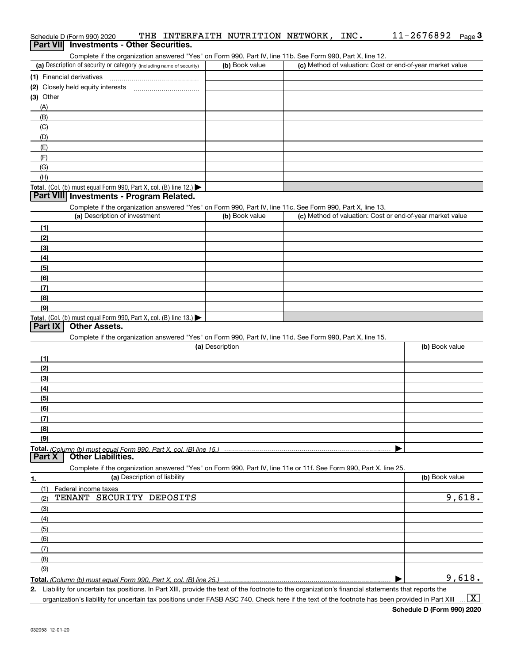|                | THE INTERFAITH NUTRITION NETWORK,<br>Schedule D (Form 990) 2020                                                                                     |                 |                | INC. | 11-2676892<br>Page $3$                                    |
|----------------|-----------------------------------------------------------------------------------------------------------------------------------------------------|-----------------|----------------|------|-----------------------------------------------------------|
|                | <b>Part VII</b> Investments - Other Securities.                                                                                                     |                 |                |      |                                                           |
|                | Complete if the organization answered "Yes" on Form 990, Part IV, line 11b. See Form 990, Part X, line 12.                                          |                 |                |      |                                                           |
|                | (a) Description of security or category (including name of security)                                                                                |                 | (b) Book value |      | (c) Method of valuation: Cost or end-of-year market value |
|                |                                                                                                                                                     |                 |                |      |                                                           |
|                |                                                                                                                                                     |                 |                |      |                                                           |
| (3) Other      |                                                                                                                                                     |                 |                |      |                                                           |
| (A)            |                                                                                                                                                     |                 |                |      |                                                           |
| (B)            |                                                                                                                                                     |                 |                |      |                                                           |
| (C)            |                                                                                                                                                     |                 |                |      |                                                           |
| (D)            |                                                                                                                                                     |                 |                |      |                                                           |
| (E)            |                                                                                                                                                     |                 |                |      |                                                           |
| (F)            |                                                                                                                                                     |                 |                |      |                                                           |
| (G)            |                                                                                                                                                     |                 |                |      |                                                           |
| (H)            |                                                                                                                                                     |                 |                |      |                                                           |
|                | Total. (Col. (b) must equal Form 990, Part X, col. (B) line 12.)                                                                                    |                 |                |      |                                                           |
|                | Part VIII Investments - Program Related.                                                                                                            |                 |                |      |                                                           |
|                | Complete if the organization answered "Yes" on Form 990, Part IV, line 11c. See Form 990, Part X, line 13.                                          |                 |                |      |                                                           |
|                | (a) Description of investment                                                                                                                       |                 | (b) Book value |      | (c) Method of valuation: Cost or end-of-year market value |
| (1)            |                                                                                                                                                     |                 |                |      |                                                           |
| (2)            |                                                                                                                                                     |                 |                |      |                                                           |
| (3)            |                                                                                                                                                     |                 |                |      |                                                           |
| (4)            |                                                                                                                                                     |                 |                |      |                                                           |
| (5)            |                                                                                                                                                     |                 |                |      |                                                           |
| (6)            |                                                                                                                                                     |                 |                |      |                                                           |
| (7)            |                                                                                                                                                     |                 |                |      |                                                           |
| (8)            |                                                                                                                                                     |                 |                |      |                                                           |
| (9)            |                                                                                                                                                     |                 |                |      |                                                           |
|                | Total. (Col. (b) must equal Form 990, Part X, col. (B) line 13.)                                                                                    |                 |                |      |                                                           |
| <b>Part IX</b> | <b>Other Assets.</b>                                                                                                                                |                 |                |      |                                                           |
|                | Complete if the organization answered "Yes" on Form 990, Part IV, line 11d. See Form 990, Part X, line 15.                                          |                 |                |      |                                                           |
|                |                                                                                                                                                     | (a) Description |                |      | (b) Book value                                            |
| (1)            |                                                                                                                                                     |                 |                |      |                                                           |
| (2)            |                                                                                                                                                     |                 |                |      |                                                           |
| (3)            |                                                                                                                                                     |                 |                |      |                                                           |
| (4)            |                                                                                                                                                     |                 |                |      |                                                           |
| (5)            |                                                                                                                                                     |                 |                |      |                                                           |
| (6)            |                                                                                                                                                     |                 |                |      |                                                           |
| (7)            |                                                                                                                                                     |                 |                |      |                                                           |
| (8)            |                                                                                                                                                     |                 |                |      |                                                           |
| (9)            |                                                                                                                                                     |                 |                |      |                                                           |
|                | Total. (Column (b) must equal Form 990. Part X, col. (B) line 15.)                                                                                  |                 |                |      |                                                           |
| <b>Part X</b>  | <b>Other Liabilities.</b>                                                                                                                           |                 |                |      |                                                           |
|                | Complete if the organization answered "Yes" on Form 990, Part IV, line 11e or 11f. See Form 990, Part X, line 25.                                   |                 |                |      |                                                           |
| 1.             | (a) Description of liability                                                                                                                        |                 |                |      | (b) Book value                                            |
| (1)            | Federal income taxes                                                                                                                                |                 |                |      |                                                           |
| (2)            | TENANT SECURITY DEPOSITS                                                                                                                            |                 |                |      | 9,618.                                                    |
| (3)            |                                                                                                                                                     |                 |                |      |                                                           |
| (4)            |                                                                                                                                                     |                 |                |      |                                                           |
| (5)            |                                                                                                                                                     |                 |                |      |                                                           |
| (6)            |                                                                                                                                                     |                 |                |      |                                                           |
| (7)            |                                                                                                                                                     |                 |                |      |                                                           |
| (8)            |                                                                                                                                                     |                 |                |      |                                                           |
| (9)            |                                                                                                                                                     |                 |                |      |                                                           |
|                | Total. (Column (b) must equal Form 990, Part X, col. (B) line 25.)                                                                                  |                 |                |      | 9,618.                                                    |
|                | 2 Liability for uncertain tax positions. In Part XIII, provide the text of the footpote to the organization's financial statements that reports the |                 |                |      |                                                           |

**2.** Liability for uncertain tax positions. In Part XIII, provide the text of the footnote to the organization's financial statements that reports the organization's liability for uncertain tax positions under FASB ASC 740. Check here if the text of the footnote has been provided in Part XIII

 $\vert$  X  $\vert$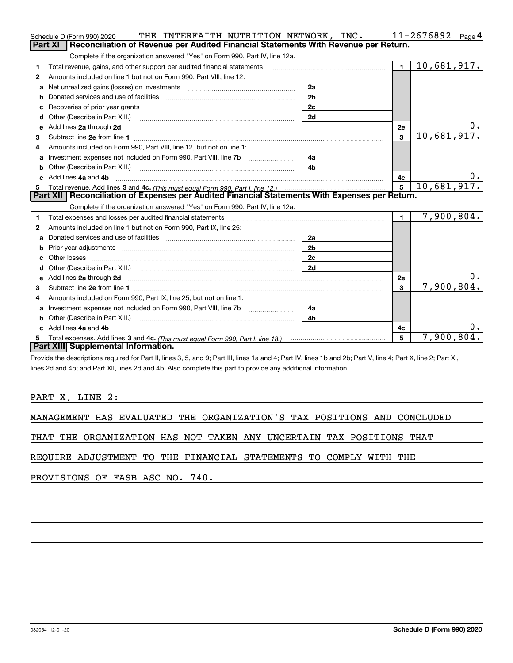|              | THE INTERFAITH NUTRITION NETWORK, INC.<br>Schedule D (Form 990) 2020                                                                                                                                                                  |                |                | 11-2676892<br>Page $4$    |
|--------------|---------------------------------------------------------------------------------------------------------------------------------------------------------------------------------------------------------------------------------------|----------------|----------------|---------------------------|
|              | <b>Part XI</b><br>Reconciliation of Revenue per Audited Financial Statements With Revenue per Return.                                                                                                                                 |                |                |                           |
|              | Complete if the organization answered "Yes" on Form 990, Part IV, line 12a.                                                                                                                                                           |                |                |                           |
| 1            | Total revenue, gains, and other support per audited financial statements                                                                                                                                                              |                | $\blacksquare$ | $\overline{10,681,917}$ . |
| $\mathbf{2}$ | Amounts included on line 1 but not on Form 990, Part VIII, line 12:                                                                                                                                                                   |                |                |                           |
| a            | Net unrealized gains (losses) on investments [11] matter contains the unrealized gains (losses) on investments                                                                                                                        | 2a             |                |                           |
|              |                                                                                                                                                                                                                                       | 2 <sub>b</sub> |                |                           |
|              | Recoveries of prior year grants [11,111] Recoveries of prior year grants [11,111] Recoveries (12,111) [11] Recoveries (12,111) [11] Recoveries (12,111) [11] [11] Recoveries (12,111) [11] [11] $\frac{1}{2}$ [11] [11] $\frac{1}{2}$ | 2c             |                |                           |
| d            |                                                                                                                                                                                                                                       | 2d             |                |                           |
| е            | Add lines 2a through 2d                                                                                                                                                                                                               |                | 2e             |                           |
| 3            |                                                                                                                                                                                                                                       |                | $\mathbf{3}$   | 10,681,917.               |
| 4            | Amounts included on Form 990, Part VIII, line 12, but not on line 1:                                                                                                                                                                  |                |                |                           |
|              |                                                                                                                                                                                                                                       | 4a             |                |                           |
| b            |                                                                                                                                                                                                                                       | 4 <sub>h</sub> |                |                           |
| c.           | Add lines 4a and 4b                                                                                                                                                                                                                   |                | 4c             | υ.                        |
|              |                                                                                                                                                                                                                                       |                |                |                           |
|              |                                                                                                                                                                                                                                       |                | 5              | 10,681,917.               |
|              | Part XII   Reconciliation of Expenses per Audited Financial Statements With Expenses per Return.                                                                                                                                      |                |                |                           |
|              | Complete if the organization answered "Yes" on Form 990, Part IV, line 12a.                                                                                                                                                           |                |                |                           |
| 1            | Total expenses and losses per audited financial statements [11, 11] manuscription control expenses and losses per audited financial statements [11] manuscription of the statements and the statements and the statements and         |                | $\mathbf{1}$   | 7,900,804.                |
| 2            | Amounts included on line 1 but not on Form 990, Part IX, line 25:                                                                                                                                                                     |                |                |                           |
| a            |                                                                                                                                                                                                                                       | 2a             |                |                           |
|              |                                                                                                                                                                                                                                       | 2 <sub>b</sub> |                |                           |
| с            |                                                                                                                                                                                                                                       | 2c             |                |                           |
| d            |                                                                                                                                                                                                                                       | 2d             |                |                           |
| е            | Add lines 2a through 2d <b>contained a contained a contained a contained a</b> contained a contact the state of the state of the state of the state of the state of the state of the state of the state of the state of the state o   |                | 2e             | 0.                        |
| 3            |                                                                                                                                                                                                                                       |                | 3              | 7,900,804.                |
| 4            | Amounts included on Form 990, Part IX, line 25, but not on line 1:                                                                                                                                                                    |                |                |                           |
| a            | Investment expenses not included on Form 990, Part VIII, line 7b                                                                                                                                                                      | 4a             |                |                           |
| b            |                                                                                                                                                                                                                                       | 4b             |                |                           |
|              | Add lines 4a and 4b                                                                                                                                                                                                                   |                | 4с             | 0.                        |
|              | Part XIII Supplemental Information.                                                                                                                                                                                                   |                | 5              | 7,900,804.                |

Provide the descriptions required for Part II, lines 3, 5, and 9; Part III, lines 1a and 4; Part IV, lines 1b and 2b; Part V, line 4; Part X, line 2; Part XI, lines 2d and 4b; and Part XII, lines 2d and 4b. Also complete this part to provide any additional information.

## PART X, LINE 2:

MANAGEMENT HAS EVALUATED THE ORGANIZATION'S TAX POSITIONS AND CONCLUDED

THAT THE ORGANIZATION HAS NOT TAKEN ANY UNCERTAIN TAX POSITIONS THAT

REQUIRE ADJUSTMENT TO THE FINANCIAL STATEMENTS TO COMPLY WITH THE

PROVISIONS OF FASB ASC NO. 740.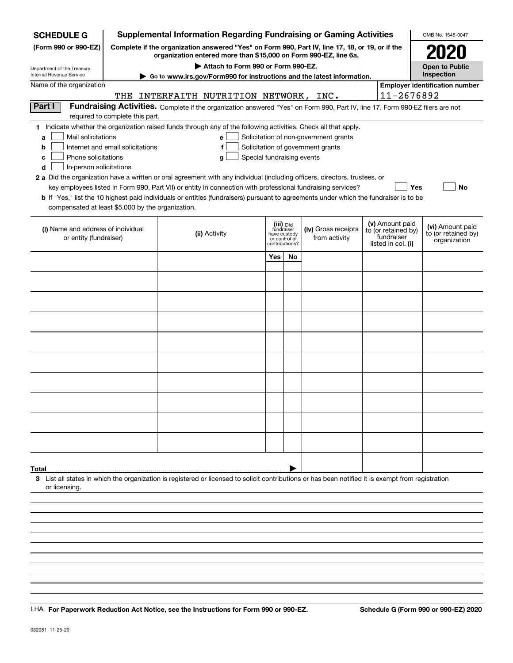| <b>SCHEDULE G</b>                                                                        |                                  | <b>Supplemental Information Regarding Fundraising or Gaming Activities</b>                                                                                                                                                                                                                                                                                                                                |                |                                                          |                                                                            |                                                                            | OMB No. 1545-0047                                       |  |
|------------------------------------------------------------------------------------------|----------------------------------|-----------------------------------------------------------------------------------------------------------------------------------------------------------------------------------------------------------------------------------------------------------------------------------------------------------------------------------------------------------------------------------------------------------|----------------|----------------------------------------------------------|----------------------------------------------------------------------------|----------------------------------------------------------------------------|---------------------------------------------------------|--|
| (Form 990 or 990-EZ)                                                                     | 2020                             |                                                                                                                                                                                                                                                                                                                                                                                                           |                |                                                          |                                                                            |                                                                            |                                                         |  |
| Department of the Treasury                                                               |                                  | Attach to Form 990 or Form 990-EZ.                                                                                                                                                                                                                                                                                                                                                                        |                |                                                          |                                                                            |                                                                            | <b>Open to Public</b>                                   |  |
| Internal Revenue Service<br>Name of the organization                                     |                                  | Go to www.irs.gov/Form990 for instructions and the latest information.                                                                                                                                                                                                                                                                                                                                    |                |                                                          |                                                                            |                                                                            | Inspection<br><b>Employer identification number</b>     |  |
|                                                                                          | 11-2676892                       |                                                                                                                                                                                                                                                                                                                                                                                                           |                |                                                          |                                                                            |                                                                            |                                                         |  |
| Part I                                                                                   | THE                              | INTERFAITH NUTRITION NETWORK, INC.<br>Fundraising Activities. Complete if the organization answered "Yes" on Form 990, Part IV, line 17. Form 990-EZ filers are not                                                                                                                                                                                                                                       |                |                                                          |                                                                            |                                                                            |                                                         |  |
|                                                                                          | required to complete this part.  |                                                                                                                                                                                                                                                                                                                                                                                                           |                |                                                          |                                                                            |                                                                            |                                                         |  |
| Mail solicitations<br>a<br>b<br>Phone solicitations<br>c<br>In-person solicitations<br>d | Internet and email solicitations | 1 Indicate whether the organization raised funds through any of the following activities. Check all that apply.<br>e<br>f<br>Special fundraising events<br>g<br>2 a Did the organization have a written or oral agreement with any individual (including officers, directors, trustees, or<br>key employees listed in Form 990, Part VII) or entity in connection with professional fundraising services? |                |                                                          | Solicitation of non-government grants<br>Solicitation of government grants |                                                                            | Yes<br>No                                               |  |
|                                                                                          |                                  | <b>b</b> If "Yes," list the 10 highest paid individuals or entities (fundraisers) pursuant to agreements under which the fundraiser is to be                                                                                                                                                                                                                                                              |                |                                                          |                                                                            |                                                                            |                                                         |  |
| compensated at least \$5,000 by the organization.                                        |                                  |                                                                                                                                                                                                                                                                                                                                                                                                           |                |                                                          |                                                                            |                                                                            |                                                         |  |
| (i) Name and address of individual<br>or entity (fundraiser)                             |                                  | (ii) Activity                                                                                                                                                                                                                                                                                                                                                                                             | contributions? | (iii) Did<br>fundraiser<br>have custody<br>or control of | (iv) Gross receipts<br>from activity                                       | (v) Amount paid<br>to (or retained by)<br>fundraiser<br>listed in col. (i) | (vi) Amount paid<br>to (or retained by)<br>organization |  |
|                                                                                          |                                  |                                                                                                                                                                                                                                                                                                                                                                                                           | Yes            | <b>No</b>                                                |                                                                            |                                                                            |                                                         |  |
|                                                                                          |                                  |                                                                                                                                                                                                                                                                                                                                                                                                           |                |                                                          |                                                                            |                                                                            |                                                         |  |
|                                                                                          |                                  |                                                                                                                                                                                                                                                                                                                                                                                                           |                |                                                          |                                                                            |                                                                            |                                                         |  |
|                                                                                          |                                  |                                                                                                                                                                                                                                                                                                                                                                                                           |                |                                                          |                                                                            |                                                                            |                                                         |  |
|                                                                                          |                                  |                                                                                                                                                                                                                                                                                                                                                                                                           |                |                                                          |                                                                            |                                                                            |                                                         |  |
|                                                                                          |                                  |                                                                                                                                                                                                                                                                                                                                                                                                           |                |                                                          |                                                                            |                                                                            |                                                         |  |
|                                                                                          |                                  |                                                                                                                                                                                                                                                                                                                                                                                                           |                |                                                          |                                                                            |                                                                            |                                                         |  |
|                                                                                          |                                  |                                                                                                                                                                                                                                                                                                                                                                                                           |                |                                                          |                                                                            |                                                                            |                                                         |  |
|                                                                                          |                                  |                                                                                                                                                                                                                                                                                                                                                                                                           |                |                                                          |                                                                            |                                                                            |                                                         |  |
|                                                                                          |                                  |                                                                                                                                                                                                                                                                                                                                                                                                           |                |                                                          |                                                                            |                                                                            |                                                         |  |
|                                                                                          |                                  |                                                                                                                                                                                                                                                                                                                                                                                                           |                |                                                          |                                                                            |                                                                            |                                                         |  |
|                                                                                          |                                  |                                                                                                                                                                                                                                                                                                                                                                                                           |                |                                                          |                                                                            |                                                                            |                                                         |  |
|                                                                                          |                                  |                                                                                                                                                                                                                                                                                                                                                                                                           |                |                                                          |                                                                            |                                                                            |                                                         |  |
|                                                                                          |                                  |                                                                                                                                                                                                                                                                                                                                                                                                           |                |                                                          |                                                                            |                                                                            |                                                         |  |
|                                                                                          |                                  |                                                                                                                                                                                                                                                                                                                                                                                                           |                |                                                          |                                                                            |                                                                            |                                                         |  |
|                                                                                          |                                  |                                                                                                                                                                                                                                                                                                                                                                                                           |                |                                                          |                                                                            |                                                                            |                                                         |  |
|                                                                                          |                                  |                                                                                                                                                                                                                                                                                                                                                                                                           |                |                                                          |                                                                            |                                                                            |                                                         |  |
| Total                                                                                    |                                  |                                                                                                                                                                                                                                                                                                                                                                                                           |                |                                                          |                                                                            |                                                                            |                                                         |  |
| or licensing                                                                             |                                  | 3 List all states in which the organization is registered or licensed to solicit contributions or has been notified it is exempt from registration                                                                                                                                                                                                                                                        |                |                                                          |                                                                            |                                                                            |                                                         |  |
|                                                                                          |                                  |                                                                                                                                                                                                                                                                                                                                                                                                           |                |                                                          |                                                                            |                                                                            |                                                         |  |
|                                                                                          |                                  |                                                                                                                                                                                                                                                                                                                                                                                                           |                |                                                          |                                                                            |                                                                            |                                                         |  |
|                                                                                          |                                  |                                                                                                                                                                                                                                                                                                                                                                                                           |                |                                                          |                                                                            |                                                                            |                                                         |  |
|                                                                                          |                                  |                                                                                                                                                                                                                                                                                                                                                                                                           |                |                                                          |                                                                            |                                                                            |                                                         |  |
|                                                                                          |                                  |                                                                                                                                                                                                                                                                                                                                                                                                           |                |                                                          |                                                                            |                                                                            |                                                         |  |

LHA For Paperwork Reduction Act Notice, see the Instructions for Form 990 or 990-EZ. Schedule G (Form 990 or 990-EZ) 2020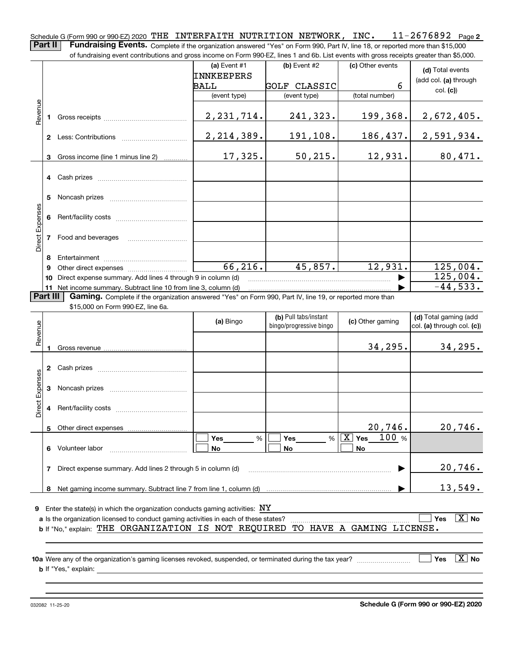**2** Schedule G (Form 990 or 990-EZ) 2020 <code>THE INTERFAITH NUTRITION NETWORK</code> , <code>INC</code> .  $11\text{--}2676892$  <code>Page</code> **Part II** | Fundraising Events. Complete if the organization answered "Yes" on Form 990, Part IV, line 18, or reported more than \$15,000

|                 |          | of fundraising event contributions and gross income on Form 990-EZ, lines 1 and 6b. List events with gross receipts greater than \$5,000. |                 |                         |                                |                              |  |
|-----------------|----------|-------------------------------------------------------------------------------------------------------------------------------------------|-----------------|-------------------------|--------------------------------|------------------------------|--|
|                 |          |                                                                                                                                           | (a) Event #1    | (b) Event #2            | (c) Other events               | (d) Total events             |  |
|                 |          |                                                                                                                                           | INNKEEPERS      |                         |                                | (add col. (a) through        |  |
|                 |          |                                                                                                                                           | BALL            | <b>GOLF CLASSIC</b>     | 6                              | col. (c))                    |  |
|                 |          |                                                                                                                                           | (event type)    | (event type)            | (total number)                 |                              |  |
|                 |          |                                                                                                                                           |                 |                         |                                |                              |  |
| Revenue         |          |                                                                                                                                           | 2, 231, 714.    | 241,323.                | 199,368.                       | 2,672,405.                   |  |
|                 |          |                                                                                                                                           |                 |                         |                                |                              |  |
|                 |          |                                                                                                                                           | 2, 214, 389.    | 191,108.                | 186, 437.                      | 2,591,934.                   |  |
|                 |          |                                                                                                                                           |                 |                         |                                |                              |  |
|                 | 3        | Gross income (line 1 minus line 2)                                                                                                        | 17,325.         | 50, 215.                | 12,931.                        | 80,471.                      |  |
|                 |          |                                                                                                                                           |                 |                         |                                |                              |  |
|                 |          |                                                                                                                                           |                 |                         |                                |                              |  |
|                 |          |                                                                                                                                           |                 |                         |                                |                              |  |
|                 |          |                                                                                                                                           |                 |                         |                                |                              |  |
|                 |          |                                                                                                                                           |                 |                         |                                |                              |  |
|                 |          |                                                                                                                                           |                 |                         |                                |                              |  |
| Direct Expenses |          | 7 Food and beverages                                                                                                                      |                 |                         |                                |                              |  |
|                 |          |                                                                                                                                           |                 |                         |                                |                              |  |
|                 | 8        |                                                                                                                                           |                 |                         |                                |                              |  |
|                 | 9        |                                                                                                                                           | 66, 216.        | 45,857.                 | 12,931.                        | 125,004.                     |  |
|                 |          | 10 Direct expense summary. Add lines 4 through 9 in column (d)                                                                            |                 |                         |                                | 125,004.                     |  |
|                 |          | 11 Net income summary. Subtract line 10 from line 3, column (d)                                                                           |                 |                         |                                | $-44,533.$                   |  |
|                 | Part III | Gaming. Complete if the organization answered "Yes" on Form 990, Part IV, line 19, or reported more than                                  |                 |                         |                                |                              |  |
|                 |          | \$15,000 on Form 990-EZ, line 6a.                                                                                                         |                 |                         |                                |                              |  |
|                 |          |                                                                                                                                           | (a) Bingo       | (b) Pull tabs/instant   | (c) Other gaming               | (d) Total gaming (add        |  |
| Revenue         |          |                                                                                                                                           |                 | bingo/progressive bingo |                                | col. (a) through col. (c))   |  |
|                 |          |                                                                                                                                           |                 |                         |                                |                              |  |
|                 | 1        |                                                                                                                                           |                 |                         | 34, 295.                       | 34, 295.                     |  |
|                 |          |                                                                                                                                           |                 |                         |                                |                              |  |
|                 |          |                                                                                                                                           |                 |                         |                                |                              |  |
| Expenses        |          |                                                                                                                                           |                 |                         |                                |                              |  |
|                 |          |                                                                                                                                           |                 |                         |                                |                              |  |
| Direct          |          |                                                                                                                                           |                 |                         |                                |                              |  |
|                 |          |                                                                                                                                           |                 |                         |                                |                              |  |
|                 |          | Other direct expenses                                                                                                                     |                 |                         | $20,746$ .                     | 20,746.                      |  |
|                 |          |                                                                                                                                           | <b>Yes</b><br>% | Yes<br>%                | $\boxed{\text{X}}$ Yes<br>100% |                              |  |
|                 |          | 6 Volunteer labor                                                                                                                         | No              | No                      | No                             |                              |  |
|                 |          |                                                                                                                                           |                 |                         |                                |                              |  |
|                 | 7        | Direct expense summary. Add lines 2 through 5 in column (d)                                                                               |                 |                         |                                | 20,746.                      |  |
|                 |          |                                                                                                                                           |                 |                         |                                |                              |  |
|                 |          |                                                                                                                                           |                 |                         |                                | 13,549.                      |  |
|                 |          |                                                                                                                                           |                 |                         |                                |                              |  |
|                 |          | <b>9</b> Enter the state(s) in which the organization conducts gaming activities: $\overline{NY}$                                         |                 |                         |                                |                              |  |
|                 |          | a Is the organization licensed to conduct gaming activities in each of these states?                                                      |                 |                         |                                | $\boxed{\text{X}}$ No<br>Yes |  |
|                 |          | b If "No." explain: THE ORGANIZATION IS NOT REQUIRED                                                                                      |                 |                         | TO HAVE A GAMING LICENSE.      |                              |  |
|                 |          |                                                                                                                                           |                 |                         |                                |                              |  |
|                 |          | 10a Were any of the organization's gaming licenses revoked, suspended, or terminated during the tax year?                                 |                 |                         |                                | $\boxed{\text{X}}$ No<br>Yes |  |
|                 |          | <b>b</b> If "Yes," explain:                                                                                                               |                 |                         |                                |                              |  |
|                 |          |                                                                                                                                           |                 |                         |                                |                              |  |
|                 |          |                                                                                                                                           |                 |                         |                                |                              |  |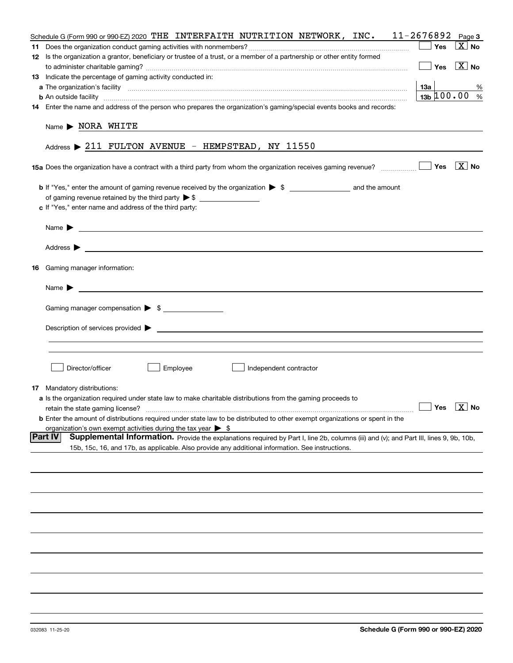| Schedule G (Form 990 or 990-EZ) 2020 THE INTERFAITH NUTRITION NETWORK, INC.                                                                              | 11-2676892                               | Page 3                |
|----------------------------------------------------------------------------------------------------------------------------------------------------------|------------------------------------------|-----------------------|
|                                                                                                                                                          | Yes                                      | $\boxed{\text{X}}$ No |
| 12 Is the organization a grantor, beneficiary or trustee of a trust, or a member of a partnership or other entity formed                                 |                                          |                       |
|                                                                                                                                                          | Yes                                      | $X$ No                |
| 13 Indicate the percentage of gaming activity conducted in:                                                                                              |                                          |                       |
|                                                                                                                                                          | 13а                                      | %                     |
| <b>b</b> An outside facility <i>www.communicality www.communicality.communicality www.communicality www.communicality.com</i>                            | $13b \, 100.00$ %                        |                       |
| 14 Enter the name and address of the person who prepares the organization's gaming/special events books and records:                                     |                                          |                       |
| Name > NORA WHITE                                                                                                                                        |                                          |                       |
| Address > 211 FULTON AVENUE - HEMPSTEAD, NY 11550                                                                                                        |                                          |                       |
|                                                                                                                                                          |                                          | $\boxed{\text{X}}$ No |
|                                                                                                                                                          |                                          |                       |
|                                                                                                                                                          |                                          |                       |
| c If "Yes," enter name and address of the third party:                                                                                                   |                                          |                       |
|                                                                                                                                                          |                                          |                       |
| Name $\blacktriangleright$                                                                                                                               |                                          |                       |
|                                                                                                                                                          |                                          |                       |
| <b>16</b> Gaming manager information:                                                                                                                    |                                          |                       |
| Name $\blacktriangleright$                                                                                                                               |                                          |                       |
|                                                                                                                                                          |                                          |                       |
| Gaming manager compensation > \$                                                                                                                         |                                          |                       |
|                                                                                                                                                          |                                          |                       |
|                                                                                                                                                          |                                          |                       |
| Director/officer<br>Employee<br>Independent contractor                                                                                                   |                                          |                       |
| <b>17</b> Mandatory distributions:                                                                                                                       |                                          |                       |
| a Is the organization required under state law to make charitable distributions from the gaming proceeds to                                              |                                          |                       |
| retain the state gaming license?                                                                                                                         | $\blacksquare$ Yes $\boxed{\text{X}}$ No |                       |
| <b>b</b> Enter the amount of distributions required under state law to be distributed to other exempt organizations or spent in the                      |                                          |                       |
| organization's own exempt activities during the tax year $\triangleright$ \$                                                                             |                                          |                       |
| <b>Part IV</b><br>Supplemental Information. Provide the explanations required by Part I, line 2b, columns (iii) and (v); and Part III, lines 9, 9b, 10b, |                                          |                       |
| 15b, 15c, 16, and 17b, as applicable. Also provide any additional information. See instructions.                                                         |                                          |                       |
|                                                                                                                                                          |                                          |                       |
|                                                                                                                                                          |                                          |                       |
|                                                                                                                                                          |                                          |                       |
|                                                                                                                                                          |                                          |                       |
|                                                                                                                                                          |                                          |                       |
|                                                                                                                                                          |                                          |                       |
|                                                                                                                                                          |                                          |                       |
|                                                                                                                                                          |                                          |                       |
|                                                                                                                                                          |                                          |                       |
|                                                                                                                                                          |                                          |                       |
|                                                                                                                                                          |                                          |                       |
|                                                                                                                                                          |                                          |                       |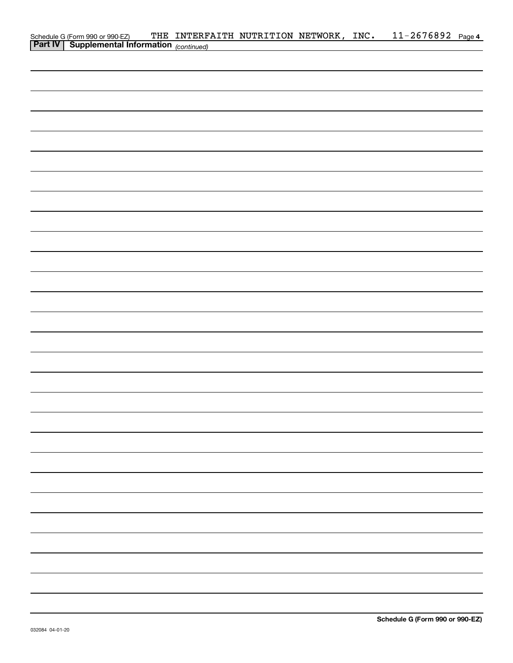| Schedule G (Form 990 or 990-EZ) THE INTERF.<br>Part IV Supplemental Information (continued) | THE INTERFAITH NUTRITION NETWORK, INC. |  | 11-2676892 Page 4 |  |
|---------------------------------------------------------------------------------------------|----------------------------------------|--|-------------------|--|
|                                                                                             |                                        |  |                   |  |
|                                                                                             |                                        |  |                   |  |
|                                                                                             |                                        |  |                   |  |
|                                                                                             |                                        |  |                   |  |
|                                                                                             |                                        |  |                   |  |
|                                                                                             |                                        |  |                   |  |
|                                                                                             |                                        |  |                   |  |
|                                                                                             |                                        |  |                   |  |
|                                                                                             |                                        |  |                   |  |
|                                                                                             |                                        |  |                   |  |
|                                                                                             |                                        |  |                   |  |
|                                                                                             |                                        |  |                   |  |
|                                                                                             |                                        |  |                   |  |
|                                                                                             |                                        |  |                   |  |
|                                                                                             |                                        |  |                   |  |
|                                                                                             |                                        |  |                   |  |
|                                                                                             |                                        |  |                   |  |
|                                                                                             |                                        |  |                   |  |
|                                                                                             |                                        |  |                   |  |
|                                                                                             |                                        |  |                   |  |
|                                                                                             |                                        |  |                   |  |
|                                                                                             |                                        |  |                   |  |
|                                                                                             |                                        |  |                   |  |
|                                                                                             |                                        |  |                   |  |
|                                                                                             |                                        |  |                   |  |
|                                                                                             |                                        |  |                   |  |
|                                                                                             |                                        |  |                   |  |
|                                                                                             |                                        |  |                   |  |
|                                                                                             |                                        |  |                   |  |
|                                                                                             |                                        |  |                   |  |
|                                                                                             |                                        |  |                   |  |
|                                                                                             |                                        |  |                   |  |
|                                                                                             |                                        |  |                   |  |
|                                                                                             |                                        |  |                   |  |
|                                                                                             |                                        |  |                   |  |
|                                                                                             |                                        |  |                   |  |
|                                                                                             |                                        |  |                   |  |
|                                                                                             |                                        |  |                   |  |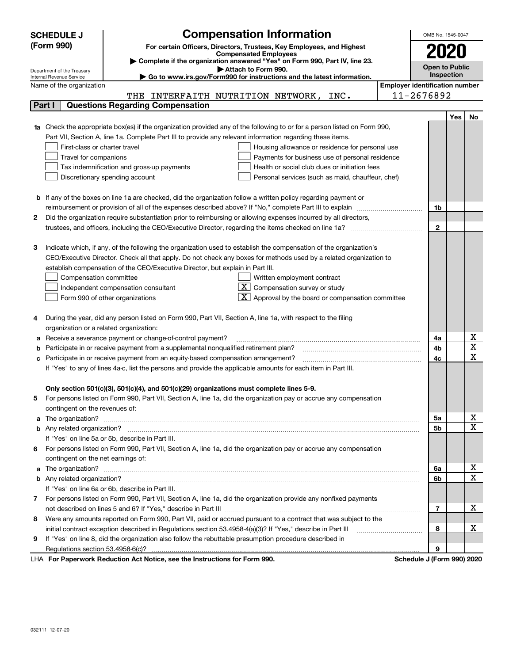|   | <b>SCHEDULE J</b>                                                                                                  |                                                                                     | <b>Compensation Information</b>                                                                                        |                                       | OMB No. 1545-0047     |     |             |
|---|--------------------------------------------------------------------------------------------------------------------|-------------------------------------------------------------------------------------|------------------------------------------------------------------------------------------------------------------------|---------------------------------------|-----------------------|-----|-------------|
|   | (Form 990)                                                                                                         |                                                                                     | For certain Officers, Directors, Trustees, Key Employees, and Highest                                                  |                                       |                       |     |             |
|   |                                                                                                                    |                                                                                     | <b>Compensated Employees</b>                                                                                           |                                       | 2020                  |     |             |
|   |                                                                                                                    |                                                                                     | Complete if the organization answered "Yes" on Form 990, Part IV, line 23.                                             |                                       | <b>Open to Public</b> |     |             |
|   | Department of the Treasury<br>Internal Revenue Service                                                             |                                                                                     | Attach to Form 990.<br>Go to www.irs.gov/Form990 for instructions and the latest information.                          |                                       | Inspection            |     |             |
|   | Name of the organization                                                                                           |                                                                                     |                                                                                                                        | <b>Employer identification number</b> |                       |     |             |
|   |                                                                                                                    |                                                                                     | THE INTERFAITH NUTRITION NETWORK,<br>INC.                                                                              |                                       | 11-2676892            |     |             |
|   | Part I                                                                                                             | <b>Questions Regarding Compensation</b>                                             |                                                                                                                        |                                       |                       |     |             |
|   |                                                                                                                    |                                                                                     |                                                                                                                        |                                       |                       | Yes | No          |
|   |                                                                                                                    |                                                                                     | Check the appropriate box(es) if the organization provided any of the following to or for a person listed on Form 990, |                                       |                       |     |             |
|   |                                                                                                                    |                                                                                     | Part VII, Section A, line 1a. Complete Part III to provide any relevant information regarding these items.             |                                       |                       |     |             |
|   | First-class or charter travel                                                                                      |                                                                                     | Housing allowance or residence for personal use                                                                        |                                       |                       |     |             |
|   | Travel for companions                                                                                              |                                                                                     | Payments for business use of personal residence                                                                        |                                       |                       |     |             |
|   |                                                                                                                    | Tax indemnification and gross-up payments                                           | Health or social club dues or initiation fees                                                                          |                                       |                       |     |             |
|   |                                                                                                                    | Discretionary spending account                                                      | Personal services (such as maid, chauffeur, chef)                                                                      |                                       |                       |     |             |
|   |                                                                                                                    |                                                                                     |                                                                                                                        |                                       |                       |     |             |
| b |                                                                                                                    |                                                                                     | If any of the boxes on line 1a are checked, did the organization follow a written policy regarding payment or          |                                       |                       |     |             |
|   |                                                                                                                    |                                                                                     | reimbursement or provision of all of the expenses described above? If "No," complete Part III to explain               |                                       | 1b                    |     |             |
| 2 |                                                                                                                    |                                                                                     | Did the organization require substantiation prior to reimbursing or allowing expenses incurred by all directors,       |                                       |                       |     |             |
|   |                                                                                                                    |                                                                                     |                                                                                                                        |                                       | $\mathbf{2}$          |     |             |
|   |                                                                                                                    |                                                                                     |                                                                                                                        |                                       |                       |     |             |
| з |                                                                                                                    |                                                                                     | Indicate which, if any, of the following the organization used to establish the compensation of the organization's     |                                       |                       |     |             |
|   |                                                                                                                    |                                                                                     | CEO/Executive Director. Check all that apply. Do not check any boxes for methods used by a related organization to     |                                       |                       |     |             |
|   |                                                                                                                    | establish compensation of the CEO/Executive Director, but explain in Part III.      |                                                                                                                        |                                       |                       |     |             |
|   | Compensation committee                                                                                             |                                                                                     | Written employment contract                                                                                            |                                       |                       |     |             |
|   |                                                                                                                    | Independent compensation consultant                                                 | $X$ Compensation survey or study                                                                                       |                                       |                       |     |             |
|   |                                                                                                                    | Form 990 of other organizations                                                     | $\mathbf{X}$ Approval by the board or compensation committee                                                           |                                       |                       |     |             |
|   |                                                                                                                    |                                                                                     |                                                                                                                        |                                       |                       |     |             |
| 4 |                                                                                                                    |                                                                                     | During the year, did any person listed on Form 990, Part VII, Section A, line 1a, with respect to the filing           |                                       |                       |     |             |
|   | organization or a related organization:                                                                            |                                                                                     |                                                                                                                        |                                       |                       |     |             |
| а |                                                                                                                    | Receive a severance payment or change-of-control payment?                           |                                                                                                                        |                                       | 4a                    |     | х           |
|   |                                                                                                                    | Participate in or receive payment from a supplemental nonqualified retirement plan? |                                                                                                                        |                                       | 4b                    |     | X           |
| с |                                                                                                                    | Participate in or receive payment from an equity-based compensation arrangement?    |                                                                                                                        |                                       | 4c                    |     | X           |
|   |                                                                                                                    |                                                                                     | If "Yes" to any of lines 4a-c, list the persons and provide the applicable amounts for each item in Part III.          |                                       |                       |     |             |
|   |                                                                                                                    |                                                                                     |                                                                                                                        |                                       |                       |     |             |
|   |                                                                                                                    |                                                                                     | Only section 501(c)(3), 501(c)(4), and 501(c)(29) organizations must complete lines 5-9.                               |                                       |                       |     |             |
|   |                                                                                                                    |                                                                                     | For persons listed on Form 990, Part VII, Section A, line 1a, did the organization pay or accrue any compensation      |                                       |                       |     |             |
|   | contingent on the revenues of:                                                                                     |                                                                                     |                                                                                                                        |                                       |                       |     |             |
| a |                                                                                                                    |                                                                                     |                                                                                                                        |                                       | 5a                    |     | X<br>X      |
|   |                                                                                                                    |                                                                                     |                                                                                                                        |                                       | 5b                    |     |             |
|   |                                                                                                                    | If "Yes" on line 5a or 5b, describe in Part III.                                    |                                                                                                                        |                                       |                       |     |             |
| 6 |                                                                                                                    |                                                                                     | For persons listed on Form 990, Part VII, Section A, line 1a, did the organization pay or accrue any compensation      |                                       |                       |     |             |
|   | contingent on the net earnings of:                                                                                 |                                                                                     |                                                                                                                        |                                       |                       |     | x           |
| a |                                                                                                                    |                                                                                     | The organization? <b>With the organization? Constitution of the organization</b> of the organization?                  |                                       | 6a                    |     | $\mathbf X$ |
|   |                                                                                                                    |                                                                                     |                                                                                                                        |                                       | 6b                    |     |             |
|   |                                                                                                                    | If "Yes" on line 6a or 6b, describe in Part III.                                    |                                                                                                                        |                                       |                       |     |             |
|   | 7 For persons listed on Form 990, Part VII, Section A, line 1a, did the organization provide any nonfixed payments |                                                                                     |                                                                                                                        |                                       |                       |     | х           |
|   |                                                                                                                    |                                                                                     | Were any amounts reported on Form 990, Part VII, paid or accrued pursuant to a contract that was subject to the        |                                       | 7                     |     |             |
| 8 |                                                                                                                    |                                                                                     |                                                                                                                        |                                       | 8                     |     | х           |
|   |                                                                                                                    |                                                                                     | initial contract exception described in Regulations section 53.4958-4(a)(3)? If "Yes," describe in Part III            |                                       |                       |     |             |
| 9 |                                                                                                                    |                                                                                     | If "Yes" on line 8, did the organization also follow the rebuttable presumption procedure described in                 |                                       | 9                     |     |             |
|   |                                                                                                                    |                                                                                     |                                                                                                                        |                                       |                       |     |             |

LHA For Paperwork Reduction Act Notice, see the Instructions for Form 990. Schedule J (Form 990) 2020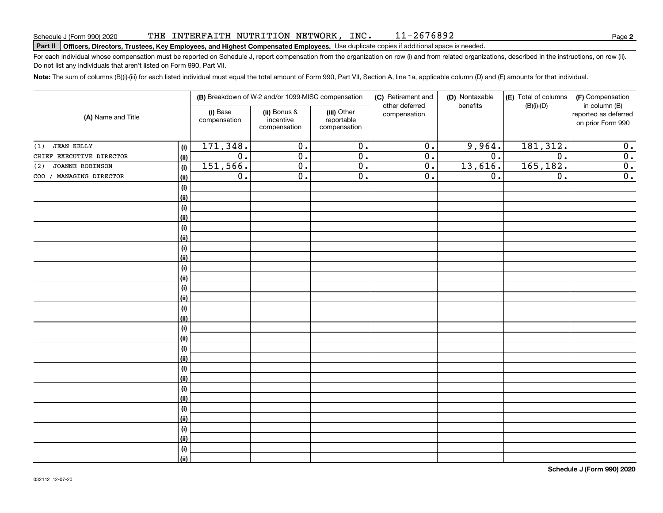#### THE INTERFAITH NUTRITION NETWORK, INC. 11-2676892

# **Part II Officers, Directors, Trustees, Key Employees, and Highest Compensated Employees.**  Schedule J (Form 990) 2020 Page Use duplicate copies if additional space is needed.

For each individual whose compensation must be reported on Schedule J, report compensation from the organization on row (i) and from related organizations, described in the instructions, on row (ii). Do not list any individuals that aren't listed on Form 990, Part VII.

**Note:**  The sum of columns (B)(i)-(iii) for each listed individual must equal the total amount of Form 990, Part VII, Section A, line 1a, applicable column (D) and (E) amounts for that individual.

| (A) Name and Title       |                           |                          | (B) Breakdown of W-2 and/or 1099-MISC compensation |                                           | (C) Retirement and<br>(D) Nontaxable<br>other deferred<br>benefits |         | (E) Total of columns<br>$(B)(i)-(D)$ | (F) Compensation<br>in column (B)         |  |
|--------------------------|---------------------------|--------------------------|----------------------------------------------------|-------------------------------------------|--------------------------------------------------------------------|---------|--------------------------------------|-------------------------------------------|--|
|                          |                           | (i) Base<br>compensation | (ii) Bonus &<br>incentive<br>compensation          | (iii) Other<br>reportable<br>compensation | compensation                                                       |         |                                      | reported as deferred<br>on prior Form 990 |  |
| <b>JEAN KELLY</b><br>(1) | (i)                       | 171, 348.                | 0.                                                 | $\overline{0}$ .                          | $\overline{0}$ .                                                   | 9,964.  | 181, 312.                            | 0.                                        |  |
| CHIEF EXECUTIVE DIRECTOR | <u>(ii)</u>               | $\overline{0}$ .         | $\overline{0}$ .                                   | $\overline{0}$ .                          | $\overline{0}$ .                                                   | 0.      | $\overline{0}$ .                     | $\overline{0}$ .                          |  |
| JOANNE ROBINSON<br>(2)   | (i)                       | 151,566.                 | $\overline{0}$ .                                   | $\overline{0}$ .                          | $\overline{0}$ .                                                   | 13,616. | 165, 182.                            | $\overline{\mathbf{0}}$ .                 |  |
| COO / MANAGING DIRECTOR  | <u>(ii)</u>               | $\overline{0}$ .         | $\overline{0}$ .                                   | $\overline{0}$ .                          | $\overline{0}$ .                                                   | 0.      | $\overline{0}$ .                     | $\overline{\mathbf{0}}$ .                 |  |
|                          | (i)                       |                          |                                                    |                                           |                                                                    |         |                                      |                                           |  |
|                          | <u>(ii)</u>               |                          |                                                    |                                           |                                                                    |         |                                      |                                           |  |
|                          | $(\sf{i})$                |                          |                                                    |                                           |                                                                    |         |                                      |                                           |  |
|                          | <u>(ii)</u>               |                          |                                                    |                                           |                                                                    |         |                                      |                                           |  |
|                          | $(\sf{i})$                |                          |                                                    |                                           |                                                                    |         |                                      |                                           |  |
|                          | <u>(ii)</u>               |                          |                                                    |                                           |                                                                    |         |                                      |                                           |  |
|                          | $(\sf{i})$                |                          |                                                    |                                           |                                                                    |         |                                      |                                           |  |
|                          | <u>(ii)</u>               |                          |                                                    |                                           |                                                                    |         |                                      |                                           |  |
|                          | (i)                       |                          |                                                    |                                           |                                                                    |         |                                      |                                           |  |
|                          | (ii)                      |                          |                                                    |                                           |                                                                    |         |                                      |                                           |  |
|                          | (i)                       |                          |                                                    |                                           |                                                                    |         |                                      |                                           |  |
|                          | (ii)                      |                          |                                                    |                                           |                                                                    |         |                                      |                                           |  |
|                          | $(\sf{i})$                |                          |                                                    |                                           |                                                                    |         |                                      |                                           |  |
|                          | (ii)                      |                          |                                                    |                                           |                                                                    |         |                                      |                                           |  |
|                          | $(\sf{i})$<br><u>(ii)</u> |                          |                                                    |                                           |                                                                    |         |                                      |                                           |  |
|                          | $(\sf{i})$                |                          |                                                    |                                           |                                                                    |         |                                      |                                           |  |
|                          | <u>(ii)</u>               |                          |                                                    |                                           |                                                                    |         |                                      |                                           |  |
|                          | (i)                       |                          |                                                    |                                           |                                                                    |         |                                      |                                           |  |
|                          | (ii)                      |                          |                                                    |                                           |                                                                    |         |                                      |                                           |  |
|                          | (i)                       |                          |                                                    |                                           |                                                                    |         |                                      |                                           |  |
|                          | (ii)                      |                          |                                                    |                                           |                                                                    |         |                                      |                                           |  |
|                          | (i)                       |                          |                                                    |                                           |                                                                    |         |                                      |                                           |  |
|                          | (ii)                      |                          |                                                    |                                           |                                                                    |         |                                      |                                           |  |
|                          | (i)                       |                          |                                                    |                                           |                                                                    |         |                                      |                                           |  |
|                          | (ii)                      |                          |                                                    |                                           |                                                                    |         |                                      |                                           |  |
|                          | (i)                       |                          |                                                    |                                           |                                                                    |         |                                      |                                           |  |
|                          | $\overline{}}$            |                          |                                                    |                                           |                                                                    |         |                                      |                                           |  |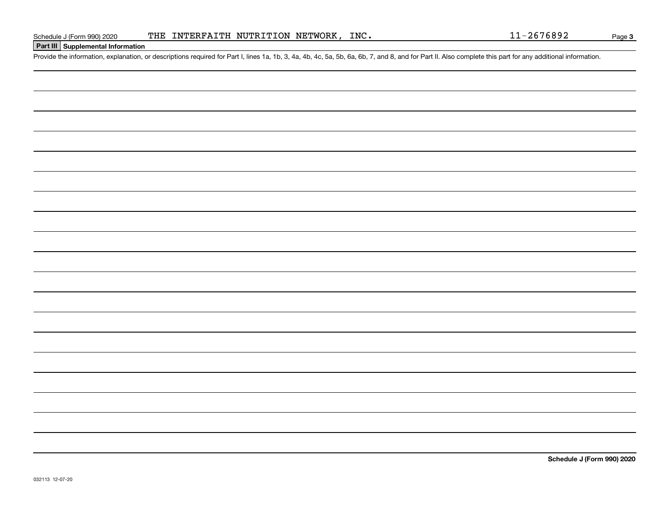## **Part III Supplemental Information**

Schedule J (Form 990) 2020 THE INTERFAITH NUTRITION NETWORK, INC.<br>
Part III Supplemental Information<br>
Provide the information, explanation, or descriptions required for Part I, lines 1a, 1b, 3, 4a, 4b, 4c, 5a, 5b, 6a, 6b,

**Schedule J (Form 990) 2020**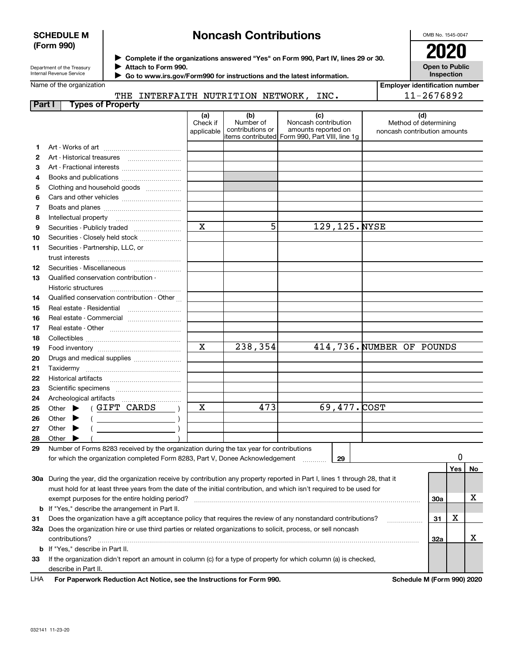### **SCHEDULE M (Form 990)**

# **Noncash Contributions**

OMB No. 1545-0047

Department of the Treasury Internal Revenue Service

**Complete if the organizations answered "Yes" on Form 990, Part IV, lines 29 or 30.** <sup>J</sup>**2020**

**Attach to Form 990.** J  **Go to www.irs.gov/Form990 for instructions and the latest information.** J **Open to Public Inspection**

THE INTERFAITH NUTRITION NETWORK, INC.

| Employer identification number |  |
|--------------------------------|--|
| 11-2676892                     |  |

| Part I | <b>Types of Property</b>                                                                                                                                                 |                               |                                                           |                                                                                    |                                                              |     |     |    |
|--------|--------------------------------------------------------------------------------------------------------------------------------------------------------------------------|-------------------------------|-----------------------------------------------------------|------------------------------------------------------------------------------------|--------------------------------------------------------------|-----|-----|----|
|        |                                                                                                                                                                          | (a)<br>Check if<br>applicable | (b)<br>Number of<br>contributions or<br>items contributed | (c)<br>Noncash contribution<br>amounts reported on<br>Form 990, Part VIII, line 1g | (d)<br>Method of determining<br>noncash contribution amounts |     |     |    |
| 1      |                                                                                                                                                                          |                               |                                                           |                                                                                    |                                                              |     |     |    |
| 2      |                                                                                                                                                                          |                               |                                                           |                                                                                    |                                                              |     |     |    |
| З      | Art - Fractional interests                                                                                                                                               |                               |                                                           |                                                                                    |                                                              |     |     |    |
| 4      | Books and publications                                                                                                                                                   |                               |                                                           |                                                                                    |                                                              |     |     |    |
| 5      | Clothing and household goods                                                                                                                                             |                               |                                                           |                                                                                    |                                                              |     |     |    |
| 6      |                                                                                                                                                                          |                               |                                                           |                                                                                    |                                                              |     |     |    |
| 7      |                                                                                                                                                                          |                               |                                                           |                                                                                    |                                                              |     |     |    |
| 8      |                                                                                                                                                                          |                               |                                                           |                                                                                    |                                                              |     |     |    |
| 9      |                                                                                                                                                                          | $\mathbf x$                   | 5                                                         | 129, 125. NYSE                                                                     |                                                              |     |     |    |
| 10     |                                                                                                                                                                          |                               |                                                           |                                                                                    |                                                              |     |     |    |
|        | Securities - Closely held stock                                                                                                                                          |                               |                                                           |                                                                                    |                                                              |     |     |    |
| 11     | Securities - Partnership, LLC, or<br>trust interests                                                                                                                     |                               |                                                           |                                                                                    |                                                              |     |     |    |
| 12     | Securities - Miscellaneous                                                                                                                                               |                               |                                                           |                                                                                    |                                                              |     |     |    |
| 13     | Qualified conservation contribution -                                                                                                                                    |                               |                                                           |                                                                                    |                                                              |     |     |    |
|        | Historic structures                                                                                                                                                      |                               |                                                           |                                                                                    |                                                              |     |     |    |
| 14     | Qualified conservation contribution - Other                                                                                                                              |                               |                                                           |                                                                                    |                                                              |     |     |    |
| 15     |                                                                                                                                                                          |                               |                                                           |                                                                                    |                                                              |     |     |    |
| 16     | Real estate - Commercial                                                                                                                                                 |                               |                                                           |                                                                                    |                                                              |     |     |    |
| 17     |                                                                                                                                                                          |                               |                                                           |                                                                                    |                                                              |     |     |    |
| 18     |                                                                                                                                                                          |                               |                                                           |                                                                                    |                                                              |     |     |    |
| 19     |                                                                                                                                                                          | $\mathbf x$                   | 238,354                                                   |                                                                                    | 414,736. NUMBER OF POUNDS                                    |     |     |    |
| 20     | Drugs and medical supplies                                                                                                                                               |                               |                                                           |                                                                                    |                                                              |     |     |    |
| 21     |                                                                                                                                                                          |                               |                                                           |                                                                                    |                                                              |     |     |    |
| 22     |                                                                                                                                                                          |                               |                                                           |                                                                                    |                                                              |     |     |    |
| 23     |                                                                                                                                                                          |                               |                                                           |                                                                                    |                                                              |     |     |    |
| 24     |                                                                                                                                                                          |                               |                                                           |                                                                                    |                                                              |     |     |    |
| 25     | (GIFT CARDS<br>Other $\blacktriangleright$                                                                                                                               | X                             | 473                                                       | $69,477.$ COST                                                                     |                                                              |     |     |    |
| 26     | Other                                                                                                                                                                    |                               |                                                           |                                                                                    |                                                              |     |     |    |
| 27     | $($ $)$                                                                                                                                                                  |                               |                                                           |                                                                                    |                                                              |     |     |    |
| 28     | Other $\blacktriangleright$<br>$\left($ $\right)$                                                                                                                        |                               |                                                           |                                                                                    |                                                              |     |     |    |
|        | Other                                                                                                                                                                    |                               |                                                           |                                                                                    |                                                              |     |     |    |
| 29     | Number of Forms 8283 received by the organization during the tax year for contributions<br>for which the organization completed Form 8283, Part V, Donee Acknowledgement |                               |                                                           | 29                                                                                 |                                                              |     | 0   |    |
|        |                                                                                                                                                                          |                               |                                                           |                                                                                    |                                                              |     |     |    |
|        | 30a During the year, did the organization receive by contribution any property reported in Part I, lines 1 through 28, that it                                           |                               |                                                           |                                                                                    |                                                              |     | Yes | No |
|        |                                                                                                                                                                          |                               |                                                           |                                                                                    |                                                              |     |     |    |
|        | must hold for at least three years from the date of the initial contribution, and which isn't required to be used for                                                    |                               |                                                           |                                                                                    |                                                              |     |     |    |
|        | exempt purposes for the entire holding period?                                                                                                                           |                               |                                                           |                                                                                    |                                                              | 30a |     | х  |
|        | <b>b</b> If "Yes," describe the arrangement in Part II.                                                                                                                  |                               |                                                           |                                                                                    |                                                              |     |     |    |
| 31     | Does the organization have a gift acceptance policy that requires the review of any nonstandard contributions?                                                           |                               |                                                           |                                                                                    |                                                              | 31  | х   |    |
|        | 32a Does the organization hire or use third parties or related organizations to solicit, process, or sell noncash                                                        |                               |                                                           |                                                                                    |                                                              |     |     |    |
|        | contributions?                                                                                                                                                           |                               |                                                           |                                                                                    |                                                              | 32a |     | x  |
|        | <b>b</b> If "Yes," describe in Part II.                                                                                                                                  |                               |                                                           |                                                                                    |                                                              |     |     |    |
| 33     | If the organization didn't report an amount in column (c) for a type of property for which column (a) is checked,                                                        |                               |                                                           |                                                                                    |                                                              |     |     |    |
|        | describe in Part II.                                                                                                                                                     |                               |                                                           |                                                                                    |                                                              |     |     |    |
| LHA    | For Paperwork Reduction Act Notice, see the Instructions for Form 990.                                                                                                   |                               |                                                           |                                                                                    | Schedule M (Form 990) 2020                                   |     |     |    |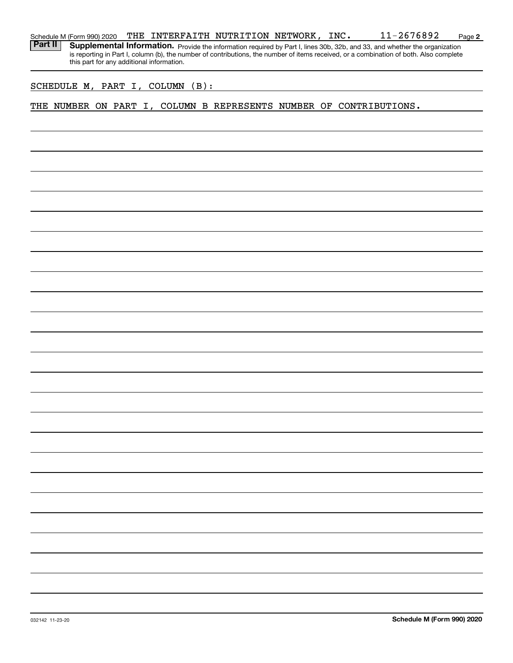| Schedule M (Form 990) 2020 | THE | INTERFAITH NUTRITION NETWORK, |  |  | INC. | 2676892 | Page 2 |
|----------------------------|-----|-------------------------------|--|--|------|---------|--------|
|----------------------------|-----|-------------------------------|--|--|------|---------|--------|

Provide the information required by Part I, lines 30b, 32b, and 33, and whether the organization is reporting in Part I, column (b), the number of contributions, the number of items received, or a combination of both. Also complete this part for any additional information. **Part II Supplemental Information.** 

### SCHEDULE M, PART I, COLUMN (B):

## THE NUMBER ON PART I, COLUMN B REPRESENTS NUMBER OF CONTRIBUTIONS.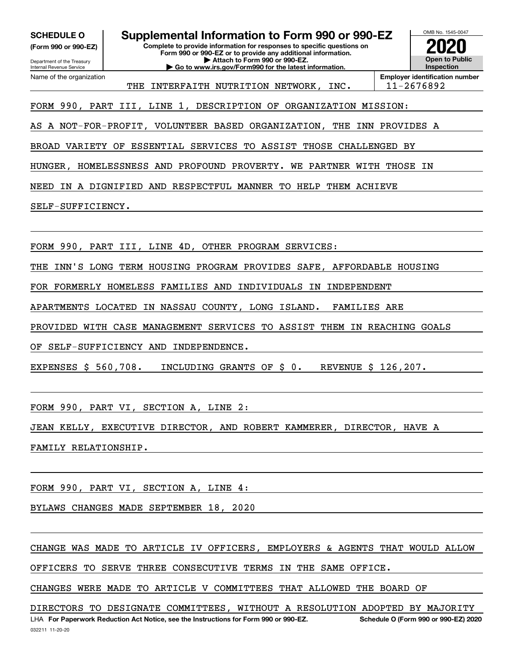**(Form 990 or 990-EZ)**

Department of the Treasury Internal Revenue Service Name of the organization

**Complete to provide information for responses to specific questions on Form 990 or 990-EZ or to provide any additional information. | Attach to Form 990 or 990-EZ. SCHEDULE O Supplemental Information to Form 990 or 990-EZ**

**| Go to www.irs.gov/Form990 for the latest information.**



THE INTERFAITH NUTRITION NETWORK, INC. | 11-2676892

FORM 990, PART III, LINE 1, DESCRIPTION OF ORGANIZATION MISSION:

AS A NOT-FOR-PROFIT, VOLUNTEER BASED ORGANIZATION, THE INN PROVIDES A

BROAD VARIETY OF ESSENTIAL SERVICES TO ASSIST THOSE CHALLENGED BY

HUNGER, HOMELESSNESS AND PROFOUND PROVERTY. WE PARTNER WITH THOSE IN

NEED IN A DIGNIFIED AND RESPECTFUL MANNER TO HELP THEM ACHIEVE

SELF-SUFFICIENCY.

FORM 990, PART III, LINE 4D, OTHER PROGRAM SERVICES:

THE INN'S LONG TERM HOUSING PROGRAM PROVIDES SAFE, AFFORDABLE HOUSING

FOR FORMERLY HOMELESS FAMILIES AND INDIVIDUALS IN INDEPENDENT

APARTMENTS LOCATED IN NASSAU COUNTY, LONG ISLAND. FAMILIES ARE

PROVIDED WITH CASE MANAGEMENT SERVICES TO ASSIST THEM IN REACHING GOALS

OF SELF-SUFFICIENCY AND INDEPENDENCE.

EXPENSES \$ 560,708. INCLUDING GRANTS OF \$ 0. REVENUE \$ 126,207.

FORM 990, PART VI, SECTION A, LINE 2:

JEAN KELLY, EXECUTIVE DIRECTOR, AND ROBERT KAMMERER, DIRECTOR, HAVE A

FAMILY RELATIONSHIP.

FORM 990, PART VI, SECTION A, LINE 4:

BYLAWS CHANGES MADE SEPTEMBER 18, 2020

CHANGE WAS MADE TO ARTICLE IV OFFICERS, EMPLOYERS & AGENTS THAT WOULD ALLOW

OFFICERS TO SERVE THREE CONSECUTIVE TERMS IN THE SAME OFFICE.

CHANGES WERE MADE TO ARTICLE V COMMITTEES THAT ALLOWED THE BOARD OF

032211 11-20-20 LHA For Paperwork Reduction Act Notice, see the Instructions for Form 990 or 990-EZ. Schedule O (Form 990 or 990-EZ) 2020 DIRECTORS TO DESIGNATE COMMITTEES, WITHOUT A RESOLUTION ADOPTED BY MAJORITY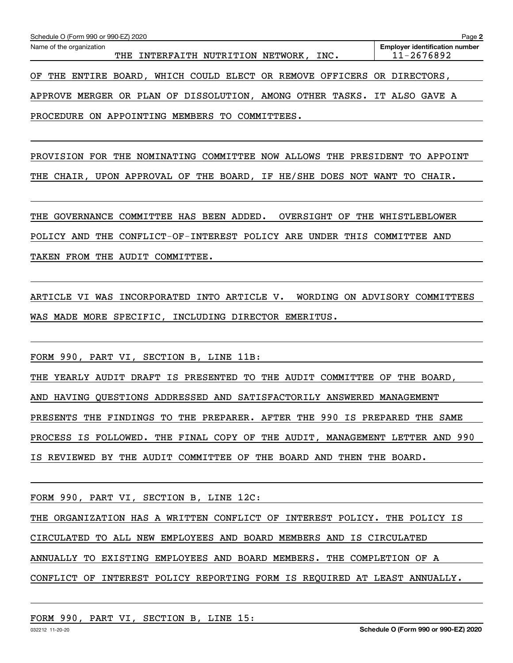| Name of the organization                                                   | <b>Employer identification number</b> |
|----------------------------------------------------------------------------|---------------------------------------|
| THE INTERFAITH NUTRITION NETWORK,<br>INC.                                  | 11-2676892                            |
|                                                                            |                                       |
| THE ENTIRE BOARD, WHICH COULD ELECT OR REMOVE OFFICERS OR DIRECTORS,<br>OF |                                       |
|                                                                            |                                       |
| APPROVE MERGER OR PLAN OF DISSOLUTION, AMONG OTHER TASKS. IT ALSO GAVE A   |                                       |
|                                                                            |                                       |
| PROCEDURE ON APPOINTING MEMBERS TO COMMITTEES.                             |                                       |
|                                                                            |                                       |

PROVISION FOR THE NOMINATING COMMITTEE NOW ALLOWS THE PRESIDENT TO APPOINT THE CHAIR, UPON APPROVAL OF THE BOARD, IF HE/SHE DOES NOT WANT TO CHAIR.

THE GOVERNANCE COMMITTEE HAS BEEN ADDED. OVERSIGHT OF THE WHISTLEBLOWER POLICY AND THE CONFLICT-OF-INTEREST POLICY ARE UNDER THIS COMMITTEE AND TAKEN FROM THE AUDIT COMMITTEE.

ARTICLE VI WAS INCORPORATED INTO ARTICLE V. WORDING ON ADVISORY COMMITTEES WAS MADE MORE SPECIFIC, INCLUDING DIRECTOR EMERITUS.

FORM 990, PART VI, SECTION B, LINE 11B:

THE YEARLY AUDIT DRAFT IS PRESENTED TO THE AUDIT COMMITTEE OF THE BOARD, AND HAVING QUESTIONS ADDRESSED AND SATISFACTORILY ANSWERED MANAGEMENT PRESENTS THE FINDINGS TO THE PREPARER. AFTER THE 990 IS PREPARED THE SAME PROCESS IS FOLLOWED. THE FINAL COPY OF THE AUDIT, MANAGEMENT LETTER AND 990 IS REVIEWED BY THE AUDIT COMMITTEE OF THE BOARD AND THEN THE BOARD.

FORM 990, PART VI, SECTION B, LINE 12C:

THE ORGANIZATION HAS A WRITTEN CONFLICT OF INTEREST POLICY. THE POLICY IS

CIRCULATED TO ALL NEW EMPLOYEES AND BOARD MEMBERS AND IS CIRCULATED

ANNUALLY TO EXISTING EMPLOYEES AND BOARD MEMBERS. THE COMPLETION OF A

CONFLICT OF INTEREST POLICY REPORTING FORM IS REQUIRED AT LEAST ANNUALLY.